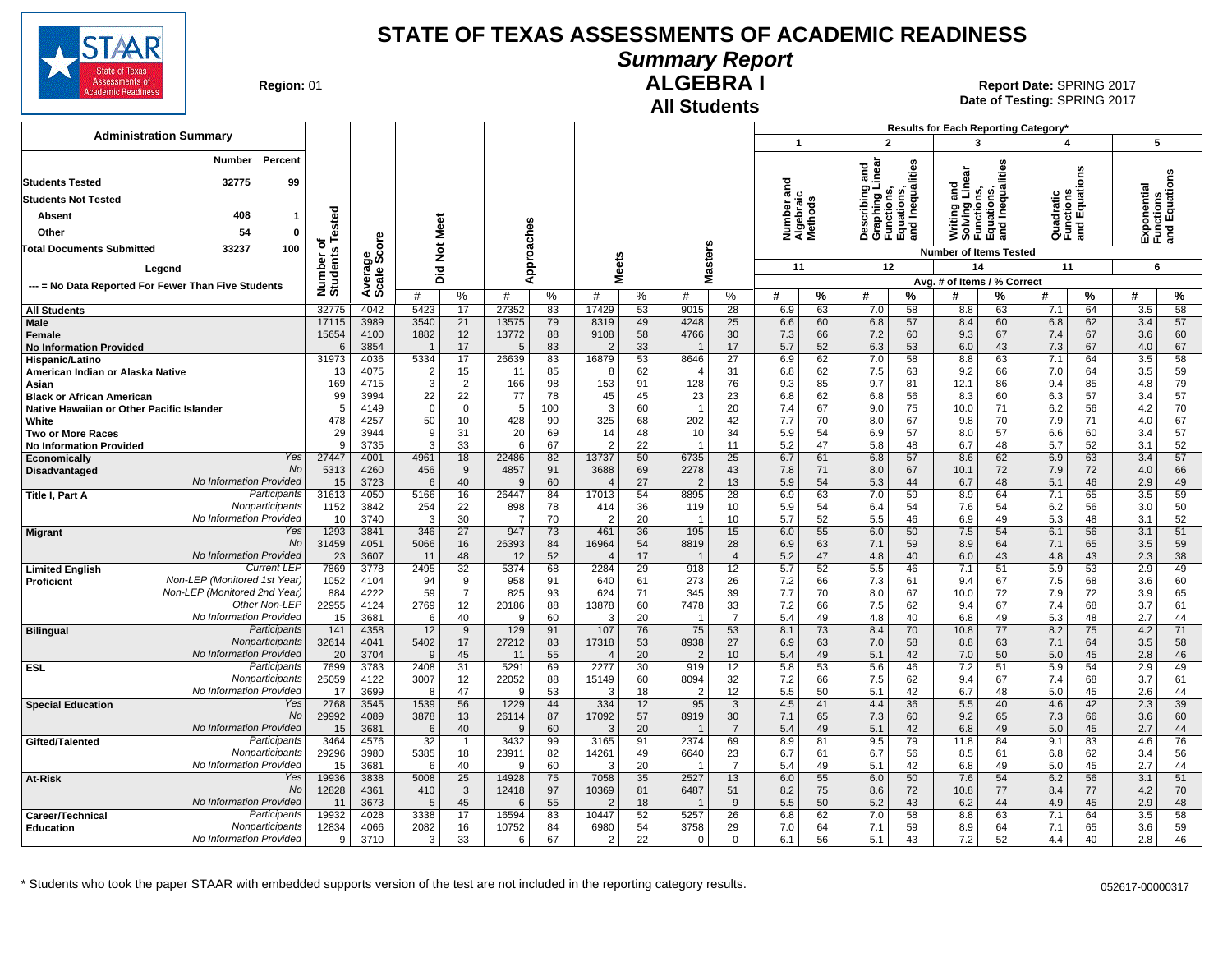

**Summary Report**

**Region: 01** 

#### **All Students ALGEBRA I**

29296 | 3980 | 5385 | 18 | 23911 | 82 | 14261 | 49 | 6640 | 23 | 6.7 | 61 | 6.7 | 56 | 8.5 | 61 | 6.8 | 62 | 3.4 | 56 15 3681 | 6 | 40 | 9 | 60 | 3 | 20 | 1 | 7 | 5.4 | 49 | 5.1 | 42 | 6.8 | 49 | 5.0 | 45 | 2.7 | 44

12828 | 4361 | 410 | 3 | 12418 | 97 | 10369 | 81 | 6487 | 51 | 8.2 | 75 | 8.6 | 72 | 10.8 | 77 | 8.4 | 77 | 4.2 | 70 11 3673 | 5 | 45 | 6 | 55 | 2 | 18 | 1 | 9 | 5.5 | 50 | 5.2 | 43 | 6.2 | 44 | 4.9 | 45 | 2.9 | 48

9 3710 3 31 33 6 67 2 22 0 0 6.1 56 5.1 43 7.2 52 4.4 40 2.8 46

**Date of Testing:**  SPRING 2017 01 **Report Date:** SPRING 2017

|                                                      |                                                     |                    |                       |              |                |                |                       |            |                      |          | All Students           |                       |                                |                 |                                                                                   |              |                               |                                                                                      |                                       |          |                                           |          |
|------------------------------------------------------|-----------------------------------------------------|--------------------|-----------------------|--------------|----------------|----------------|-----------------------|------------|----------------------|----------|------------------------|-----------------------|--------------------------------|-----------------|-----------------------------------------------------------------------------------|--------------|-------------------------------|--------------------------------------------------------------------------------------|---------------------------------------|----------|-------------------------------------------|----------|
|                                                      |                                                     |                    |                       |              |                |                |                       |            |                      |          |                        |                       |                                |                 |                                                                                   |              |                               |                                                                                      | Results for Each Reporting Category*  |          |                                           |          |
|                                                      | <b>Administration Summary</b>                       |                    |                       |              |                |                |                       |            |                      |          |                        |                       | $\overline{\mathbf{1}}$        |                 | $\overline{2}$                                                                    |              |                               | 3                                                                                    | 4                                     |          | 5                                         |          |
| <b>Students Tested</b><br><b>Students Not Tested</b> | Number<br>32775                                     | Percent<br>99      |                       |              |                |                |                       |            |                      |          |                        |                       | ъ<br>iber ano<br>braic<br>ìods |                 | Describing and<br>Graphing Linear<br>Functions,<br>Equations,<br>and Inequalities | Inequalities | and<br>Linear                 | Inequalities<br>Writing and<br>Solving Lin<br>Functions,<br>Equations,<br>and Inequa | Quadratic<br>Functions<br>and Equatic | δuο      | Exponential<br>Functions<br>and Equations |          |
|                                                      | 408                                                 | -1                 |                       |              |                |                |                       |            |                      |          |                        |                       |                                |                 |                                                                                   |              |                               |                                                                                      |                                       |          |                                           |          |
| Absent                                               |                                                     |                    | ested                 |              |                | Meet           |                       |            |                      |          |                        |                       | Numi<br>Alget<br>Meth          |                 |                                                                                   |              |                               |                                                                                      |                                       |          |                                           |          |
| Other                                                | 54                                                  | $\mathbf{0}$       | ۴<br>ъ                |              |                |                |                       |            |                      |          |                        |                       |                                |                 |                                                                                   |              |                               |                                                                                      |                                       |          |                                           |          |
| <b>Fotal Documents Submitted</b>                     | 33237                                               | 100                | Number of<br>Students | ge<br>Score  |                | $\frac{5}{2}$  |                       | Approaches | s.                   |          |                        | <b>Masters</b>        |                                |                 |                                                                                   |              | <b>Number of Items Tested</b> |                                                                                      |                                       |          |                                           |          |
|                                                      | Legend                                              |                    |                       |              |                | id<br>O        |                       |            | Meet:                |          |                        |                       | 11                             |                 | 12                                                                                |              |                               | 14                                                                                   | 11                                    |          | 6                                         |          |
|                                                      | --- = No Data Reported For Fewer Than Five Students |                    |                       | Average:     |                |                |                       |            |                      |          |                        |                       |                                |                 |                                                                                   |              | Avg. # of Items / % Correct   |                                                                                      |                                       |          |                                           |          |
|                                                      |                                                     |                    |                       |              | #              | %              | #                     | %          | #                    | %        | #                      | %                     | #                              | %               | #                                                                                 | %            | #                             | ℅                                                                                    | #                                     | %        | #                                         | %        |
| <b>All Students</b>                                  |                                                     |                    | 32775                 | 4042         | 5423           | 17             | 27352                 | 83         | 17429                | 53       | 9015                   | 28                    | 6.9                            | 63              | 7.0                                                                               | 58           | 8.8                           | 63                                                                                   | 7.1                                   | 64       | 3.5                                       | 58       |
| <b>Male</b>                                          |                                                     |                    | 17115                 | 3989         | 3540           | 21             | 13575                 | 79         | 8319                 | 49       | 4248                   | 25                    | 6.6                            | 60              | 6.8                                                                               | 57           | 8.4                           | 60                                                                                   | 6.8                                   | 62       | 3.4                                       | 57       |
| Female                                               |                                                     |                    | 15654                 | 4100         | 1882           | 12             | 13772                 | 88         | 9108                 | 58       | 4766                   | 30                    | 7.3                            | 66              | 7.2                                                                               | 60           | 9.3                           | 67                                                                                   | 7.4<br>7.3                            | 67       | 3.6                                       | 60       |
| <b>No Information Provided</b><br>Hispanic/Latino    |                                                     |                    | 6<br>31973            | 3854<br>4036 | 5334           | 17<br>17       | 5<br>26639            | 83<br>83   | 2<br>16879           | 33<br>53 | $\mathbf{1}$<br>8646   | 17<br>$\overline{27}$ | 5.7<br>6.9                     | 52<br>62        | 6.3<br>7.0                                                                        | 53<br>58     | 6.0<br>8.8                    | 43<br>63                                                                             | 7.1                                   | 67<br>64 | 4.0<br>3.5                                | 67<br>58 |
| American Indian or Alaska Native                     |                                                     |                    | 13                    | 4075         | $\overline{2}$ | 15             | 11                    | 85         | 8                    | 62       | $\overline{4}$         | 31                    | 6.8                            | 62              | 7.5                                                                               | 63           | 9.2                           | 66                                                                                   | 7.0                                   | 64       | 3.5                                       | 59       |
| Asian                                                |                                                     |                    | 169                   | 4715         | 3              | $\overline{2}$ | 166                   | 98         | 153                  | 91       | 128                    | 76                    | 9.3                            | 85              | 9.7                                                                               | 81           | 12.1                          | 86                                                                                   | 9.4                                   | 85       | 4.8                                       | 79       |
| <b>Black or African American</b>                     |                                                     |                    | 99                    | 3994         | 22             | 22             | 77                    | 78         | 45                   | 45       | 23                     | 23                    | 6.8                            | 62              | 6.8                                                                               | 56           | 8.3                           | 60                                                                                   | 6.3                                   | 57       | 3.4                                       | 57       |
| Native Hawaiian or Other Pacific Islander            |                                                     |                    | 5                     | 4149         | $\mathbf 0$    | $\mathbf 0$    | 5                     | 100        | 3                    | 60       | $\overline{1}$         | 20                    | 7.4                            | 67              | 9.0                                                                               | 75           | 10.0                          | 71                                                                                   | 6.2                                   | 56       | 4.2                                       | 70       |
| White                                                |                                                     |                    | 478                   | 4257         | 50             | 10             | 428                   | 90         | 325                  | 68       | 202                    | 42                    | 7.7                            | 70              | 8.0                                                                               | 67           | 9.8                           | 70                                                                                   | 7.9                                   | 71       | 4.0                                       | 67       |
| <b>Two or More Races</b>                             |                                                     |                    | 29<br>9               | 3944<br>3735 | 9<br>3         | 31<br>33       | 20<br>6               | 69<br>67   | 14<br>$\mathcal{P}$  | 48<br>22 | 10<br>$\overline{1}$   | 34<br>11              | 5.9<br>5.2                     | 54<br>47        | 6.9<br>5.8                                                                        | 57<br>48     | 8.0<br>6.7                    | 57<br>48                                                                             | 6.6<br>5.7                            | 60<br>52 | 3.4<br>3.1                                | 57<br>52 |
| <b>No Information Provided</b><br>Economically       |                                                     | Yes                | 27447                 | 4001         | 4961           | 18             | 22486                 | 82         | 13737                | 50       | 6735                   | 25                    | 6.7                            | 61              | 6.8                                                                               | 57           | 8.6                           | 62                                                                                   | 6.9                                   | 63       | 3.4                                       | 57       |
| Disadvantaged                                        |                                                     | <b>No</b>          | 5313                  | 4260         | 456            | 9              | 4857                  | 91         | 3688                 | 69       | 2278                   | 43                    | 7.8                            | 71              | 8.0                                                                               | 67           | 10.1                          | 72                                                                                   | 7.9                                   | 72       | 4.0                                       | 66       |
|                                                      | No Information Provided                             |                    | 15                    | 3723         | 6              | 40             | 9                     | 60         | $\overline{4}$       | 27       | $\overline{2}$         | 13                    | 5.9                            | 54              | 5.3                                                                               | 44           | 6.7                           | 48                                                                                   | 5.1                                   | 46       | 2.9                                       | 49       |
| Title I, Part A                                      |                                                     | Participants       | 31613                 | 4050         | 5166           | 16             | 26447                 | 84         | 17013                | 54       | 8895                   | $\overline{28}$       | 6.9                            | 63              | 7.0                                                                               | 59           | 8.9                           | 64                                                                                   | 7.1                                   | 65       | $\overline{3.5}$                          | 59       |
|                                                      |                                                     | Nonparticipants    | 1152                  | 3842         | 254            | 22             | 898                   | 78         | 414                  | 36       | 119                    | 10                    | 5.9                            | 54              | 6.4                                                                               | 54           | 7.6                           | 54                                                                                   | 6.2                                   | 56       | 3.0                                       | 50       |
|                                                      | No Information Provided                             | Yes                | 10<br>1293            | 3740<br>3841 | 3<br>346       | 30<br>27       | $\overline{7}$<br>947 | 70<br>73   | $\mathcal{P}$<br>461 | 20<br>36 | $\overline{1}$<br>195  | 10<br>15              | 5.7<br>6.0                     | 52<br>55        | 5.5<br>6.0                                                                        | 46<br>50     | 6.9<br>7.5                    | 49<br>54                                                                             | 5.3<br>6.1                            | 48<br>56 | 3.1<br>3.1                                | 52<br>51 |
| <b>Migrant</b>                                       |                                                     | No                 | 31459                 | 4051         | 5066           | 16             | 26393                 | 84         | 16964                | 54       | 8819                   | 28                    | 6.9                            | 63              | 7.1                                                                               | 59           | 8.9                           | 64                                                                                   | 7.1                                   | 65       | 3.5                                       | 59       |
|                                                      | No Information Provided                             |                    | 23                    | 3607         | 11             | 48             | 12                    | 52         | $\overline{4}$       | 17       | $\overline{1}$         | $\overline{4}$        | 5.2                            | 47              | 4.8                                                                               | 40           | 6.0                           | 43                                                                                   | 4.8                                   | 43       | 2.3                                       | 38       |
| <b>Limited English</b>                               |                                                     | <b>Current LEP</b> | 7869                  | 3778         | 2495           | 32             | 5374                  | 68         | 2284                 | 29       | 918                    | 12                    | 5.7                            | 52              | 5.5                                                                               | 46           | 7.1                           | 51                                                                                   | 5.9                                   | 53       | 2.9                                       | 49       |
| <b>Proficient</b>                                    | Non-LEP (Monitored 1st Year)                        |                    | 1052                  | 4104         | 94             | 9              | 958                   | 91         | 640                  | 61       | 273                    | 26                    | 7.2                            | 66              | 7.3                                                                               | 61           | 9.4                           | 67                                                                                   | 7.5                                   | 68       | 3.6                                       | 60       |
|                                                      | Non-LEP (Monitored 2nd Year)                        |                    | 884                   | 4222         | 59             | $\overline{7}$ | 825                   | 93         | 624                  | 71       | 345                    | 39                    | 7.7                            | 70              | 8.0                                                                               | 67           | 10.0                          | 72                                                                                   | 7.9                                   | 72       | 3.9                                       | 65       |
|                                                      | No Information Provided                             | Other Non-LEP      | 22955                 | 4124         | 2769           | 12             | 20186                 | 88         | 13878                | 60       | 7478<br>$\overline{1}$ | 33<br>$\overline{7}$  | 7.2                            | 66              | 7.5                                                                               | 62           | 9.4                           | 67                                                                                   | 7.4                                   | 68       | 3.7                                       | 61       |
| <b>Bilingual</b>                                     |                                                     | Participants       | 15<br>141             | 3681<br>4358 | 6<br>12        | 40<br>9        | 9<br>129              | 60<br>91   | 3<br>107             | 20<br>76 | 75                     | 53                    | 5.4<br>8.1                     | 49<br>73        | 4.8<br>8.4                                                                        | 40<br>70     | 6.8<br>10.8                   | 49<br>77                                                                             | 5.3<br>8.2                            | 48<br>75 | 2.7<br>4.2                                | 44<br>71 |
|                                                      |                                                     | Nonparticipants    | 32614                 | 4041         | 5402           | 17             | 27212                 | 83         | 17318                | 53       | 8938                   | 27                    | 6.9                            | 63              | 7.0                                                                               | 58           | 8.8                           | 63                                                                                   | 7.1                                   | 64       | 3.5                                       | 58       |
|                                                      | No Information Provided                             |                    | 20                    | 3704         | 9              | 45             | 11                    | 55         | $\overline{4}$       | 20       | $\overline{2}$         | 10                    | 5.4                            | 49              | 5.1                                                                               | 42           | 7.0                           | 50                                                                                   | 5.0                                   | 45       | 2.8                                       | 46       |
| <b>ESL</b>                                           |                                                     | Participants       | 7699                  | 3783         | 2408           | 31             | 5291                  | 69         | 2277                 | 30       | 919                    | 12                    | 5.8                            | $\overline{53}$ | 5.6                                                                               | 46           | 7.2                           | 51                                                                                   | 5.9                                   | 54       | 2.9                                       | 49       |
|                                                      |                                                     | Nonparticipants    | 25059                 | 4122         | 3007           | 12             | 22052                 | 88         | 15149                | 60       | 8094                   | 32                    | 7.2                            | 66              | 7.5                                                                               | 62           | 9.4                           | 67                                                                                   | 7.4                                   | 68       | 3.7                                       | 61       |
|                                                      | No Information Provided                             |                    | 17                    | 3699         | 8              | 47             | <sub>9</sub>          | 53         | 3                    | 18       | $\overline{2}$         | 12                    | 5.5                            | 50              | 5.1                                                                               | 42           | 6.7                           | 48                                                                                   | 5.0                                   | 45       | 2.6                                       | 44       |
| <b>Special Education</b>                             |                                                     | Yes<br><b>No</b>   | 2768<br>29992         | 3545<br>4089 | 1539           | 56<br>13       | 1229                  | 44<br>87   | 334<br>17092         | 12       | 95<br>8919             | 3<br>30               | 4.5                            | 41              | 4.4<br>7.3                                                                        | 36<br>60     | 5.5                           | 40                                                                                   | 4.6<br>7.3                            | 42<br>66 | 2.3<br>3.6                                | 39<br>60 |
|                                                      | No Information Provided                             |                    | 15                    | 3681         | 3878<br>6      | 40             | 26114<br>9            | 60         | 3                    | 57<br>20 | $\overline{1}$         | $\overline{7}$        | 7.1<br>5.4                     | 65<br>49        | 5.1                                                                               | 42           | 9.2<br>6.8                    | 65<br>49                                                                             | 5.0                                   | 45       | 2.7                                       | 44       |
| Gifted/Talented                                      |                                                     | Participants       | 3464                  | 4576         | 32             | $\overline{1}$ | 3432                  | 99         | 3165                 | 91       | 2374                   | 69                    | 8.9                            | 81              | 9.5                                                                               | 79           | 11.8                          | 84                                                                                   | 9.1                                   | 83       | 4.6                                       | 76       |
|                                                      |                                                     | Nonparticipants    | 29296                 | 3980         | 5385           | 18             | 23911                 | 82         | 14261                | 49       | 6640                   | 23                    | 6.7                            | 61              | 6.7                                                                               | 56           | 8.5                           | 61                                                                                   | 6.8                                   | 62       | 3.4                                       | 56       |

**At-Risk** 19936 3838 3838 3008 25 14928 75 7058 35 2527 13 6.0 55 6.0 50 7.6 54 52 56 3.1 51

**Career/Technical** Participants| 19932 | 4028 | 3338 | 17 | 16594 | 83 | 10447 | 52 | 5257 | 26 | 6.8 | 62 | 7.0 | 58 | 8.8 | 63 | 7.1 | 64 | 3.5 | 58 **Education** 12834 4066 2082 16 10752 84 6980 54 3758 29 7.0 64 7.1 59 8.9 64 7.1 65 3.6 59

\* Students who took the paper STAAR with embedded supports version of the test are not included in the reporting category results. 052617-00000317

No Information Provided

No Information Provided

Yes No

**Participants Nonparticipants** No Information Provided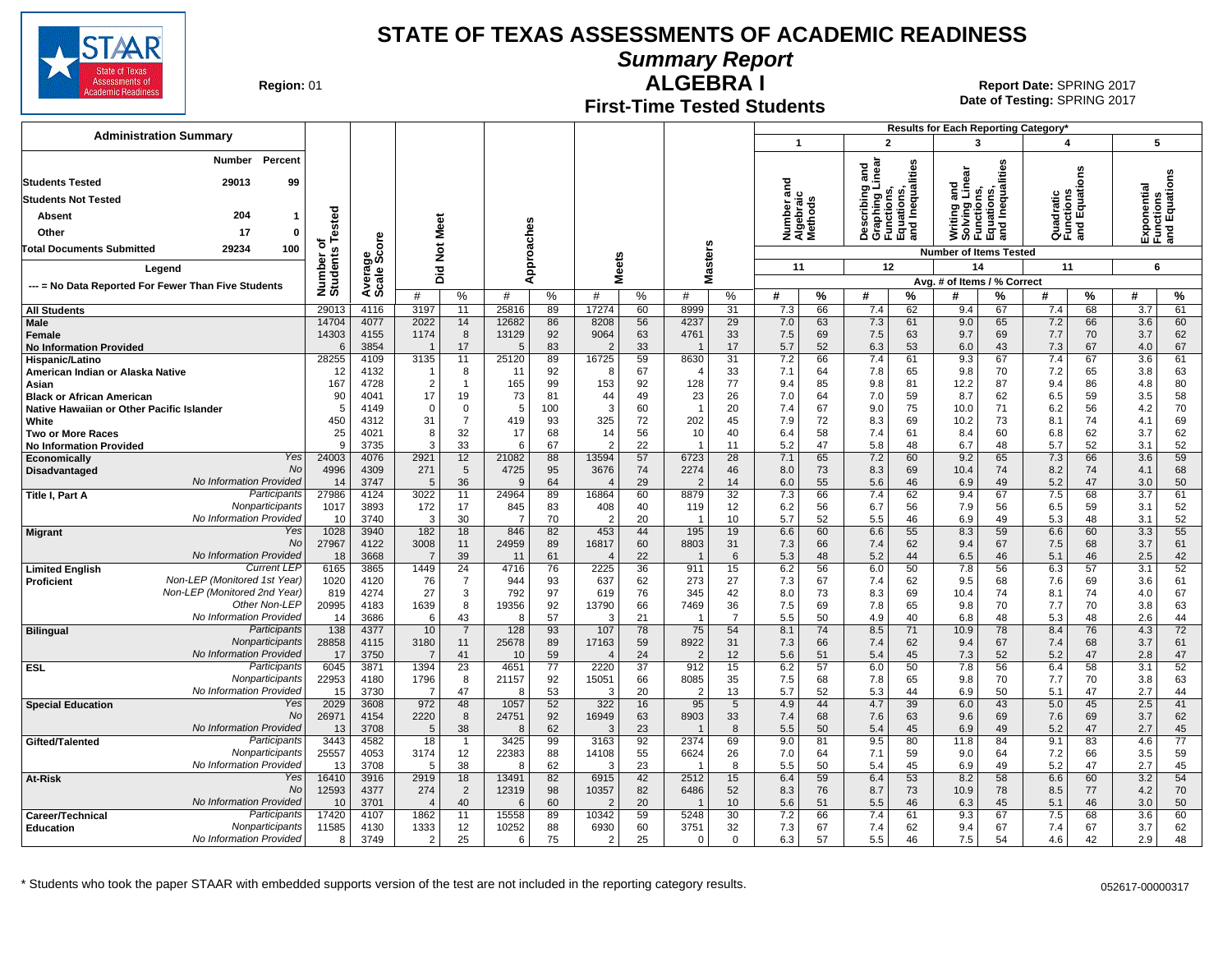

**Summary Report**

**Region: 01** 

#### **First-Time Tested Students ALGEBRA I** 01 **Report Date:** SPRING 2017

**Date of Testing:**  SPRING 2017

| <b>Administration Summary</b>                                                 |                       |              |                       |                      |                      |                 |                        |                 |                        |                      |                                   |          |                                                                                   |          | Results for Each Reporting Category*                                           |          |                                      |          |                                           |          |
|-------------------------------------------------------------------------------|-----------------------|--------------|-----------------------|----------------------|----------------------|-----------------|------------------------|-----------------|------------------------|----------------------|-----------------------------------|----------|-----------------------------------------------------------------------------------|----------|--------------------------------------------------------------------------------|----------|--------------------------------------|----------|-------------------------------------------|----------|
|                                                                               |                       |              |                       |                      |                      |                 |                        |                 |                        |                      | $\mathbf{1}$                      |          | $\overline{2}$                                                                    |          | 3                                                                              |          | 4                                    |          | 5                                         |          |
| <b>Number</b><br>Percent                                                      |                       |              |                       |                      |                      |                 |                        |                 |                        |                      |                                   |          |                                                                                   |          |                                                                                |          |                                      |          |                                           |          |
| 29013<br>99<br><b>Students Tested</b>                                         |                       |              |                       |                      |                      |                 |                        |                 |                        |                      | ਠ                                 |          | Describing and<br>Graphing Linear<br>Functions,<br>Equations,<br>and Inequalities |          | Linea                                                                          | lities   |                                      | ឌី       | Exponential<br>Functions<br>and Equations |          |
| <b>Students Not Tested</b>                                                    |                       |              |                       |                      |                      |                 |                        |                 |                        |                      | 듦                                 |          |                                                                                   |          | and<br>Writing and<br>Solving Line<br>Functions,<br>Equations,<br>and Inequali |          | Quadratic<br>Functions<br>and Equati |          | ponential                                 |          |
| 204<br>Absent<br>$\mathbf 1$                                                  |                       |              |                       |                      |                      |                 |                        |                 |                        |                      | Number ar<br>Algebraic<br>Methods |          |                                                                                   |          |                                                                                |          |                                      |          |                                           |          |
|                                                                               | Tested                |              | Meet                  |                      |                      |                 |                        |                 |                        |                      |                                   |          |                                                                                   |          |                                                                                |          |                                      |          |                                           |          |
| Other<br>17<br>$\mathbf 0$                                                    | ত                     |              |                       |                      |                      |                 |                        |                 |                        |                      |                                   |          |                                                                                   |          |                                                                                |          | āτ                                   |          |                                           |          |
| 100<br><b>Total Documents Submitted</b><br>29234                              | Number of<br>Students | ge<br>Score  | $\frac{5}{2}$         |                      |                      | Approaches      |                        |                 | Masters                |                      |                                   |          |                                                                                   |          | <b>Number of Items Tested</b>                                                  |          |                                      |          |                                           |          |
| Legend                                                                        |                       |              | Did                   |                      |                      |                 |                        | <b>Meets</b>    |                        |                      | 11                                |          | 12                                                                                |          | 14                                                                             |          | 11                                   |          | 6                                         |          |
| --- = No Data Reported For Fewer Than Five Students                           |                       | Average:     |                       |                      |                      |                 |                        |                 |                        |                      |                                   |          |                                                                                   |          | Avg. # of Items / % Correct                                                    |          |                                      |          |                                           |          |
|                                                                               |                       |              | #                     | %                    | #                    | %               | #                      | %               | #                      | %                    | #                                 | %        | #                                                                                 | %        |                                                                                | %        | #                                    | %        | #                                         | %        |
| <b>All Students</b>                                                           | 29013                 | 4116         | 3197                  | 11                   | 25816                | 89              | 17274                  | 60              | 8999                   | 31                   | 7.3                               | 66       | 7.4                                                                               | 62       | 9.4                                                                            | 67       | 7.4                                  | 68       | 3.7                                       | 61       |
| Male<br><b>Female</b>                                                         | 14704<br>14303        | 4077<br>4155 | 2022<br>1174          | 14<br>8              | 12682<br>13129       | 86<br>92        | 8208<br>9064           | 56<br>63        | 4237<br>4761           | 29<br>33             | 7.0<br>7.5                        | 63<br>69 | 7.3<br>7.5                                                                        | 61<br>63 | 9.0<br>9.7                                                                     | 65<br>69 | 7.2<br>7.7                           | 66<br>70 | 3.6<br>3.7                                | 60<br>62 |
| <b>No Information Provided</b>                                                | 6                     | 3854         |                       | 17                   | 5                    | 83              | $\mathcal{P}$          | 33              |                        | 17                   | 5.7                               | 52       | 6.3                                                                               | 53       | 6.0                                                                            | 43       | 7.3                                  | 67       | 4.0                                       | 67       |
| Hispanic/Latino                                                               | 28255                 | 4109         | 3135                  | 11                   | 25120                | 89              | 16725                  | 59              | 8630                   | 31                   | 7.2                               | 66       | 7.4                                                                               | 61       | 9.3                                                                            | 67       | 7.4                                  | 67       | 3.6                                       | 61       |
| American Indian or Alaska Native                                              | 12                    | 4132         |                       | 8                    | 11                   | 92              | -8                     | 67              |                        | 33                   | 7.1                               | 64       | 7.8                                                                               | 65       | 9.8                                                                            | 70       | 7.2                                  | 65       | 3.8                                       | 63       |
| Asian                                                                         | 167<br>90             | 4728<br>4041 | $\overline{2}$<br>17  | $\overline{1}$<br>19 | 165<br>73            | 99<br>81        | 153<br>44              | 92<br>49        | 128<br>23              | 77<br>26             | 9.4<br>7.0                        | 85<br>64 | 9.8<br>7.0                                                                        | 81<br>59 | 12.2<br>8.7                                                                    | 87<br>62 | 9.4<br>6.5                           | 86<br>59 | 4.8<br>3.5                                | 80<br>58 |
| <b>Black or African American</b><br>Native Hawaiian or Other Pacific Islander | 5                     | 4149         | $\mathbf 0$           | $\mathbf 0$          | 5                    | 100             | 3                      | 60              | $\mathbf{1}$           | 20                   | 7.4                               | 67       | 9.0                                                                               | 75       | 10.0                                                                           | 71       | 6.2                                  | 56       | 4.2                                       | 70       |
| White                                                                         | 450                   | 4312         | 31                    | $\overline{7}$       | 419                  | 93              | 325                    | 72              | 202                    | 45                   | 7.9                               | 72       | 8.3                                                                               | 69       | 10.2                                                                           | 73       | 8.1                                  | 74       | 4.1                                       | 69       |
| <b>Two or More Races</b>                                                      | 25                    | 4021         | 8                     | 32                   | 17                   | 68              | 14                     | 56              | 10                     | 40                   | 6.4                               | 58       | 7.4                                                                               | 61       | 8.4                                                                            | 60       | 6.8                                  | 62       | 3.7                                       | 62       |
| <b>No Information Provided</b>                                                | 9                     | 3735         | 3                     | 33                   | 6                    | 67              | $\overline{2}$         | 22              |                        | 11                   | 5.2                               | 47       | 5.8                                                                               | 48       | 6.7                                                                            | 48       | 5.7                                  | 52       | 3.1                                       | 52       |
| Yes<br>Economically<br>No                                                     | 24003                 | 4076         | 2921                  | 12                   | 21082                | 88              | 13594                  | 57              | 6723                   | 28                   | 7.1                               | 65       | 7.2                                                                               | 60       | 9.2                                                                            | 65       | 7.3                                  | 66       | 3.6                                       | 59       |
| Disadvantaged<br>No Information Provided                                      | 4996<br>14            | 4309<br>3747 | 271<br>$\overline{5}$ | 5<br>36              | 4725<br>$\mathbf{Q}$ | 95<br>64        | 3676<br>$\overline{4}$ | 74<br>29        | 2274                   | 46<br>14             | 8.0<br>6.0                        | 73<br>55 | 8.3<br>5.6                                                                        | 69<br>46 | 10.4<br>6.9                                                                    | 74<br>49 | 8.2<br>5.2                           | 74<br>47 | 4.1<br>3.0                                | 68<br>50 |
| Participants<br>Title I, Part A                                               | 27986                 | 4124         | 3022                  | 11                   | 24964                | 89              | 16864                  | 60              | 8879                   | 32                   | 7.3                               | 66       | 7.4                                                                               | 62       | 9.4                                                                            | 67       | 7.5                                  | 68       | 3.7                                       | 61       |
| Nonparticipants                                                               | 1017                  | 3893         | 172                   | 17                   | 845                  | 83              | 408                    | 40              | 119                    | 12                   | 6.2                               | 56       | 6.7                                                                               | 56       | 7.9                                                                            | 56       | 6.5                                  | 59       | 3.1                                       | 52       |
| No Information Provideo                                                       | 10                    | 3740         | 3                     | 30                   | 7                    | 70              | $\overline{2}$         | 20              |                        | 10                   | 5.7                               | 52       | 5.5                                                                               | 46       | 6.9                                                                            | 49       | 5.3                                  | 48       | 3.1                                       | 52       |
| Yes<br><b>Migrant</b><br><b>No</b>                                            | 1028<br>27967         | 3940         | 182<br>3008           | 18<br>11             | 846<br>24959         | 82<br>89        | 453<br>16817           | 44<br>60        | 195<br>8803            | 19                   | 6.6                               | 60       | 6.6                                                                               | 55       | 8.3<br>9.4                                                                     | 59       | 6.6                                  | 60       | 3.3                                       | 55<br>61 |
| No Information Provideo                                                       | 18                    | 4122<br>3668 | $\overline{7}$        | 39                   | 11                   | 61              | $\overline{4}$         | 22              |                        | 31<br>6              | 7.3<br>5.3                        | 66<br>48 | 7.4<br>5.2                                                                        | 62<br>44 | 6.5                                                                            | 67<br>46 | 7.5<br>5.1                           | 68<br>46 | 3.7<br>2.5                                | 42       |
| <b>Current LEP</b><br><b>Limited English</b>                                  | 6165                  | 3865         | 1449                  | $\overline{24}$      | 4716                 | 76              | 2225                   | 36              | 911                    | 15                   | 6.2                               | 56       | 6.0                                                                               | 50       | 7.8                                                                            | 56       | 6.3                                  | 57       | 3.1                                       | 52       |
| Non-LEP (Monitored 1st Year)<br>Proficient                                    | 1020                  | 4120         | 76                    | $\overline{7}$       | 944                  | 93              | 637                    | 62              | 273                    | 27                   | 7.3                               | 67       | 7.4                                                                               | 62       | 9.5                                                                            | 68       | 7.6                                  | 69       | 3.6                                       | 61       |
| Non-LEP (Monitored 2nd Year)                                                  | 819                   | 4274         | 27                    | 3                    | 792                  | 97              | 619                    | 76              | 345                    | 42                   | 8.0                               | 73       | 8.3                                                                               | 69       | 10.4                                                                           | 74       | 8.1                                  | 74       | 4.0                                       | 67       |
| Other Non-LEP<br>No Information Provided                                      | 20995                 | 4183<br>3686 | 1639<br>6             | 8<br>43              | 19356<br>8           | 92<br>57        | 13790<br>3             | 66<br>21        | 7469                   | 36<br>$\overline{7}$ | 7.5<br>5.5                        | 69<br>50 | 7.8                                                                               | 65       | 9.8                                                                            | 70<br>48 | 7.7<br>5.3                           | 70       | 3.8<br>2.6                                | 63       |
| Participants<br><b>Bilingual</b>                                              | 14<br>138             | 4377         | 10                    | $\overline{7}$       | 128                  | 93              | 107                    | 78              | 75                     | 54                   | 8.1                               | 74       | 4.9<br>8.5                                                                        | 40<br>71 | 6.8<br>10.9                                                                    | 78       | 8.4                                  | 48<br>76 | 4.3                                       | 44<br>72 |
| Nonparticipants                                                               | 28858                 | 4115         | 3180                  | 11                   | 25678                | 89              | 17163                  | 59              | 8922                   | 31                   | 7.3                               | 66       | 7.4                                                                               | 62       | 9.4                                                                            | 67       | 7.4                                  | 68       | 3.7                                       | 61       |
| No Information Provideo                                                       | 17                    | 3750         | $\overline{7}$        | 41                   | 10                   | 59              |                        | 24              | $\mathcal{P}$          | 12                   | 5.6                               | 51       | 5.4                                                                               | 45       | 7.3                                                                            | 52       | 5.2                                  | 47       | 2.8                                       | 47       |
| <b>ESL</b><br>Participants                                                    | 6045                  | 3871         | 1394                  | $\overline{23}$      | 4651                 | $\overline{77}$ | 2220                   | $\overline{37}$ | 912                    | 15                   | 6.2                               | 57       | 6.0                                                                               | 50       | 7.8                                                                            | 56       | 6.4                                  | 58       | 3.1                                       | 52       |
| Nonparticipants<br>No Information Provideo                                    | 22953                 | 4180<br>3730 | 1796<br>7             | 8<br>47              | 21157<br>8           | 92<br>53        | 15051<br>-3            | 66<br>20        | 8085<br>$\overline{2}$ | 35                   | 7.5                               | 68<br>52 | 7.8                                                                               | 65<br>44 | 9.8<br>6.9                                                                     | 70<br>50 | 7.7<br>5.1                           | 70<br>47 | 3.8<br>2.7                                | 63<br>44 |
| Yes<br><b>Special Education</b>                                               | 15<br>2029            | 3608         | 972                   | 48                   | 1057                 | 52              | 322                    | 16              | 95                     | 13<br>5              | 5.7<br>4.9                        | 44       | 5.3<br>4.7                                                                        | 39       | 6.0                                                                            | 43       | 5.0                                  | 45       | 2.5                                       | 41       |
| No                                                                            | 26971                 | 4154         | 2220                  | 8                    | 24751                | 92              | 16949                  | 63              | 8903                   | 33                   | 7.4                               | 68       | 7.6                                                                               | 63       | 9.6                                                                            | 69       | 7.6                                  | 69       | 3.7                                       | 62       |
| No Information Provideo                                                       | 13                    | 3708         | 5                     | 38                   | 8                    | 62              | 3                      | 23              |                        | 8                    | 5.5                               | 50       | 5.4                                                                               | 45       | 6.9                                                                            | 49       | 5.2                                  | 47       | 2.7                                       | 45       |
| Participants<br>Gifted/Talented                                               | 3443                  | 4582         | 18                    | $\overline{1}$       | 3425                 | 99              | 3163                   | 92              | 2374                   | 69                   | 9.0                               | 81       | 9.5                                                                               | 80       | 11.8                                                                           | 84       | 9.1                                  | 83       | 4.6                                       | 77       |
| Nonparticipants<br>No Information Provided                                    | 25557                 | 4053         | 3174                  | 12                   | 22383                | 88              | 14108                  | 55              | 6624                   | 26                   | 7.0                               | 64       | 7.1                                                                               | 59       | 9.0                                                                            | 64       | 7.2                                  | 66       | 3.5                                       | 59       |
| Yes<br>At-Risk                                                                | 13<br>16410           | 3708<br>3916 | 5<br>2919             | 38<br>18             | 8<br>13491           | 62<br>82        | -3<br>6915             | 23<br>42        | 2512                   | 8<br>15              | 5.5<br>6.4                        | 50<br>59 | 5.4<br>6.4                                                                        | 45<br>53 | 6.9<br>8.2                                                                     | 49<br>58 | 5.2<br>6.6                           | 47<br>60 | 2.7<br>3.2                                | 45<br>54 |
| <b>No</b>                                                                     | 12593                 | 4377         | 274                   | $\overline{2}$       | 12319                | 98              | 10357                  | 82              | 6486                   | 52                   | 8.3                               | 76       | 8.7                                                                               | 73       | 10.9                                                                           | 78       | 8.5                                  | 77       | 4.2                                       | 70       |
| No Information Provided                                                       | 10                    | 3701         |                       | 40                   | 6                    | 60              | $\overline{2}$         | 20              |                        | 10                   | 5.6                               | 51       | 5.5                                                                               | 46       | 6.3                                                                            | 45       | 5.1                                  | 46       | 3.0                                       | 50       |
| Participants<br>Career/Technical                                              | 17420                 | 4107         | 1862                  | 11                   | 15558                | 89              | 10342                  | 59              | 5248                   | 30                   | 7.2                               | 66       | 7.4                                                                               | 61       | 9.3                                                                            | 67       | 7.5                                  | 68       | 3.6                                       | 60       |
| Nonparticipants<br><b>Education</b>                                           | 11585                 | 4130         | 1333                  | 12                   | 10252                | 88              | 6930                   | 60              | 3751                   | 32                   | 7.3                               | 67       | 7.4                                                                               | 62       | 9.4                                                                            | 67       | 7.4                                  | 67       | 3.7                                       | 62       |
| No Information Provided                                                       | 8                     | 3749         | $\mathcal{P}$         | 25                   | 6                    | 75              | $\mathcal{P}$          | 25              | $\Omega$               | $\Omega$             | 6.3                               | 57       | 5.5                                                                               | 46       | 7.5                                                                            | 54       | 4.6                                  | 42       | 2.9                                       | 48       |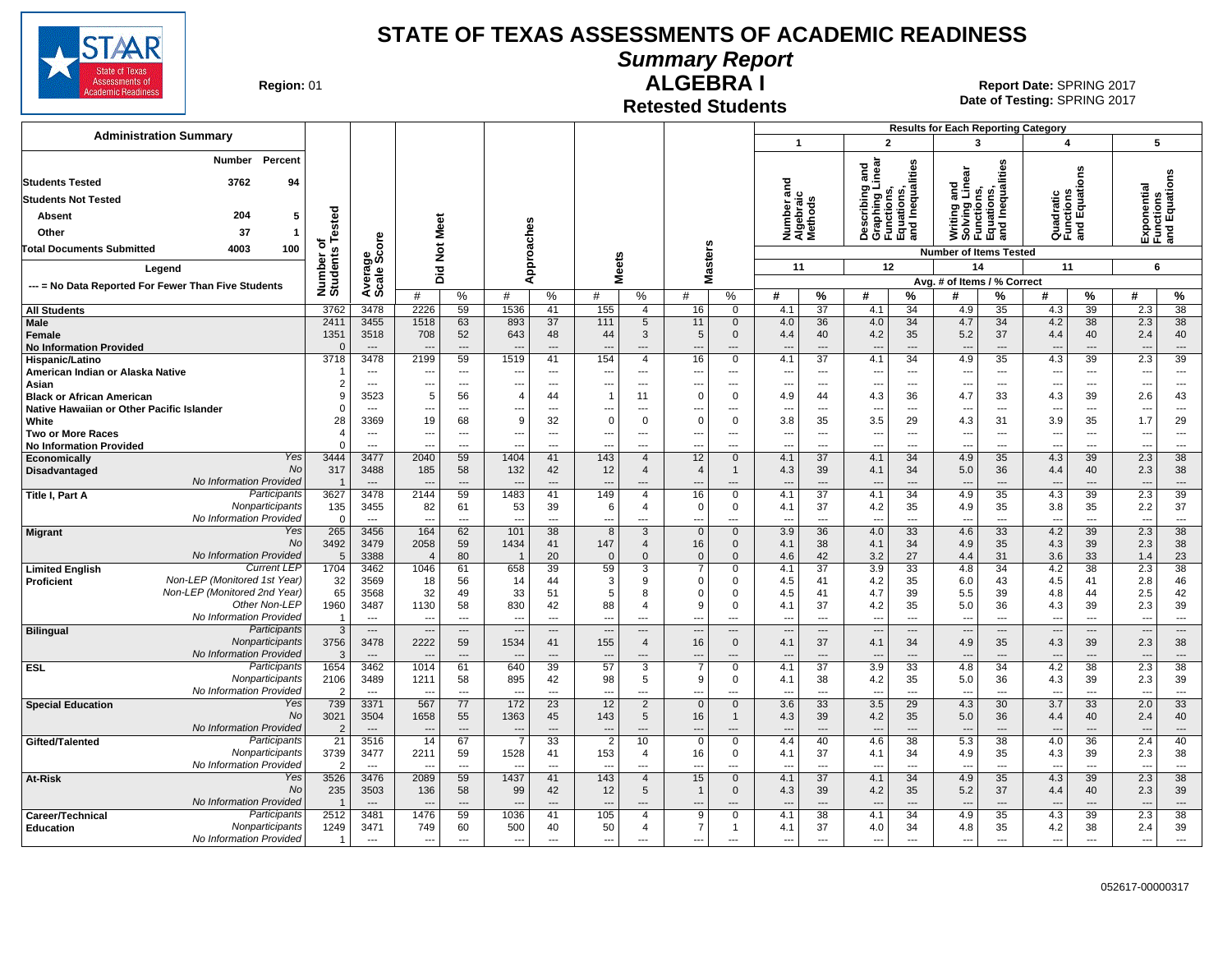

**Summary Report**

**Region: 01** 

# **ALGEBRA I** 01 **Report Date:** SPRING 2017

**Date of Testing:**  SPRING 2017

**Retested Students**

| <b>Administration Summary</b>                                                 |                       |                          |                          |                      |                                  |                      |                          |                                  |                                      |                             |                                    |                      |                                                                                   |                      | <b>Results for Each Reporting Category</b>                                    |                          |                                      |                          |                          |                                          |
|-------------------------------------------------------------------------------|-----------------------|--------------------------|--------------------------|----------------------|----------------------------------|----------------------|--------------------------|----------------------------------|--------------------------------------|-----------------------------|------------------------------------|----------------------|-----------------------------------------------------------------------------------|----------------------|-------------------------------------------------------------------------------|--------------------------|--------------------------------------|--------------------------|--------------------------|------------------------------------------|
|                                                                               |                       |                          |                          |                      |                                  |                      |                          |                                  |                                      |                             | $\mathbf{1}$                       |                      | $\overline{2}$                                                                    |                      | 3                                                                             |                          | $\overline{\mathbf{A}}$              |                          | 5                        |                                          |
| Number<br><b>Percent</b><br>3762<br>94<br><b>Students Tested</b>              |                       |                          |                          |                      |                                  |                      |                          |                                  |                                      |                             | ರ                                  |                      | Describing and<br>Graphing Linear<br>Functions,<br>Equations,<br>and Inequalities |                      | Writing and<br>Solving Linear<br>Functions,<br>Equations,<br>and Inequalities |                          |                                      | g                        |                          | Exponentar<br>Functions<br>and Equations |
| <b>Students Not Tested</b>                                                    |                       |                          |                          |                      |                                  |                      |                          |                                  |                                      |                             | Number and<br>Algebraic<br>Methods |                      |                                                                                   |                      |                                                                               |                          | Quadratic<br>Functions<br>and Equati |                          |                          |                                          |
|                                                                               |                       |                          |                          |                      |                                  |                      |                          |                                  |                                      |                             |                                    |                      |                                                                                   |                      |                                                                               |                          |                                      |                          |                          |                                          |
| 204<br><b>Absent</b>                                                          | ested                 |                          |                          |                      |                                  |                      |                          |                                  |                                      |                             |                                    |                      |                                                                                   |                      |                                                                               |                          |                                      |                          |                          |                                          |
| 37<br>Other                                                                   | ৳                     | ၑ                        |                          |                      |                                  |                      |                          |                                  |                                      |                             |                                    |                      |                                                                                   |                      |                                                                               |                          |                                      |                          |                          |                                          |
| <b>Total Documents Submitted</b><br>4003<br>100                               |                       |                          | Not Meet                 |                      |                                  |                      |                          |                                  |                                      |                             |                                    |                      |                                                                                   |                      | <b>Number of Items Tested</b>                                                 |                          |                                      |                          |                          |                                          |
| Legend                                                                        | Number of<br>Students | Average<br>Scale Sco     | Did                      |                      |                                  | Approaches           |                          | <b>Meets</b>                     | Masters                              |                             | 11                                 |                      | 12                                                                                |                      | 14                                                                            |                          | 11                                   |                          | 6                        |                                          |
| --- = No Data Reported For Fewer Than Five Students                           |                       |                          |                          |                      |                                  |                      |                          |                                  |                                      |                             |                                    |                      |                                                                                   |                      | Avg. # of Items / % Correct                                                   |                          |                                      |                          |                          |                                          |
|                                                                               |                       |                          | #                        | %                    | #                                | %                    | #                        | %                                | #                                    | %                           | #                                  | $\%$                 | #                                                                                 | $\%$                 | #                                                                             | %                        | #                                    | $\%$                     | #                        | %                                        |
| <b>All Students</b>                                                           | 3762                  | 3478                     | 2226                     | 59                   | 1536                             | 41                   | 155                      | $\overline{4}$                   | 16                                   | $\mathbf 0$                 | 4.1                                | 37                   | 4.1                                                                               | 34                   | 4.9                                                                           | 35                       | 4.3                                  | 39                       | 2.3                      | 38                                       |
| Male                                                                          | 2411<br>1351          | 3455<br>3518             | 1518<br>708              | 63<br>52             | 893<br>643                       | 37<br>48             | 111<br>44                | 5<br>3                           | 11<br>5                              | $\mathbf 0$<br>$\mathbf{0}$ | 4.0                                | 36<br>40             | 4.0<br>4.2                                                                        | 34<br>35             | 4.7<br>5.2                                                                    | 34<br>37                 | 4.2<br>4.4                           | 38<br>40                 | 2.3<br>2.4               | 38<br>40                                 |
| Female<br><b>No Information Provided</b>                                      |                       | $---$                    |                          | ---                  |                                  | ---                  | $\overline{\phantom{a}}$ | ---                              |                                      | ---                         | 4.4                                | ---                  | $\overline{\phantom{a}}$                                                          | ---                  | ---                                                                           | $\overline{\phantom{a}}$ |                                      | $---$                    |                          | ---                                      |
| Hispanic/Latino                                                               | 3718                  | 3478                     | 2199                     | 59                   | 1519                             | 41                   | 154                      | $\overline{4}$                   | 16                                   | 0                           | 4.1                                | $\overline{37}$      | 4.1                                                                               | 34                   | 4.9                                                                           | $\overline{35}$          | 4.3                                  | 39                       | 2.3                      | 39                                       |
| American Indian or Alaska Native                                              |                       | ---                      | ---                      | ---                  | $\overline{\phantom{a}}$         | ---                  | ---                      | ---                              | ---                                  | ---                         | $---$                              | ---                  | $\overline{\phantom{a}}$                                                          | ---                  | ---                                                                           | ---                      | ---                                  | $\overline{\phantom{a}}$ | ---                      | ---                                      |
| Asian                                                                         |                       | $\overline{\phantom{a}}$ | ---                      | ---                  | $\overline{\phantom{a}}$         | ---                  | ---                      | ---                              | ---                                  | ---                         | ---                                | ---                  | $\overline{\phantom{a}}$                                                          | ---                  | ---                                                                           | ---                      | ---                                  | ---                      |                          | $\overline{\phantom{a}}$                 |
| <b>Black or African American</b><br>Native Hawaiian or Other Pacific Islander |                       | 3523<br>$---$            | 5<br>---                 | 56<br>---            | 4<br>$\overline{\phantom{a}}$    | 44<br>---            | $\overline{1}$<br>---    | 11<br>---                        | $\Omega$<br>$\overline{\phantom{a}}$ | 0<br>---                    | 4.9<br>$\overline{\phantom{a}}$    | 44<br>$\overline{a}$ | 4.3<br>$\overline{\phantom{a}}$                                                   | 36<br>---            | 4.7<br>$\overline{a}$                                                         | 33<br>$\overline{a}$     | 4.3<br>$\overline{\phantom{a}}$      | 39<br>$\overline{a}$     | 2.6<br>---               | 43<br>$\overline{\phantom{a}}$           |
| White                                                                         | 28                    | 3369                     | 19                       | 68                   | <sub>9</sub>                     | 32                   | $\mathbf 0$              | $\Omega$                         | $\Omega$                             | $\mathbf 0$                 | 3.8                                | 35                   | 3.5                                                                               | 29                   | 4.3                                                                           | 31                       | 3.9                                  | 35                       | 1.7                      | 29                                       |
| Two or More Races                                                             |                       | $---$                    | $---$                    | $---$                | $---$                            | $---$                | $\overline{a}$           | $---$                            | $- - -$                              | ---                         | $---$                              | $\overline{a}$       | ---                                                                               | $\overline{a}$       | ---                                                                           | $\overline{a}$           | $\overline{\phantom{a}}$             | $---$                    | ---                      | $\sim$                                   |
| <b>No Information Provided</b>                                                |                       | $---$                    | ---                      | $\overline{a}$       | $\overline{a}$                   | $\overline{a}$       | $\overline{a}$           | ---                              | ---                                  | ---                         | $\overline{a}$                     | ---                  | $\overline{\phantom{a}}$                                                          | ---                  | ÷.,                                                                           | $\overline{a}$           | $\overline{a}$                       | $\overline{a}$           | ---                      | $\overline{\phantom{a}}$                 |
| Yes<br>Economically<br><b>No</b>                                              | 3444                  | 3477                     | 2040                     | 59                   | 1404                             | 41                   | 143                      | $\overline{4}$                   | 12                                   | $\mathbf 0$                 | 4.1                                | 37                   | 4.1                                                                               | 34                   | 4.9                                                                           | 35                       | 4.3                                  | 39                       | 2.3                      | 38                                       |
| Disadvantaged<br>No Information Provided                                      | 317                   | 3488<br>$\overline{a}$   | 185                      | 58<br>$\overline{a}$ | 132                              | 42<br>$\overline{a}$ | 12<br>$\overline{a}$     | $\overline{4}$<br>---            | $\overline{4}$                       | 1<br>$---$                  | 4.3                                | 39<br>---            | 4.1<br>$\overline{\phantom{a}}$                                                   | 34<br>---            | 5.0<br>$\overline{a}$                                                         | 36<br>$\overline{a}$     | 4.4                                  | 40<br>$---$              | 2.3                      | 38<br>$---$                              |
| Participants<br>Title I, Part A                                               | 3627                  | 3478                     | 2144                     | 59                   | 1483                             | 41                   | 149                      | $\overline{4}$                   | 16                                   | 0                           | 4.1                                | $\overline{37}$      | 4.1                                                                               | 34                   | 4.9                                                                           | 35                       | 4.3                                  | 39                       | 2.3                      | 39                                       |
| Nonparticipants                                                               | 135                   | 3455                     | 82                       | 61                   | 53                               | 39                   | 6                        | $\overline{4}$                   | $\mathbf 0$                          | 0                           | 4.1                                | 37                   | 4.2                                                                               | 35                   | 4.9                                                                           | 35                       | 3.8                                  | 35                       | 2.2                      | 37                                       |
| No Information Provided                                                       |                       | $---$                    | ---                      | $\overline{a}$       | $\overline{a}$                   | $\overline{a}$       | $\overline{a}$           | ---                              | ---                                  | ---                         | $---$                              |                      | $\overline{\phantom{a}}$                                                          | ---                  | $\overline{a}$                                                                | $\overline{a}$           | ---                                  | $\overline{a}$           | ---                      | $\overline{\phantom{a}}$                 |
| Yes<br><b>Migrant</b><br>No                                                   | 265<br>3492           | 3456<br>3479             | 164<br>2058              | 62<br>59             | 101<br>1434                      | 38<br>41             | 8<br>147                 | 3<br>$\overline{4}$              | $\mathbf{0}$<br>16                   | $\mathbf{0}$<br>$\mathbf 0$ | 3.9<br>4.1                         | 36<br>38             | 4.0<br>4.1                                                                        | 33<br>34             | 4.6<br>4.9                                                                    | 33<br>35                 | 4.2<br>4.3                           | 39<br>39                 | 2.3<br>2.3               | 38<br>38                                 |
| No Information Provided                                                       | 5                     | 3388                     | $\overline{4}$           | 80                   | $\overline{1}$                   | 20                   | $\mathbf{0}$             | $\Omega$                         | $\mathbf{0}$                         | $\Omega$                    | 4.6                                | 42                   | 3.2                                                                               | 27                   | 4.4                                                                           | 31                       | 3.6                                  | 33                       | 1.4                      | 23                                       |
| <b>Current LEP</b><br><b>Limited English</b>                                  | 1704                  | 3462                     | 1046                     | 61                   | 658                              | 39                   | 59                       | 3                                | $\overline{7}$                       | 0                           | 4.1                                | 37                   | 3.9                                                                               | 33                   | 4.8                                                                           | 34                       | 4.2                                  | 38                       | 2.3                      | $\overline{38}$                          |
| Non-LEP (Monitored 1st Year)<br>Proficient                                    | 32                    | 3569                     | 18                       | 56                   | 14                               | 44                   | 3                        | 9                                | $\Omega$                             | 0                           | 4.5                                | 41                   | 4.2                                                                               | 35                   | 6.0                                                                           | 43                       | 4.5                                  | 41                       | 2.8                      | 46                                       |
| Non-LEP (Monitored 2nd Year)<br>Other Non-LEP                                 | 65                    | 3568                     | 32                       | 49                   | 33                               | 51                   | 5                        | 8                                | $\Omega$                             | 0                           | 4.5                                | 41                   | 4.7                                                                               | 39                   | 5.5                                                                           | 39                       | 4.8                                  | 44                       | 2.5                      | 42                                       |
| No Information Provided                                                       | 1960                  | 3487<br>$---$            | 1130                     | 58<br>---            | 830<br>$\overline{\phantom{a}}$  | 42<br>$\overline{a}$ | 88<br>$\overline{a}$     | $\overline{4}$<br>---            | 9                                    | $\mathbf 0$<br>---          | 4.1                                | 37<br>$\overline{a}$ | 4.2<br>$\overline{\phantom{a}}$                                                   | 35<br>$\overline{a}$ | 5.0<br>---                                                                    | 36<br>$\overline{a}$     | 4.3                                  | 39<br>$\overline{a}$     | 2.3<br>---               | 39<br>$\overline{\phantom{a}}$           |
| <b>Bilingual</b><br>Participants                                              | 3                     | $\overline{\phantom{a}}$ | $\hspace{0.05cm} \cdots$ | $---$                | $\overline{a}$                   | $---$                | $\overline{\phantom{a}}$ | $\overline{\phantom{a}}$         | ---                                  | ---                         | $\hspace{0.05cm} \ldots$           | $\cdots$             | $\overline{\phantom{a}}$                                                          | $---$                | $\overline{\phantom{a}}$                                                      | ---                      | $\overline{\phantom{a}}$             | $---$                    | $\overline{\phantom{a}}$ | $\overline{\phantom{a}}$                 |
| Nonparticipants                                                               | 3756                  | 3478                     | 2222                     | 59                   | 1534                             | 41                   | 155                      | $\overline{4}$                   | 16                                   | $\mathbf 0$                 | 4.1                                | 37                   | 4.1                                                                               | 34                   | 4.9                                                                           | 35                       | 4.3                                  | 39                       | 2.3                      | 38                                       |
| No Information Provided                                                       |                       | $---$                    |                          | $\overline{a}$       |                                  | $---$                | $---$                    | ---                              | ---                                  | $---$                       | $\overline{a}$                     | ---                  | $\overline{\phantom{a}}$                                                          | ---                  | $\overline{\phantom{a}}$                                                      | $\overline{a}$           | $\overline{a}$                       | $\overline{a}$           | $\overline{\phantom{a}}$ | ---                                      |
| Participants<br><b>ESL</b><br>Nonparticipants                                 | 1654                  | 3462                     | 1014                     | 61                   | 640                              | 39                   | 57                       | 3                                | $\overline{7}$<br>9                  | 0                           | 4.1                                | $\overline{37}$      | 3.9                                                                               | 33                   | 4.8                                                                           | 34                       | 4.2                                  | 38                       | 2.3                      | $\overline{38}$                          |
| No Information Provided                                                       | 2106                  | 3489<br>$\overline{a}$   | 1211<br>$\sim$           | 58<br>$\overline{a}$ | 895<br>$\overline{\phantom{a}}$  | 42<br>$\overline{a}$ | 98<br>$\overline{a}$     | 5<br>---                         | ---                                  | 0<br>---                    | 4.1<br>$---$                       | 38<br>---            | 4.2<br>$\overline{a}$                                                             | 35<br>---            | 5.0<br>$\overline{a}$                                                         | 36<br>$\overline{a}$     | 4.3<br>$\overline{a}$                | 39<br>$\overline{a}$     | 2.3<br>$\sim$            | 39<br>$\overline{\phantom{a}}$           |
| Yes<br><b>Special Education</b>                                               | 739                   | 3371                     | 567                      | 77                   | 172                              | 23                   | 12                       | $\overline{2}$                   | $\mathbf{0}$                         | $\mathbf{0}$                | 3.6                                | 33                   | 3.5                                                                               | 29                   | 4.3                                                                           | 30                       | 3.7                                  | 33                       | 2.0                      | $\overline{33}$                          |
| No                                                                            | 3021                  | 3504                     | 1658                     | 55                   | 1363                             | 45                   | 143                      | 5                                | 16                                   | 1                           | 4.3                                | 39                   | 4.2                                                                               | 35                   | 5.0                                                                           | 36                       | 4.4                                  | 40                       | 2.4                      | 40                                       |
| No Information Provided                                                       | $\overline{2}$        | $\overline{\phantom{a}}$ |                          | ---                  | $\overline{\phantom{a}}$         | ---                  | $\overline{\phantom{a}}$ | ---                              |                                      | ---                         | $\overline{a}$                     | ---                  | $\overline{\phantom{a}}$                                                          | ---                  |                                                                               | ---                      |                                      | ---                      | ---                      | ---                                      |
| Participants<br>Gifted/Talented<br>Nonparticipants                            | 21                    | 3516                     | 14                       | 67                   |                                  | 33                   | $\overline{2}$           | 10                               | $\mathbf 0$                          | $\mathbf 0$                 | 4.4                                | 40                   | 4.6                                                                               | 38                   | 5.3                                                                           | 38                       | 4.0                                  | 36                       | 2.4                      | 40                                       |
| No Information Provided                                                       | 3739                  | 3477                     | 2211<br>---              | 59<br>$\overline{a}$ | 1528<br>$\overline{\phantom{a}}$ | 41<br>$\overline{a}$ | 153<br>$\overline{a}$    | 4<br>---                         | 16<br>---                            | 0                           | 4.1<br>---                         | 37<br>---            | 4.1<br>$\overline{\phantom{a}}$                                                   | 34<br>---            | 4.9<br>$\overline{a}$                                                         | 35<br>---                | 4.3<br>---                           | 39                       | 2.3                      | 38<br>---                                |
| Yes<br>At-Risk                                                                | 3526                  | 3476                     | 2089                     | 59                   | 1437                             | 41                   | 143                      | $\overline{4}$                   | 15                                   | $\mathbf 0$                 | 4.1                                | 37                   | 4.1                                                                               | 34                   | 4.9                                                                           | 35                       | 4.3                                  | 39                       | 2.3                      | 38                                       |
| No                                                                            | 235                   | 3503                     | 136                      | 58                   | 99                               | 42                   | 12                       | 5                                | $\overline{1}$                       | $\mathbf{0}$                | 4.3                                | 39                   | 4.2                                                                               | 35                   | 5.2                                                                           | 37                       | 4.4                                  | 40                       | 2.3                      | 39                                       |
| No Information Provided                                                       |                       | $---$                    |                          | $\overline{a}$       | $\overline{\phantom{a}}$         | $---$                | $---$                    | ---                              |                                      | ---                         |                                    | ---                  | $\sim$ $\sim$                                                                     | ---                  | $\overline{a}$                                                                | $\overline{a}$           |                                      | $---$                    |                          | $\overline{\phantom{a}}$                 |
| Participants<br>Career/Technical<br>Nonparticipants<br><b>Education</b>       | 2512<br>1249          | 3481<br>3471             | 1476<br>749              | 59<br>60             | 1036<br>500                      | 41<br>40             | 105<br>50                | $\overline{4}$<br>$\overline{4}$ | 9<br>$\overline{7}$                  | 0<br>$\mathbf{1}$           | 4.1<br>4.1                         | 38<br>37             | 4.1<br>4.0                                                                        | 34<br>34             | 4.9<br>4.8                                                                    | 35<br>35                 | 4.3<br>4.2                           | 39<br>38                 | 2.3<br>2.4               | 38<br>39                                 |
| No Information Provided                                                       |                       | $\overline{a}$           | $\overline{\phantom{a}}$ | $\overline{a}$       | $---$                            | $---$                | $\overline{a}$           | $---$                            | $\sim$                               | $\overline{a}$              | $\overline{a}$                     | $\overline{a}$       | $\overline{a}$                                                                    | $\overline{a}$       | $\overline{a}$                                                                | $\overline{a}$           | ---                                  | $\overline{a}$           | $\overline{a}$           | $---$                                    |
|                                                                               |                       |                          |                          |                      |                                  |                      |                          |                                  |                                      |                             |                                    |                      |                                                                                   |                      |                                                                               |                          |                                      |                          |                          |                                          |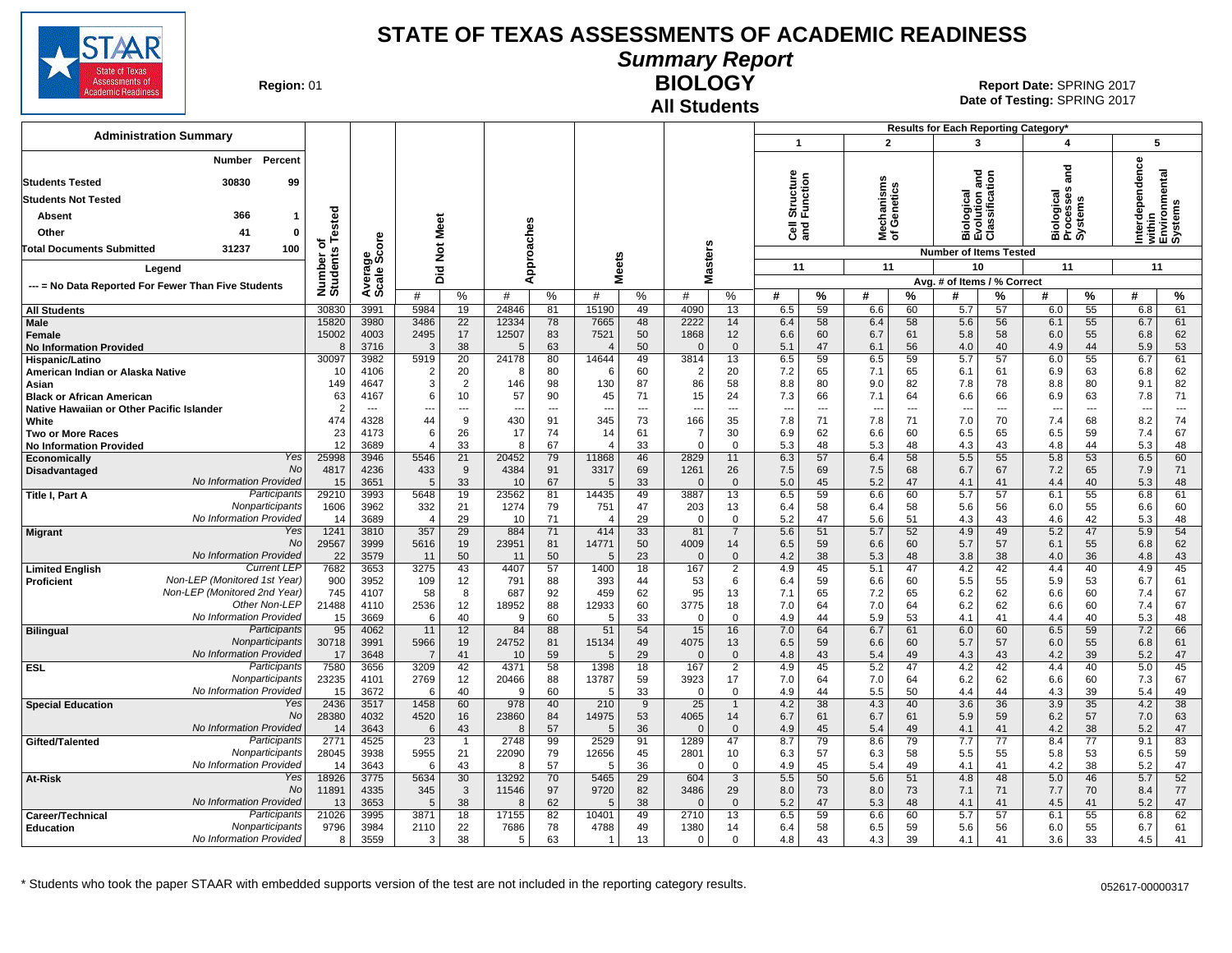

# **Summary Report**

**Region: 01** 

#### **All Students BIOLOGY**

|                                                                               |                       |                          |                        |                          |                |                          |                                |                       |                                |                     |                       |                          |                          |          | Results for Each Reporting Category*  |               |                                    |                          |                                                       |          |
|-------------------------------------------------------------------------------|-----------------------|--------------------------|------------------------|--------------------------|----------------|--------------------------|--------------------------------|-----------------------|--------------------------------|---------------------|-----------------------|--------------------------|--------------------------|----------|---------------------------------------|---------------|------------------------------------|--------------------------|-------------------------------------------------------|----------|
| <b>Administration Summary</b>                                                 |                       |                          |                        |                          |                |                          |                                |                       |                                |                     | $\mathbf{1}$          |                          | $\overline{2}$           |          | 3                                     |               | 4                                  |                          | 5                                                     |          |
| Percent<br>Number                                                             |                       |                          |                        |                          |                |                          |                                |                       |                                |                     |                       |                          |                          |          |                                       |               | and                                |                          | Interdependence<br>Within<br>Environmental<br>Systems |          |
| <b>Students Tested</b><br>30830<br>99                                         |                       |                          |                        |                          |                |                          |                                |                       |                                |                     | Structure<br>Function |                          | lechanisms<br>f Genetics |          | logical<br>Ilution and<br>ssification |               |                                    |                          |                                                       |          |
| <b>Students Not Tested</b>                                                    |                       |                          |                        |                          |                |                          |                                |                       |                                |                     |                       |                          |                          |          |                                       |               | siological<br>Processes<br>Systems |                          |                                                       |          |
| 366<br>Absent<br>-1                                                           | ested                 |                          |                        |                          |                |                          |                                |                       |                                |                     |                       |                          |                          |          |                                       |               |                                    |                          |                                                       |          |
| Other<br>41<br>$\mathbf{0}$                                                   |                       |                          | Meet                   |                          |                |                          |                                |                       |                                |                     | ੌੌe ਛੋ                |                          | হঁ ১                     |          | <u>ō</u><br>mάō                       | $\frac{1}{2}$ | 효효の                                |                          |                                                       |          |
| 31237<br>100<br><b>Total Documents Submitted</b>                              | ⊢<br>ъ                |                          | $\breve{\mathbf{z}}$   |                          |                |                          |                                |                       |                                |                     |                       |                          |                          |          | <b>Number of Items Tested</b>         |               |                                    |                          |                                                       |          |
| Legend                                                                        | Number of<br>Students |                          |                        |                          |                | Approaches               |                                | <b>Meets</b>          | <b>Masters</b>                 |                     | 11                    |                          | 11                       |          | 10                                    |               | 11                                 |                          | 11                                                    |          |
|                                                                               |                       |                          | Did                    |                          |                |                          |                                |                       |                                |                     |                       |                          |                          |          | Avg. # of Items / % Correct           |               |                                    |                          |                                                       |          |
| --- = No Data Reported For Fewer Than Five Students                           |                       | Average<br>Scale Score   | #                      | %                        | #              | %                        | #                              | $\%$                  | #                              | %                   | #                     | ℅                        | #                        | %        | #                                     | %             | #                                  | %                        | 쑈                                                     | %        |
| <b>All Students</b>                                                           | 30830                 | 3991                     | 5984                   | 19                       | 24846          | 81                       | 15190                          | 49                    | 4090                           | 13                  | 6.5                   | 59                       | 6.6                      | 60       | 5.7                                   | 57            | 6.0                                | 55                       | 6.8                                                   | 61       |
| Male                                                                          | 15820<br>15002        | 3980<br>4003             | 3486                   | 22<br>17                 | 12334          | 78<br>83                 | 7665<br>7521                   | 48<br>50              | 2222<br>1868                   | 14<br>12            | 6.4<br>6.6            | 58<br>60                 | 6.4<br>6.7               | 58<br>61 | 5.6                                   | 56<br>58      | 6.1<br>6.0                         | 55<br>55                 | 6.7<br>6.8                                            | 61<br>62 |
| Female<br><b>No Information Provided</b>                                      | 8                     | 3716                     | 2495<br>3              | 38                       | 12507<br>5     | 63                       | $\overline{4}$                 | 50                    | $\Omega$                       | $\mathbf{0}$        | 5.1                   | 47                       | 6.1                      | 56       | 5.8<br>4.0                            | 40            | 4.9                                | 44                       | 5.9                                                   | 53       |
| Hispanic/Latino                                                               | 30097                 | 3982                     | 5919                   | 20                       | 24178          | 80                       | 14644                          | 49                    | 3814                           | 13                  | 6.5                   | 59                       | 6.5                      | 59       | 5.7                                   | 57            | 6.0                                | 55                       | 6.7                                                   | 61       |
| American Indian or Alaska Native                                              | 10                    | 4106                     | $\overline{2}$         | 20                       | 8              | 80                       | 6                              | 60                    | $\overline{2}$                 | 20                  | 7.2                   | 65                       | 7.1                      | 65       | 6.1                                   | 61            | 6.9                                | 63                       | 6.8                                                   | 62       |
| Asian                                                                         | 149                   | 4647<br>4167             | 3<br>6                 | $\overline{2}$<br>10     | 146<br>57      | 98<br>90                 | 130                            | 87<br>71              | 86                             | 58<br>24            | 8.8                   | 80<br>66                 | 9.0                      | 82<br>64 | 7.8                                   | 78<br>66      | 8.8<br>6.9                         | 80<br>63                 | 9.1                                                   | 82<br>71 |
| <b>Black or African American</b><br>Native Hawaiian or Other Pacific Islander | 63<br>$\overline{2}$  | $\overline{\phantom{a}}$ | ---                    | $\overline{\phantom{a}}$ |                | $\overline{\phantom{a}}$ | 45<br>$\overline{\phantom{a}}$ | ---                   | 15<br>$\overline{\phantom{a}}$ | ---                 | 7.3<br>---            | $\overline{\phantom{a}}$ | 7.1<br>$\ddotsc$         | ---      | 6.6<br>$\overline{\phantom{a}}$       | ---           |                                    | $\overline{\phantom{a}}$ | 7.8<br>---                                            | $\cdots$ |
| White                                                                         | 474                   | 4328                     | 44                     | 9                        | 430            | 91                       | 345                            | 73                    | 166                            | 35                  | 7.8                   | 71                       | 7.8                      | 71       | 7.0                                   | 70            | 7.4                                | 68                       | 8.2                                                   | 74       |
| <b>Two or More Races</b>                                                      | 23                    | 4173                     | 6                      | 26                       | 17             | 74                       | 14                             | 61                    | 7                              | 30                  | 6.9                   | 62                       | 6.6                      | 60       | 6.5                                   | 65            | 6.5                                | 59                       | 7.4                                                   | 67       |
| <b>No Information Provided</b>                                                | 12                    | 3689                     | $\angle$               | 33                       | -8             | 67                       | $\overline{\bf{4}}$            | 33                    | $\Omega$                       | $\Omega$            | 5.3                   | 48                       | 5.3                      | 48       | 4.3                                   | 43            | 4.8                                | 44                       | 5.3                                                   | 48       |
| Yes<br><b>Economically</b><br>No<br>Disadvantaged                             | 25998<br>4817         | 3946<br>4236             | 5546<br>433            | 21<br>9                  | 20452<br>4384  | 79<br>91                 | 11868<br>3317                  | 46<br>69              | 2829<br>1261                   | 11<br>26            | 6.3<br>7.5            | 57<br>69                 | 6.4<br>7.5               | 58<br>68 | 5.5<br>6.7                            | 55<br>67      | 5.8<br>7.2                         | 53<br>65                 | 6.5<br>7.9                                            | 60<br>71 |
| No Information Provided                                                       | 15                    | 3651                     | $\overline{5}$         | 33                       | 10             | 67                       | .5                             | 33                    | $\Omega$                       | $\Omega$            | 5.0                   | 45                       | 5.2                      | 47       | 4.1                                   | 41            | 4.4                                | 40                       | 5.3                                                   | 48       |
| Participants<br><b>Title I, Part A</b>                                        | 29210                 | 3993                     | 5648                   | 19                       | 23562          | 81                       | 14435                          | 49                    | 3887                           | 13                  | 6.5                   | 59                       | 6.6                      | 60       | 5.7                                   | 57            | 6.1                                | 55                       | 6.8                                                   | 61       |
| Nonparticipants                                                               | 1606                  | 3962                     | 332                    | 21                       | 1274           | 79                       | 751                            | 47                    | 203                            | 13                  | 6.4                   | 58                       | 6.4                      | 58       | 5.6                                   | 56            | 6.0                                | 55                       | 6.6                                                   | 60       |
| No Information Provided<br>Yes<br><b>Migrant</b>                              | 14<br>1241            | 3689<br>3810             | $\overline{4}$<br>357  | 29<br>29                 | 10<br>884      | 71<br>71                 | $\overline{4}$<br>414          | 29<br>33              | $\Omega$<br>81                 | 0<br>$\overline{7}$ | 5.2<br>5.6            | 47<br>51                 | 5.6<br>5.7               | 51<br>52 | 4.3<br>4.9                            | 43<br>49      | 4.6<br>5.2                         | 42<br>47                 | 5.3<br>5.9                                            | 48<br>54 |
| No                                                                            | 29567                 | 3999                     | 5616                   | 19                       | 23951          | 81                       | 14771                          | 50                    | 4009                           | 14                  | 6.5                   | 59                       | 6.6                      | 60       | 5.7                                   | 57            | 6.1                                | 55                       | 6.8                                                   | 62       |
| No Information Provided                                                       | 22                    | 3579                     | 11                     | 50                       | 11             | 50                       | $\overline{5}$                 | 23                    | $\Omega$                       | $\Omega$            | 4.2                   | 38                       | 5.3                      | 48       | 3.8                                   | 38            | 4.0                                | 36                       | 4.8                                                   | 43       |
| <b>Current LEF</b><br><b>Limited English</b>                                  | 7682                  | 3653                     | 3275                   | 43                       | 4407           | 57                       | 1400                           | 18                    | 167                            | $\overline{2}$      | 4.9                   | 45                       | 5.1                      | 47       | 4.2                                   | 42            | 4.4                                | 40                       | 4.9                                                   | 45       |
| Non-LEP (Monitored 1st Year)<br>Proficient<br>Non-LEP (Monitored 2nd Year)    | 900<br>745            | 3952<br>4107             | 109<br>58              | 12<br>8                  | 791<br>687     | 88<br>92                 | 393<br>459                     | 44<br>62              | 53<br>95                       | 6<br>13             | 6.4<br>7.1            | 59<br>65                 | 6.6<br>7.2               | 60<br>65 | 5.5<br>6.2                            | 55<br>62      | 5.9<br>6.6                         | 53<br>60                 | 6.7<br>7.4                                            | 61<br>67 |
| Other Non-LEP                                                                 | 21488                 | 4110                     | 2536                   | 12                       | 18952          | 88                       | 12933                          | 60                    | 3775                           | 18                  | 7.0                   | 64                       | 7.0                      | 64       | 6.2                                   | 62            | 6.6                                | 60                       | 7.4                                                   | 67       |
| No Information Provided                                                       | 15                    | 3669                     | -6                     | 40                       | 9              | 60                       | 5                              | 33                    | $\Omega$                       | $\Omega$            | 4.9                   | 44                       | 5.9                      | 53       | 4.1                                   | 41            | 4.4                                | 40                       | 5.3                                                   | 48       |
| Participants<br><b>Bilingual</b>                                              | 95                    | 4062                     | 11                     | 12                       | 84             | 88                       | 51                             | 54                    | 15                             | 16                  | 7.0                   | 64                       | 6.7                      | 61       | 6.0                                   | 60            | 6.5                                | 59                       | 7.2                                                   | 66       |
| Nonparticipants<br>No Information Provided                                    | 30718<br>17           | 3991<br>3648             | 5966<br>$\overline{7}$ | 19<br>41                 | 24752<br>10    | 81<br>59                 | 15134<br>.5                    | 49<br>29              | 4075<br>$\Omega$               | 13<br>$\mathbf{0}$  | 6.5<br>4.8            | 59<br>43                 | 6.6<br>5.4               | 60<br>49 | 5.7<br>4.3                            | 57<br>43      | 6.0<br>4.2                         | 55<br>39                 | 6.8<br>5.2                                            | 61<br>47 |
| <b>ESL</b><br>Participants                                                    | 7580                  | 3656                     | 3209                   | 42                       | 4371           | 58                       | 1398                           | 18                    | 167                            | $\overline{2}$      | 4.9                   | 45                       | 5.2                      | 47       | 4.2                                   | 42            | 4.4                                | 40                       | 5.0                                                   | 45       |
| Nonparticipants                                                               | 23235                 | 4101                     | 2769                   | 12                       | 20466          | 88                       | 13787                          | 59                    | 3923                           | 17                  | 7.0                   | 64                       | 7.0                      | 64       | 6.2                                   | 62            | 6.6                                | 60                       | 7.3                                                   | 67       |
| No Information Provided                                                       | 15                    | 3672                     | 6                      | 40                       | 9              | 60                       | 5                              | 33                    | $\Omega$                       | $\mathbf 0$         | 4.9                   | 44                       | 5.5                      | 50       | 4.4                                   | 44            | 4.3                                | 39                       | 5.4                                                   | 49       |
| Yes<br><b>Special Education</b><br>No                                         | 2436<br>28380         | 3517<br>4032             | 1458<br>4520           | 60<br>16                 | 978<br>23860   | 40<br>84                 | 210<br>14975                   | 9<br>53               | 25<br>4065                     | $\mathbf{1}$<br>14  | 4.2<br>6.7            | 38<br>61                 | 4.3<br>6.7               | 40<br>61 | 3.6<br>5.9                            | 36<br>59      | 3.9<br>6.2                         | 35<br>57                 | 4.2<br>7.0                                            | 38<br>63 |
| No Information Provided                                                       | 14                    | 3643                     | 6                      | 43                       | -8             | 57                       | 5                              | 36                    | $\Omega$                       | $\mathbf{0}$        | 4.9                   | 45                       | 5.4                      | 49       | 4.1                                   | 41            | 4.2                                | 38                       | 5.2                                                   | 47       |
| Participants<br>Gifted/Talented                                               | 2771                  | 4525                     | 23                     | $\overline{1}$           | 2748           | 99                       | 2529                           | 91                    | 1289                           | 47                  | 8.7                   | 79                       | 8.6                      | 79       | 7.7                                   | 77            | 8.4                                | 77                       | 9.1                                                   | 83       |
| Nonparticipants                                                               | 28045                 | 3938                     | 5955                   | 21                       | 22090          | 79                       | 12656                          | 45                    | 2801                           | 10                  | 6.3                   | 57                       | 6.3                      | 58       | 5.5                                   | 55            | 5.8                                | 53                       | 6.5                                                   | 59       |
| No Information Provided<br>Yes                                                | 14                    | 3643                     | 6                      | 43                       | 8              | 57                       | -5                             | 36                    | $\sqrt{ }$                     | 0                   | 4.9                   | 45                       | 5.4                      | 49       | 4.1                                   | 41            | 4.2                                | 38                       | 5.2                                                   | 47       |
| At-Risk<br><b>No</b>                                                          | 18926<br>11891        | 3775<br>4335             | 5634<br>345            | 30<br>$\mathbf{3}$       | 13292<br>11546 | 70<br>97                 | 5465<br>9720                   | $\overline{29}$<br>82 | 604<br>3486                    | 3<br>29             | 5.5<br>8.0            | 50<br>73                 | 5.6<br>8.0               | 51<br>73 | 4.8<br>7.1                            | 48<br>71      | 5.0<br>7.7                         | 46<br>70                 | 5.7<br>8.4                                            | 52<br>77 |
| No Information Provided                                                       | 13                    | 3653                     | $\sqrt{5}$             | 38                       | -8             | 62                       | .5                             | 38                    | $\Omega$                       | $\Omega$            | 5.2                   | 47                       | 5.3                      | 48       | 4.1                                   | 41            | 4.5                                | 41                       | 5.2                                                   | 47       |
| Participants<br>Career/Technical                                              | 21026                 | 3995                     | 3871                   | 18                       | 17155          | 82                       | 10401                          | 49                    | 2710                           | 13                  | 6.5                   | 59                       | 6.6                      | 60       | 5.7                                   | 57            | 6.1                                | 55                       | 6.8                                                   | 62       |
| Nonparticipants<br><b>Education</b>                                           | 9796                  | 3984                     | 2110                   | 22                       | 7686           | 78                       | 4788                           | 49                    | 1380                           | 14                  | 6.4                   | 58                       | 6.5                      | 59       | 5.6                                   | 56            | 6.0                                | 55                       | 6.7                                                   | 61       |
| No Information Provided                                                       | 8                     | 3559                     | -3                     | 38                       | 5              | 63                       | -1                             | 13                    | $\Omega$                       | 0                   | 4.8                   | 43                       | 4.3                      | 39       | 4.1                                   | 41            | 3.6                                | 33                       | 4.5                                                   | 41       |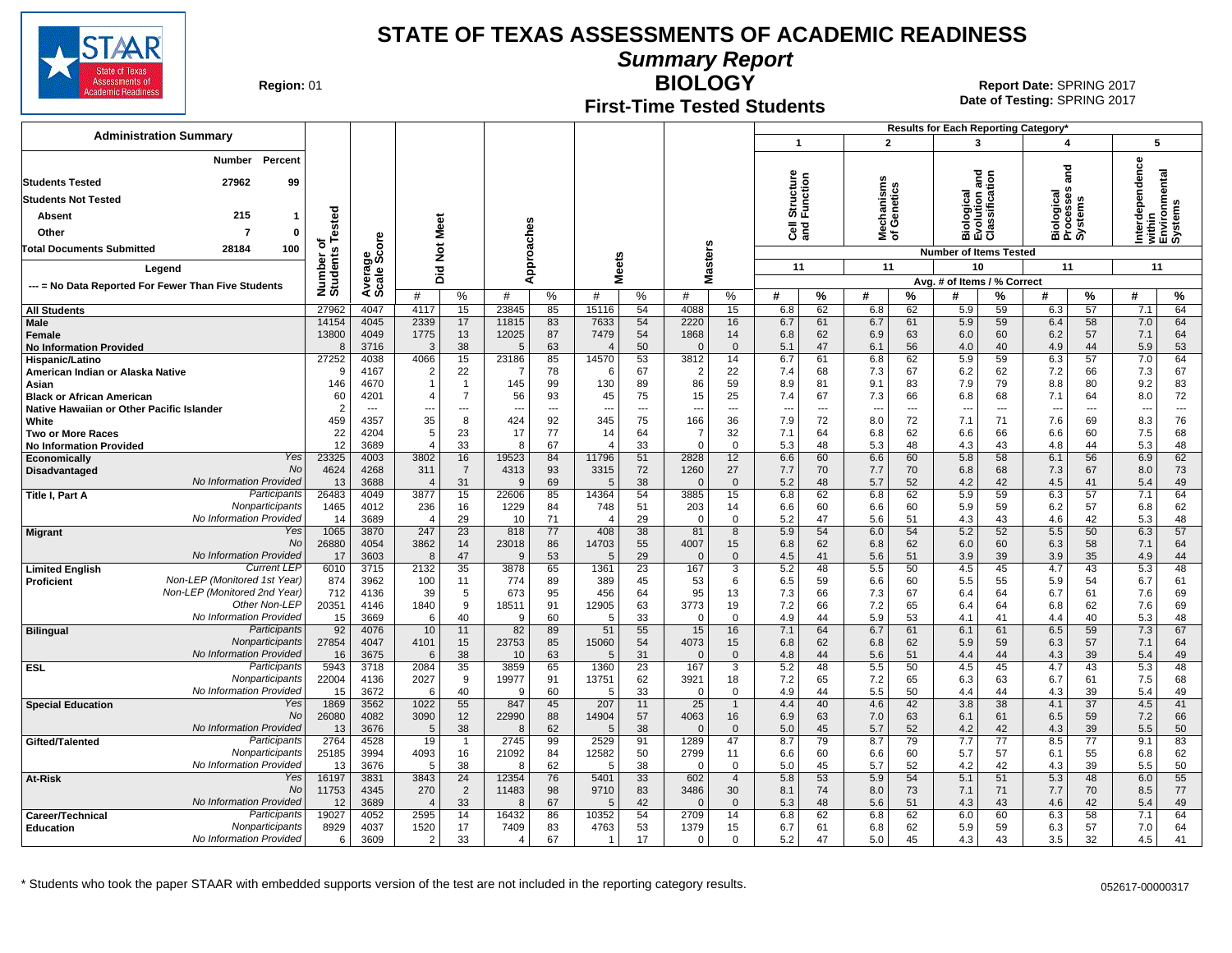

**Summary Report**

**Region: 01** 

#### **First-Time Tested Students**

**BIOLOGY** 01 **Report Date:** SPRING 2017 **Date of Testing:**  SPRING 2017

|                                                                               |                              |                        |                          |                                            |            |                      |                        |                      |                                 |                      |                       |                      |                                 |           | Results for Each Reporting Category*          |           |                                    |           |              |                                    |
|-------------------------------------------------------------------------------|------------------------------|------------------------|--------------------------|--------------------------------------------|------------|----------------------|------------------------|----------------------|---------------------------------|----------------------|-----------------------|----------------------|---------------------------------|-----------|-----------------------------------------------|-----------|------------------------------------|-----------|--------------|------------------------------------|
| <b>Administration Summary</b>                                                 |                              |                        |                          |                                            |            |                      |                        |                      |                                 |                      | $\mathbf{1}$          |                      | $\overline{2}$                  |           | 3                                             |           | 4                                  |           | 5            |                                    |
| Percent<br>Number                                                             |                              |                        |                          |                                            |            |                      |                        |                      |                                 |                      |                       |                      |                                 |           |                                               |           |                                    |           |              |                                    |
|                                                                               |                              |                        |                          |                                            |            |                      |                        |                      |                                 |                      |                       |                      |                                 |           | gue                                           |           | ក្ខ<br>ត                           |           | erdependence | within<br>Environmental<br>Systems |
| <b>Students Tested</b><br>27962<br>99                                         |                              |                        |                          |                                            |            |                      |                        |                      |                                 |                      | Structure<br>Function |                      | lechanisms<br>f Genetics        | ق≟        | Biological<br>Evolution and<br>Classification |           |                                    |           |              |                                    |
| <b>Students Not Tested</b>                                                    |                              |                        |                          |                                            |            |                      |                        |                      |                                 |                      |                       |                      |                                 |           |                                               |           |                                    |           |              |                                    |
| 215<br>Absent<br>1                                                            |                              |                        |                          |                                            |            |                      |                        |                      |                                 |                      |                       |                      |                                 |           |                                               |           |                                    |           |              |                                    |
| Other<br>7<br>0                                                               |                              |                        | <b>Meet</b>              |                                            |            |                      |                        |                      |                                 |                      | <b>Jes</b>            |                      | ౾ౕ                              |           |                                               |           | Biological<br>Processes<br>Systems |           |              |                                    |
| <b>Total Documents Submitted</b><br>28184<br>100                              |                              | å                      | $\rm \breve{\rm z}$      |                                            |            |                      |                        |                      |                                 |                      |                       |                      |                                 |           | <b>Number of Items Tested</b>                 |           |                                    |           |              |                                    |
| Legend                                                                        | Number of<br>Students Tested | Average<br>Scale Scc   |                          |                                            |            | Approaches           |                        | <b>Meets</b>         | asters                          |                      | 11                    |                      | 11                              |           | 10                                            |           | 11                                 |           | 11           |                                    |
| --- = No Data Reported For Fewer Than Five Students                           |                              |                        | Did                      |                                            |            |                      |                        |                      | Σ                               |                      |                       |                      |                                 |           | Avg. # of Items / % Correct                   |           |                                    |           |              |                                    |
|                                                                               |                              |                        | #                        | %                                          | #          | %                    | #                      | %                    | #                               | %                    | #                     | %                    | #                               | %         | #                                             | %         | #                                  | %         | #            | %                                  |
| <b>All Students</b>                                                           | 27962                        | 4047                   | 4117                     | 15                                         | 23845      | 85                   | 15116                  | 54                   | 4088                            | 15                   | 6.8                   | 62                   | 6.8                             | 62        | 5.9                                           | 59        | 6.3                                | 57        | 7.1          | 64                                 |
| Male                                                                          | 14154                        | 4045                   | 2339                     | 17                                         | 11815      | 83                   | 7633                   | 54                   | 2220                            | 16                   | 6.7                   | 61                   | 6.7                             | 61        | 5.9                                           | 59        | 6.4                                | 58        | 7.0          | 64                                 |
| Female<br><b>No Information Provided</b>                                      | 13800<br>8                   | 4049<br>3716           | 1775<br>3                | 13<br>38                                   | 12025<br>5 | 87<br>63             | 7479<br>$\overline{4}$ | 54<br>50             | 1868<br>$\Omega$                | 14<br>$\Omega$       | 6.8<br>5.1            | 62<br>47             | 6.9<br>6.1                      | 63<br>56  | 6.0<br>4.0                                    | 60<br>40  | 6.2<br>4.9                         | 57<br>44  | 7.1<br>5.9   | 64<br>53                           |
| Hispanic/Latino                                                               | 27252                        | 4038                   | 4066                     | 15                                         | 23186      | 85                   | 14570                  | 53                   | 3812                            | 14                   | 6.7                   | 61                   | 6.8                             | 62        | 5.9                                           | 59        | 6.3                                | 57        | 7.0          | 64                                 |
| American Indian or Alaska Native                                              | 9                            | 4167                   | $\overline{2}$           | 22                                         | -7         | 78                   | -6                     | 67                   | 2                               | 22                   | 7.4                   | 68                   | 7.3                             | 67        | 6.2                                           | 62        | 7.2                                | 66        | 7.3          | 67                                 |
| Asian                                                                         | 146                          | 4670                   |                          | $\mathbf{1}$                               | 145        | 99                   | 130                    | 89                   | 86                              | 59                   | 8.9                   | 81                   | 9.1                             | 83        | 7.9                                           | 79        | 8.8                                | 80        | 9.2          | 83                                 |
| <b>Black or African American</b><br>Native Hawaiian or Other Pacific Islander | 60<br>$\overline{2}$         | 4201<br>$\overline{a}$ |                          | $\overline{7}$<br>$\overline{\phantom{a}}$ | 56         | 93<br>$\overline{a}$ | 45<br>$\overline{a}$   | 75<br>$\overline{a}$ | 15                              | 25<br>$\overline{a}$ | 7.4                   | 67<br>$\overline{a}$ | 7.3<br>$\overline{\phantom{a}}$ | 66<br>--- | 6.8                                           | 68<br>--- | 7.1                                | 64<br>--- | 8.0          | 72<br>---                          |
| White                                                                         | 459                          | 4357                   | ---<br>35                | 8                                          | 424        | 92                   | 345                    | 75                   | $\overline{\phantom{a}}$<br>166 | 36                   | ---<br>7.9            | 72                   | 8.0                             | 72        | $\overline{\phantom{a}}$<br>7.1               | 71        | --<br>7.6                          | 69        | ---<br>8.3   | 76                                 |
| <b>Two or More Races</b>                                                      | 22                           | 4204                   | 5                        | 23                                         | 17         | 77                   | 14                     | 64                   | 7                               | 32                   | 7.1                   | 64                   | 6.8                             | 62        | 6.6                                           | 66        | 6.6                                | 60        | 7.5          | 68                                 |
| <b>No Information Provided</b>                                                | 12                           | 3689                   | $\overline{4}$           | 33                                         | 8          | 67                   | $\overline{4}$         | 33                   | $\Omega$                        | 0                    | 5.3                   | 48                   | 5.3                             | 48        | 4.3                                           | 43        | 4.8                                | 44        | 5.3          | 48                                 |
| Yes<br>Economically                                                           | 23325                        | 4003                   | 3802                     | 16                                         | 19523      | 84                   | 11796                  | 51                   | 2828                            | 12                   | 6.6                   | 60                   | 6.6                             | 60        | 5.8                                           | 58        | 6.1                                | 56        | 6.9          | 62                                 |
| No<br>Disadvantaged<br>No Information Provided                                | 4624                         | 4268<br>3688           | 311<br>$\overline{4}$    | $\overline{7}$                             | 4313<br>9  | 93<br>69             | 3315<br>.5             | 72<br>38             | 1260<br>$\Omega$                | 27<br>$\mathbf{0}$   | 7.7                   | 70<br>48             | 7.7                             | 70<br>52  | 6.8                                           | 68<br>42  | 7.3<br>4.5                         | 67<br>41  | 8.0          | 73                                 |
| Participants<br>Title I, Part A                                               | 13<br>26483                  | 4049                   | 3877                     | 31<br>15                                   | 22606      | 85                   | 14364                  | 54                   | 3885                            | 15                   | 5.2<br>6.8            | 62                   | 5.7<br>6.8                      | 62        | 4.2<br>5.9                                    | 59        | 6.3                                | 57        | 5.4<br>7.1   | 49<br>64                           |
| Nonparticipants                                                               | 1465                         | 4012                   | 236                      | 16                                         | 1229       | 84                   | 748                    | 51                   | 203                             | 14                   | 6.6                   | 60                   | 6.6                             | 60        | 5.9                                           | 59        | 6.2                                | 57        | 6.8          | 62                                 |
| No Information Provided                                                       | 14                           | 3689                   | $\overline{4}$           | 29                                         | 10         | 71                   | $\overline{4}$         | 29                   | $\Omega$                        | $\mathbf 0$          | 5.2                   | 47                   | 5.6                             | 51        | 4.3                                           | 43        | 4.6                                | 42        | 5.3          | 48                                 |
| Yes<br><b>Migrant</b><br>No                                                   | 1065                         | 3870                   | 247                      | 23                                         | 818        | 77                   | 408                    | 38                   | 81                              | 8                    | 5.9                   | 54                   | 6.0                             | 54        | 5.2                                           | 52        | 5.5                                | 50        | 6.3          | 57                                 |
| No Information Provided                                                       | 26880<br>17                  | 4054<br>3603           | 3862<br>8                | 14<br>47                                   | 23018<br>9 | 86<br>53             | 14703<br>.5            | 55<br>29             | 4007<br>$\Omega$                | 15<br>$\mathbf{0}$   | 6.8<br>4.5            | 62<br>41             | 6.8<br>5.6                      | 62<br>51  | 6.0<br>3.9                                    | 60<br>39  | 6.3<br>3.9                         | 58<br>35  | 7.1<br>4.9   | 64<br>44                           |
| <b>Current LEF</b><br><b>Limited English</b>                                  | 6010                         | 3715                   | 2132                     | $\overline{35}$                            | 3878       | 65                   | 1361                   | 23                   | 167                             | 3                    | 5.2                   | 48                   | 5.5                             | 50        | 4.5                                           | 45        | 4.7                                | 43        | 5.3          | 48                                 |
| Non-LEP (Monitored 1st Year)<br><b>Proficient</b>                             | 874                          | 3962                   | 100                      | 11                                         | 774        | 89                   | 389                    | 45                   | 53                              | 6                    | 6.5                   | 59                   | 6.6                             | 60        | 5.5                                           | 55        | 5.9                                | 54        | 6.7          | 61                                 |
| Non-LEP (Monitored 2nd Year)                                                  | 712                          | 4136                   | 39                       | 5                                          | 673        | 95                   | 456                    | 64                   | 95                              | 13                   | 7.3                   | 66                   | 7.3                             | 67        | 6.4                                           | 64        | 6.7                                | 61        | 7.6          | 69                                 |
| Other Non-LEP<br>No Information Provided                                      | 20351                        | 4146                   | 1840                     | 9                                          | 18511      | 91                   | 12905                  | 63                   | 3773                            | 19                   | 7.2                   | 66                   | 7.2                             | 65        | 6.4                                           | 64        | 6.8                                | 62        | 7.6          | 69                                 |
| Participants<br><b>Bilingual</b>                                              | 15<br>92                     | 3669<br>4076           | 6<br>10                  | 40<br>11                                   | 9<br>82    | 60<br>89             | -5<br>51               | 33<br>55             | $\Omega$<br>15                  | $\Omega$<br>16       | 4.9<br>7.1            | 44<br>64             | 5.9<br>6.7                      | 53<br>61  | 4.1<br>6.1                                    | 41<br>61  | 4.4<br>6.5                         | 40<br>59  | 5.3<br>7.3   | 48<br>67                           |
| Nonparticipants                                                               | 27854                        | 4047                   | 4101                     | 15                                         | 23753      | 85                   | 15060                  | 54                   | 4073                            | 15                   | 6.8                   | 62                   | 6.8                             | 62        | 5.9                                           | 59        | 6.3                                | 57        | 7.1          | 64                                 |
| No Information Provided                                                       | 16                           | 3675                   | 6                        | 38                                         | 10         | 63                   | .5                     | 31                   | $\Omega$                        | $\mathbf{0}$         | 4.8                   | 44                   | 5.6                             | 51        | 4.4                                           | 44        | 4.3                                | 39        | 5.4          | 49                                 |
| Participants<br><b>ESL</b>                                                    | 5943                         | 3718                   | 2084                     | 35                                         | 3859       | 65                   | 1360                   | 23                   | 167                             | 3                    | 5.2                   | 48                   | 5.5                             | 50        | 4.5                                           | 45        | 4.7                                | 43        | 5.3          | 48                                 |
| Nonparticipants<br>No Information Provided                                    | 22004<br>15                  | 4136<br>3672           | 2027                     | 9<br>40                                    | 19977<br>9 | 91<br>60             | 13751<br>.5            | 62<br>33             | 3921<br>$\Omega$                | 18<br>0              | 7.2<br>4.9            | 65<br>44             | 7.2<br>5.5                      | 65<br>50  | 6.3<br>4.4                                    | 63<br>44  | 6.7<br>4.3                         | 61<br>39  | 7.5<br>5.4   | 68<br>49                           |
| <b>Special Education</b><br>Yes                                               | 1869                         | 3562                   | 6<br>1022                | 55                                         | 847        | 45                   | 207                    | 11                   | 25                              | $\mathbf{1}$         | 4.4                   | 40                   | 4.6                             | 42        | 3.8                                           | 38        | 4.1                                | 37        | 4.5          | 41                                 |
| No                                                                            | 26080                        | 4082                   | 3090                     | 12                                         | 22990      | 88                   | 14904                  | 57                   | 4063                            | 16                   | 6.9                   | 63                   | 7.0                             | 63        | 6.1                                           | 61        | 6.5                                | 59        | 7.2          | 66                                 |
| No Information Provided                                                       | 13                           | 3676                   | 5                        | 38                                         | 8          | 62                   | .5                     | 38                   | $\Omega$                        | $\Omega$             | 5.0                   | 45                   | 5.7                             | 52        | 4.2                                           | 42        | 4.3                                | 39        | 5.5          | 50                                 |
| Participants<br>Gifted/Talented                                               | 2764                         | 4528                   | 19                       | $\overline{1}$                             | 2745       | 99                   | 2529                   | 91                   | 1289                            | 47                   | 8.7                   | 79                   | 8.7                             | 79        | 7.7                                           | 77        | 8.5                                | 77        | 9.1          | 83                                 |
| Nonparticipants<br>No Information Provided                                    | 25185<br>13                  | 3994<br>3676           | 4093<br>5                | 16<br>38                                   | 21092<br>8 | 84<br>62             | 12582<br>5             | 50<br>38             | 2799<br>$\Omega$                | 11<br>0              | 6.6<br>5.0            | 60<br>45             | 6.6<br>5.7                      | 60<br>52  | 5.7<br>4.2                                    | 57<br>42  | 6.1<br>4.3                         | 55<br>39  | 6.8<br>5.5   | 62<br>50                           |
| Yes<br>At-Risk                                                                | 16197                        | 3831                   | 3843                     | 24                                         | 12354      | 76                   | 5401                   | 33                   | 602                             | $\overline{4}$       | 5.8                   | 53                   | 5.9                             | 54        | 5.1                                           | 51        | 5.3                                | 48        | 6.0          | 55                                 |
| No                                                                            | 11753                        | 4345                   | 270                      | $\overline{2}$                             | 11483      | 98                   | 9710                   | 83                   | 3486                            | 30                   | 8.1                   | 74                   | 8.0                             | 73        | 7.1                                           | 71        | 7.7                                | 70        | 8.5          | 77                                 |
| No Information Provided                                                       | 12                           | 3689                   | $\overline{\mathcal{L}}$ | 33                                         | 8          | 67                   | .5                     | 42                   |                                 | $\Omega$             | 5.3                   | 48                   | 5.6                             | 51        | 4.3                                           | 43        | 4.6                                | 42        | 5.4          | 49                                 |
| Participants<br>Career/Technical                                              | 19027                        | 4052                   | 2595                     | 14                                         | 16432      | 86                   | 10352                  | 54                   | 2709                            | 14                   | 6.8                   | 62                   | 6.8                             | 62        | 6.0                                           | 60        | 6.3                                | 58        | 7.1          | 64                                 |
| Nonparticipants<br><b>Education</b><br>No Information Provided                | 8929<br>6                    | 4037<br>3609           | 1520<br>$\mathcal{P}$    | 17<br>33                                   | 7409<br>4  | 83<br>67             | 4763<br>$\overline{1}$ | 53<br>17             | 1379<br>$\Omega$                | 15<br>$\Omega$       | 6.7<br>5.2            | 61<br>47             | 6.8<br>5.0                      | 62<br>45  | 5.9<br>4.3                                    | 59<br>43  | 6.3<br>3.5                         | 57<br>32  | 7.0<br>4.5   | 64<br>41                           |
|                                                                               |                              |                        |                          |                                            |            |                      |                        |                      |                                 |                      |                       |                      |                                 |           |                                               |           |                                    |           |              |                                    |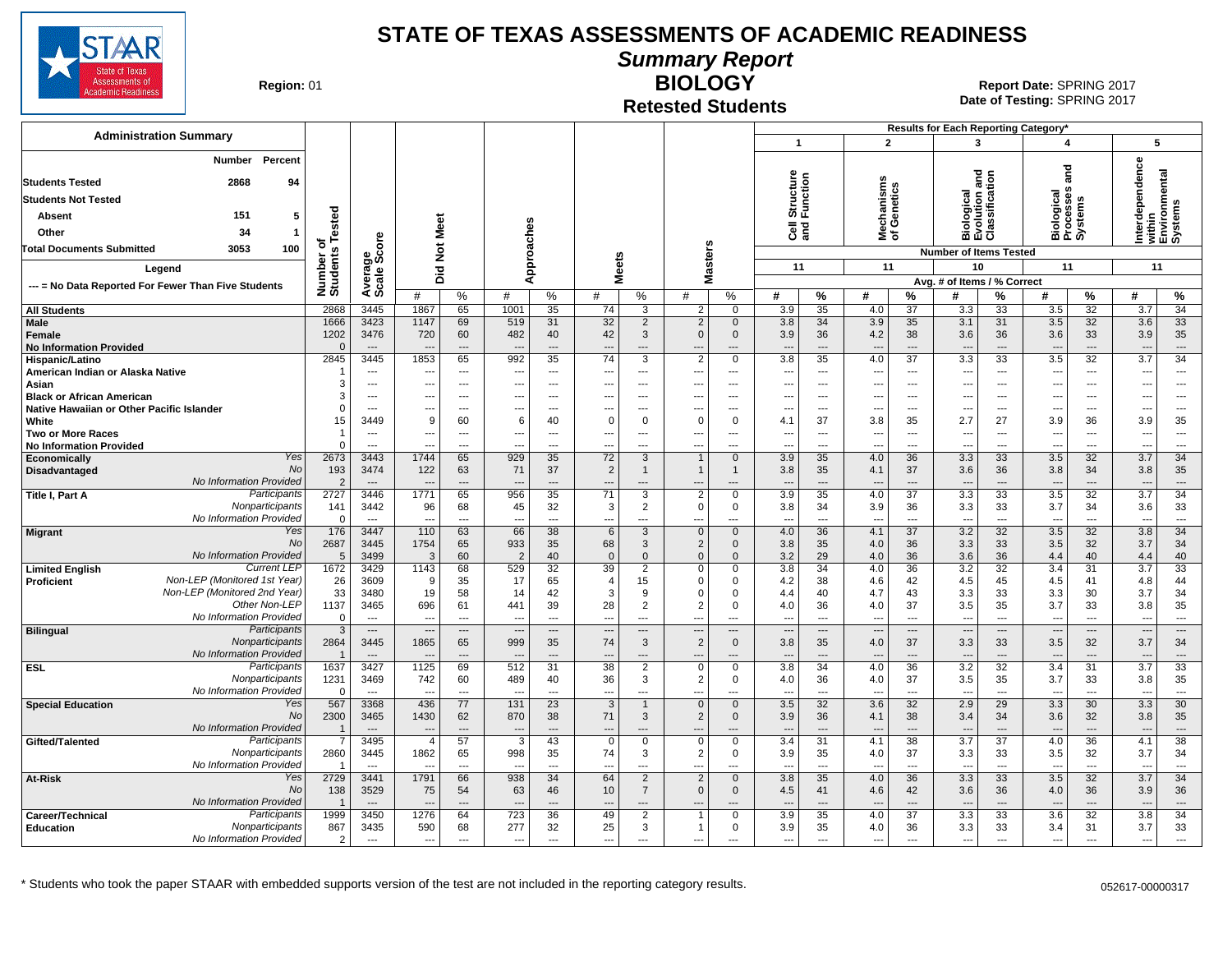

**Summary Report**

**Region: 01** 

#### **Retested Students BIOLOGY**

|                                                                               |                          |                                  |                                  |                            |                                 |                            |                                |                                            |                                            |                                     |                                 |                                  |                                        |                                             | Results for Each Reporting Category*        |                                             |                                              |                                  |                                                       |                                |
|-------------------------------------------------------------------------------|--------------------------|----------------------------------|----------------------------------|----------------------------|---------------------------------|----------------------------|--------------------------------|--------------------------------------------|--------------------------------------------|-------------------------------------|---------------------------------|----------------------------------|----------------------------------------|---------------------------------------------|---------------------------------------------|---------------------------------------------|----------------------------------------------|----------------------------------|-------------------------------------------------------|--------------------------------|
| <b>Administration Summary</b>                                                 |                          |                                  |                                  |                            |                                 |                            |                                |                                            |                                            |                                     | 1                               |                                  | $\overline{2}$                         |                                             | $\mathbf{3}$                                |                                             | 4                                            |                                  |                                                       | 5                              |
| Percent<br>Number                                                             |                          |                                  |                                  |                            |                                 |                            |                                |                                            |                                            |                                     |                                 |                                  |                                        |                                             |                                             |                                             |                                              |                                  | Interdependence<br>within<br>Environmental<br>Systems |                                |
| <b>Students Tested</b><br>2868<br>94                                          |                          |                                  |                                  |                            |                                 |                            |                                |                                            |                                            |                                     | Structure<br>Function           |                                  | lechanisms<br>f Genetics               |                                             | iological<br>volution and<br>:lassification |                                             | ត្ត                                          |                                  |                                                       |                                |
| <b>Students Not Tested</b>                                                    |                          |                                  |                                  |                            |                                 |                            |                                |                                            |                                            |                                     |                                 |                                  |                                        |                                             |                                             |                                             | iological<br>rocesses                        |                                  |                                                       |                                |
| 151<br>Absent<br>5                                                            |                          |                                  |                                  |                            |                                 |                            |                                |                                            |                                            |                                     |                                 |                                  |                                        |                                             |                                             |                                             |                                              | ystems                           |                                                       |                                |
| Other<br>34<br>-1                                                             | Tested                   |                                  | Meet                             |                            |                                 |                            |                                |                                            |                                            |                                     | මි දි                           |                                  | ᄛᅕ                                     |                                             |                                             |                                             |                                              |                                  |                                                       |                                |
| 3053<br>100<br>Total Documents Submitted                                      | ৳                        |                                  |                                  |                            |                                 |                            |                                |                                            |                                            |                                     |                                 |                                  |                                        |                                             | mάō                                         |                                             |                                              | mιά                              |                                                       |                                |
|                                                                               |                          |                                  | $\breve{\mathbf{z}}$             |                            |                                 | Approaches                 |                                |                                            |                                            | <b>Masters</b>                      |                                 |                                  |                                        |                                             | <b>Number of Items Tested</b><br>10         |                                             |                                              |                                  |                                                       |                                |
| Legend                                                                        |                          |                                  | 흐<br>ō                           |                            |                                 |                            | <b>Meets</b>                   |                                            |                                            |                                     | 11                              |                                  | 11                                     |                                             | Avg. # of Items / % Correct                 |                                             | 11                                           |                                  | 11                                                    |                                |
| --- = No Data Reported For Fewer Than Five Students                           | Number o<br>Students     | Average<br>Scale Score           | #                                | $\%$                       | #                               | %                          | #                              | %                                          | #                                          | $\%$                                | #                               | %                                | #                                      | %                                           | #                                           | %                                           | #                                            | %                                | #                                                     | %                              |
| <b>All Students</b>                                                           | 2868                     | 3445                             | 1867                             | 65                         | 1001                            | 35                         | 74                             | 3                                          | $\overline{2}$                             | $\Omega$                            | 3.9                             | 35                               | 4.0                                    | 37                                          | 3.3                                         | 33                                          | 3.5                                          | 32                               | 3.7                                                   | $\overline{34}$                |
| <b>Male</b><br>Female<br><b>No Information Provided</b>                       | 1666<br>1202<br>$\Omega$ | 3423<br>3476<br>$\sim$           | 1147<br>720                      | 69<br>60<br>$\overline{a}$ | 519<br>482                      | 31<br>40<br>$\overline{a}$ | 32<br>42<br>$---$              | 2<br>3<br>$\overline{\phantom{a}}$         | $\overline{2}$<br>$\Omega$                 | $\mathbf{0}$<br>$\mathbf{0}$<br>--- | 3.8<br>3.9<br>$\overline{a}$    | 34<br>36<br>---                  | 3.9<br>4.2<br>$\overline{\phantom{a}}$ | 35<br>38<br>$\sim$                          | 3.1<br>3.6<br>$\overline{\phantom{a}}$      | 31<br>36<br>$\overline{a}$                  | 3.5<br>3.6                                   | 32<br>33<br>$---$                | 3.6<br>3.9<br>$\overline{a}$                          | 33<br>35<br>$\cdots$           |
| Hispanic/Latino                                                               | 2845                     | 3445                             | 1853                             | 65                         | 992                             | 35                         | $\overline{74}$                | 3                                          | $\overline{2}$                             | $\mathbf 0$                         | 3.8                             | 35                               | 4.0                                    | $\overline{37}$                             | 3.3                                         | 33                                          | 3.5                                          | 32                               | 3.7                                                   | 34                             |
| American Indian or Alaska Native                                              |                          | $\overline{\phantom{a}}$         | --                               | ---                        | ---                             | $\overline{\phantom{a}}$   | ---                            | $---$                                      | $\overline{\phantom{a}}$                   | ---                                 | ---                             | $\overline{a}$                   | $\overline{\phantom{a}}$               | $\overline{\phantom{a}}$                    | $\overline{\phantom{a}}$                    | ---                                         | ---                                          | $\overline{a}$                   | ---                                                   | $\overline{\phantom{a}}$       |
| Asian                                                                         | 3<br>3                   | $---$<br>$---$                   | ---<br>---                       | $\sim$<br>$\sim$           | ---<br>$---$                    | $---$<br>$---$             | $---$<br>$---$                 | $---$<br>$---$                             | $\overline{\phantom{a}}$<br>---            | $---$<br>$---$                      | ---<br>$---$                    | $\overline{a}$<br>$\overline{a}$ | ---<br>---                             | $\sim$<br>$\sim$                            | $\sim$<br>$\sim$                            | $---$<br>$---$                              | $---$<br>$---$                               | $\overline{a}$<br>$\overline{a}$ | ---<br>---                                            | $\sim$<br>$\sim$               |
| <b>Black or African American</b><br>Native Hawaiian or Other Pacific Islander | $\Omega$                 | $---$                            | $\overline{\phantom{a}}$         | $\overline{a}$             |                                 | $- - -$                    | ---                            | $\overline{a}$                             | $\overline{\phantom{a}}$                   | $\overline{a}$                      | ---                             | $\overline{a}$                   | ---                                    | $\sim$                                      | $\overline{\phantom{a}}$                    | $\overline{a}$                              | $\overline{\phantom{a}}$                     | $\overline{a}$                   | ---                                                   | $\overline{\phantom{a}}$       |
| White                                                                         | 15                       | 3449                             | 9                                | 60                         | 6                               | 40                         | $\Omega$                       | $\mathbf 0$                                | $\Omega$                                   | 0                                   | 4.1                             | 37                               | 3.8                                    | 35                                          | 2.7                                         | 27                                          | 3.9                                          | 36                               | 3.9                                                   | 35                             |
| <b>Two or More Races</b>                                                      | -1                       | $\overline{\phantom{a}}$         | $\overline{\phantom{a}}$         | $---$                      |                                 | ---                        | ---                            | ---                                        | $\overline{\phantom{a}}$                   | ---                                 | ---                             | ---                              | $\overline{\phantom{a}}$               | $\overline{\phantom{a}}$                    | $\overline{\phantom{a}}$                    | ---                                         | $\qquad \qquad \cdots$                       | ---                              | ---                                                   | $---$                          |
| <b>No Information Provided</b>                                                | $\Omega$                 | $-$                              |                                  | ---                        |                                 | $\sim$                     | ---                            | $\sim$                                     | $\overline{\phantom{a}}$                   | ---                                 | ---                             | $\sim$                           | ÷.,                                    | $\overline{a}$                              | $\overline{\phantom{a}}$                    | $\sim$                                      |                                              | $\overline{a}$                   | ---                                                   | $\overline{a}$                 |
| Yes<br>Economically<br><b>No</b><br><b>Disadvantaged</b>                      | 2673<br>193              | 3443<br>3474                     | 1744<br>122                      | 65<br>63                   | 929<br>71                       | 35<br>37                   | 72<br>$\overline{2}$           | 3                                          | $\mathbf{1}$<br>$\mathbf{1}$               | $\mathbf{0}$<br>1                   | 3.9<br>3.8                      | 35<br>35                         | 4.0<br>4.1                             | 36<br>37                                    | 3.3<br>3.6                                  | 33<br>36                                    | 3.5<br>3.8                                   | 32<br>34                         | 3.7<br>3.8                                            | 34<br>35                       |
| No Information Provided                                                       | $\overline{2}$           | $\overline{\phantom{a}}$         | $\overline{\phantom{a}}$         | ---                        |                                 | $\overline{a}$             | ---                            | $\overline{\phantom{a}}$                   |                                            | ---                                 | ---                             | ---                              | $\overline{\phantom{a}}$               | $\overline{\phantom{a}}$                    | $\overline{\phantom{a}}$                    | ---                                         | $\overline{\phantom{a}}$                     | ---                              | $\overline{\phantom{a}}$                              | $\hspace{0.05cm} \ldots$       |
| Participants<br>Title I, Part A                                               | 2727                     | 3446                             | 1771                             | 65                         | 956                             | 35                         | 71                             | 3                                          | $\overline{2}$                             | 0                                   | 3.9                             | 35                               | 4.0                                    | $\overline{37}$                             | $\overline{3.3}$                            | 33                                          | 3.5                                          | $\overline{32}$                  | 3.7                                                   | $\overline{34}$                |
| Nonparticipants                                                               | 141                      | 3442                             | 96                               | 68                         | 45                              | 32                         | 3                              | 2                                          | $\Omega$                                   | 0                                   | 3.8                             | 34                               | 3.9                                    | 36                                          | 3.3                                         | 33                                          | 3.7                                          | 34                               | 3.6                                                   | 33                             |
| No Information Provided<br>Yes                                                | $\Omega$<br>176          | $\overline{a}$<br>3447           | $\overline{\phantom{a}}$<br>110  | $\overline{a}$<br>63       | ---<br>66                       | $\overline{a}$<br>38       | ---<br>6                       | $\overline{a}$<br>3                        | $- -$<br>$\mathbf{0}$                      | ---<br>$\mathbf{0}$                 | $\overline{a}$<br>4.0           | ---<br>36                        | $\overline{\phantom{a}}$<br>4.1        | $\sim$<br>37                                | $\overline{\phantom{a}}$<br>3.2             | $\overline{a}$<br>32                        | $\sim$<br>3.5                                | $\overline{a}$<br>32             | $\overline{\phantom{a}}$<br>3.8                       | $\hspace{0.05cm} \ldots$<br>34 |
| <b>Migrant</b><br>No                                                          | 2687                     | 3445                             | 1754                             | 65                         | 933                             | 35                         | 68                             | 3                                          | $\overline{2}$                             | $\mathbf 0$                         | 3.8                             | 35                               | 4.0                                    | 36                                          | 3.3                                         | 33                                          | 3.5                                          | 32                               | 3.7                                                   | 34                             |
| No Information Provided                                                       | 5                        | 3499                             | $\mathbf{3}$                     | 60                         | $\overline{2}$                  | 40                         | $\overline{0}$                 | $\mathbf{0}$                               | $\Omega$                                   | $\mathbf{0}$                        | 3.2                             | 29                               | 4.0                                    | 36                                          | 3.6                                         | 36                                          | 4.4                                          | 40                               | 4.4                                                   | 40                             |
| <b>Current LEP</b><br><b>Limited English</b>                                  | 1672                     | 3429                             | 1143                             | 68                         | 529                             | 32                         | 39                             | $\overline{2}$                             | $\Omega$                                   | 0                                   | 3.8                             | 34                               | 4.0                                    | 36                                          | 3.2                                         | 32                                          | 3.4                                          | 31                               | 3.7                                                   | 33                             |
| Non-LEP (Monitored 1st Year)<br>Proficient<br>Non-LEP (Monitored 2nd Year)    | 26<br>33                 | 3609<br>3480                     | 9<br>19                          | 35<br>58                   | 17<br>14                        | 65<br>42                   | $\overline{4}$<br>3            | 15<br>9                                    | $\Omega$<br>$\Omega$                       | 0<br>0                              | 4.2<br>4.4                      | 38<br>40                         | 4.6<br>4.7                             | 42<br>43                                    | 4.5<br>3.3                                  | 45<br>33                                    | 4.5<br>3.3                                   | 41<br>30                         | 4.8<br>3.7                                            | 44<br>34                       |
| Other Non-LEP                                                                 | 1137                     | 3465                             | 696                              | 61                         | 441                             | 39                         | 28                             | 2                                          | $\overline{2}$                             | $\mathbf 0$                         | 4.0                             | 36                               | 4.0                                    | 37                                          | 3.5                                         | 35                                          | 3.7                                          | 33                               | 3.8                                                   | 35                             |
| No Information Provided                                                       | $\mathbf 0$              | $\overline{a}$                   | $\overline{a}$                   | $\sim$                     | $\sim$                          | $\overline{a}$             | $\overline{a}$                 | $\sim$                                     | $\overline{\phantom{a}}$                   | ---                                 | ---                             | $\overline{a}$                   | $\overline{\phantom{a}}$               | $\overline{\phantom{a}}$                    | $\overline{a}$                              | $\overline{\phantom{a}}$                    | $\sim$                                       | $\overline{a}$                   | ---                                                   | $\sim$ $\sim$                  |
| <b>Bilingual</b><br>Participants                                              | 3                        | $\hspace{0.05cm} \ldots$         | $\overline{\phantom{a}}$         | $\hspace{0.05cm} \ldots$   | $\overline{\phantom{a}}$        | $\cdots$                   | $\overline{\phantom{a}}$       | $\overline{\phantom{a}}$                   | $\overline{\phantom{a}}$                   | $\qquad \qquad \cdots$              | $\cdots$                        | $\cdots$                         | $\overline{\phantom{a}}$               | $\hspace{0.05cm} \cdots$                    | $\hspace{0.05cm} \ldots$                    | $\hspace{0.05cm} \ldots$                    | $\overline{\phantom{a}}$                     | $\cdots$                         | $\overline{\phantom{a}}$                              | $\hspace{0.05cm} \ldots$       |
| Nonparticipants<br>No Information Provided                                    | 2864                     | 3445                             | 1865                             | 65                         | 999                             | 35                         | 74                             | 3                                          | $\overline{2}$                             | $\mathbf 0$                         | 3.8                             | 35                               | 4.0                                    | 37                                          | 3.3                                         | 33                                          | 3.5                                          | 32                               | 3.7                                                   | 34                             |
| Participants<br><b>ESL</b>                                                    | 1637                     | $---$<br>3427                    | $\overline{\phantom{a}}$<br>1125 | 69                         | 512                             | ---<br>31                  | $\overline{\phantom{a}}$<br>38 | $\overline{\phantom{a}}$<br>$\overline{2}$ | $\mathbf 0$                                | ---<br>$\mathbf 0$                  | $\overline{a}$<br>3.8           | ---<br>34                        | $\overline{\phantom{a}}$<br>4.0        | $\overline{\phantom{a}}$<br>$\overline{36}$ | $\overline{\phantom{a}}$<br>3.2             | $\overline{\phantom{a}}$<br>$\overline{32}$ | $\overline{\phantom{a}}$<br>$\overline{3.4}$ | ---<br>31                        | ---<br>3.7                                            | $\cdots$<br>$\overline{33}$    |
| Nonparticipants                                                               | 1231                     | 3469                             | 742                              | 60                         | 489                             | 40                         | 36                             | 3                                          | $\overline{2}$                             | 0                                   | 4.0                             | 36                               | 4.0                                    | 37                                          | 3.5                                         | 35                                          | 3.7                                          | 33                               | 3.8                                                   | 35                             |
| No Information Provided                                                       | $\mathbf 0$              | $\overline{\phantom{a}}$         | $\overline{\phantom{a}}$         | ---                        | $\overline{\phantom{a}}$        | ---                        | $\overline{\phantom{a}}$       | ---                                        |                                            | ---                                 | ---                             | $\overline{a}$                   | $\overline{\phantom{a}}$               | $\overline{\phantom{a}}$                    | $\overline{\phantom{a}}$                    | ---                                         | $\overline{\phantom{a}}$                     | ---                              | ---                                                   | $\hspace{0.05cm} \cdots$       |
| Yes<br><b>Special Education</b>                                               | 567                      | 3368                             | 436                              | 77                         | $131$                           | $\overline{23}$            | 3                              | $\overline{1}$                             | $\mathbf{0}$                               | $\mathbf{0}$                        | 3.5                             | 32                               | 3.6                                    | 32                                          | 2.9                                         | 29                                          | 3.3                                          | 30                               | 3.3                                                   | 30                             |
| No<br>No Information Provided                                                 | 2300                     | 3465<br>$\overline{\phantom{a}}$ | 1430<br>$\overline{\phantom{a}}$ | 62<br>---                  | 870<br>$\overline{\phantom{a}}$ | 38<br>$\overline{a}$       | 71<br>$\overline{\phantom{a}}$ | 3<br>$---$                                 | $\overline{2}$<br>$\overline{\phantom{a}}$ | $\mathbf 0$<br>---                  | 3.9<br>$\overline{\phantom{a}}$ | 36<br>---                        | 4.1<br>$\overline{\phantom{a}}$        | 38<br>$---$                                 | 3.4<br>$\overline{\phantom{a}}$             | 34<br>$\overline{a}$                        | 3.6<br>$\overline{\phantom{a}}$              | 32<br>$---$                      | 3.8<br>$\overline{\phantom{a}}$                       | 35<br>$\overline{\phantom{a}}$ |
| Participants<br>Gifted/Talented                                               | $\overline{7}$           | 3495                             | $\overline{4}$                   | 57                         | 3                               | 43                         | $\Omega$                       | $\Omega$                                   | $\Omega$                                   | 0                                   | 3.4                             | 31                               | 4.1                                    | 38                                          | 3.7                                         | 37                                          | 4.0                                          | 36                               | 4.1                                                   | 38                             |
| Nonparticipants                                                               | 2860                     | 3445                             | 1862                             | 65                         | 998                             | 35                         | 74                             | 3                                          | $\overline{2}$                             | 0                                   | 3.9                             | 35                               | 4.0                                    | 37                                          | 3.3                                         | 33                                          | 3.5                                          | 32                               | 3.7                                                   | 34                             |
| No Information Provided                                                       | $\overline{1}$           | $\overline{a}$                   | $\sim$                           | $\overline{a}$             | $\overline{a}$                  | $\overline{a}$             | $\overline{a}$                 | $---$                                      | ---                                        | ---                                 | $\overline{a}$                  | $\overline{a}$                   | $\overline{\phantom{a}}$               | $\sim$                                      | $\overline{\phantom{a}}$                    | $\overline{a}$                              | $\overline{a}$                               | $\overline{a}$                   | $\overline{a}$                                        | $\sim$                         |
| Yes<br>At-Risk<br><b>No</b>                                                   | 2729                     | 3441                             | 1791                             | 66                         | 938                             | 34                         | 64                             | $\overline{2}$                             | $\overline{2}$<br>$\Omega$                 | $\mathbf{0}$                        | 3.8                             | 35                               | 4.0                                    | 36                                          | $\overline{3.3}$                            | 33                                          | 3.5                                          | 32                               | $\overline{3.7}$                                      | 34                             |
| No Information Provided                                                       | 138<br>$\overline{1}$    | 3529<br>$---$                    | 75<br>$\overline{a}$             | 54<br>$\overline{a}$       | 63<br>$\overline{a}$            | 46<br>$\overline{a}$       | 10<br>$\overline{a}$           | $\overline{7}$<br>$---$                    | $\overline{a}$                             | $\mathbf 0$<br>---                  | 4.5<br>$\overline{a}$           | 41<br>---                        | 4.6<br>---                             | 42<br>$---$                                 | 3.6<br>$\overline{\phantom{a}}$             | 36<br>$\overline{a}$                        | 4.0<br>$\overline{a}$                        | 36<br>$\overline{a}$             | 3.9<br>$\overline{a}$                                 | 36<br>$---$                    |
| Participants<br>Career/Technical                                              | 1999                     | 3450                             | 1276                             | 64                         | 723                             | 36                         | 49                             | $\overline{2}$                             | $\overline{1}$                             | $\mathbf 0$                         | 3.9                             | 35                               | 4.0                                    | 37                                          | 3.3                                         | 33                                          | 3.6                                          | 32                               | 3.8                                                   | 34                             |
| Nonparticipants<br><b>Education</b>                                           | 867                      | 3435                             | 590                              | 68                         | 277                             | 32                         | 25                             | 3                                          | $\overline{1}$                             | 0                                   | 3.9                             | 35                               | 4.0                                    | 36                                          | 3.3                                         | 33                                          | 3.4                                          | 31                               | 3.7                                                   | 33                             |
| No Information Provided                                                       | $\mathcal{P}$            | $---$                            | $\overline{\phantom{a}}$         | $\overline{\phantom{a}}$   | $\overline{a}$                  | $\sim$                     | $\overline{\phantom{a}}$       | $\overline{\phantom{a}}$                   | ---                                        | $\sim$                              | $\overline{\phantom{a}}$        | $\overline{a}$                   | ---                                    | $\overline{a}$                              | $\overline{a}$                              | $\overline{a}$                              | $\overline{\phantom{a}}$                     | $\overline{a}$                   | ---                                                   | $\sim$                         |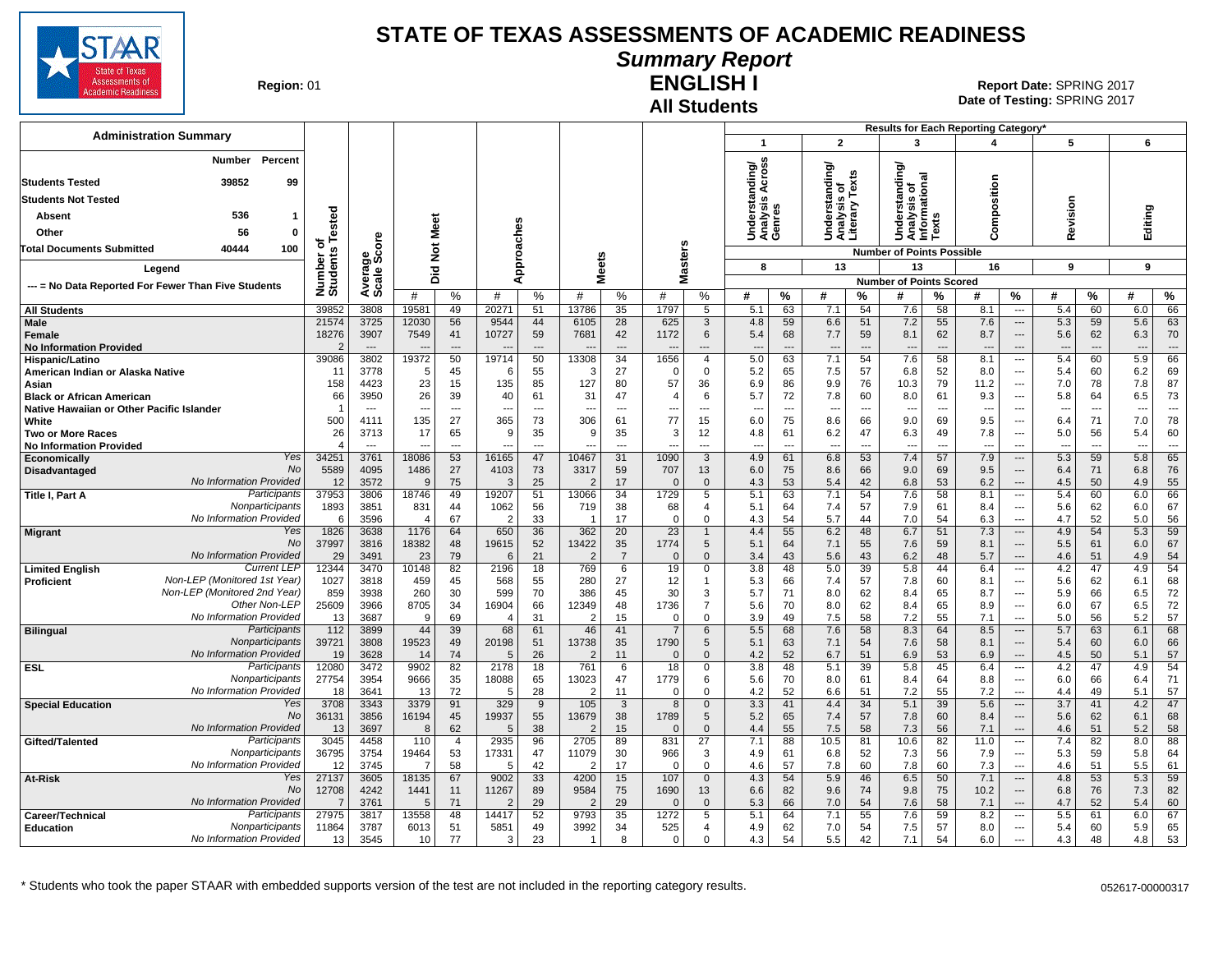

# **Summary Report**

**Region: 01** 

#### **All Students ENGLISH I**

**Date of Testing:**  SPRING 2017 01 **Report Date:** SPRING 2017

|                                                                                   |                      |                                  |                        |                      |                      |                       |                |                                |                       |                               |                                 |                                |                                    |                      |                                        |                                | Results for Each Reporting Category' |                                                      |                                 |                                |            |                                |
|-----------------------------------------------------------------------------------|----------------------|----------------------------------|------------------------|----------------------|----------------------|-----------------------|----------------|--------------------------------|-----------------------|-------------------------------|---------------------------------|--------------------------------|------------------------------------|----------------------|----------------------------------------|--------------------------------|--------------------------------------|------------------------------------------------------|---------------------------------|--------------------------------|------------|--------------------------------|
| <b>Administration Summary</b>                                                     |                      |                                  |                        |                      |                      |                       |                |                                |                       |                               | $\overline{\mathbf{1}}$         |                                | $\overline{2}$                     |                      | 3                                      |                                | 4                                    |                                                      | 5                               |                                | 6          |                                |
| Percent<br><b>Number</b>                                                          |                      |                                  |                        |                      |                      |                       |                |                                |                       |                               | nding/<br>Across                |                                | ding/                              |                      | lding                                  |                                |                                      |                                                      |                                 |                                |            |                                |
| 39852<br><b>Students Tested</b><br>99                                             |                      |                                  |                        |                      |                      |                       |                |                                |                       |                               |                                 |                                |                                    | Texts                |                                        | <b>onal</b>                    |                                      |                                                      |                                 |                                |            |                                |
| <b>Students Not Tested</b>                                                        |                      |                                  |                        |                      |                      |                       |                |                                |                       |                               | ऴ<br>S                          |                                | erstan                             |                      | Ĕ<br>Jndersta<br>\nalysis<br>nformatio |                                |                                      |                                                      |                                 |                                |            |                                |
| 536<br>Absent                                                                     | ested                |                                  |                        |                      |                      |                       |                |                                |                       |                               |                                 |                                |                                    |                      |                                        | S                              |                                      |                                                      |                                 |                                |            |                                |
| 56<br>Other<br>0                                                                  |                      |                                  | Meet                   |                      |                      |                       |                |                                |                       |                               | Underst<br>Analysis<br>Genres   |                                | Understa<br>Analysis<br>Literary T |                      | ∍                                      | ă                              | Composition                          |                                                      | Revision                        |                                | Editing    |                                |
| 40444<br>100<br><b>Total Documents Submitted</b>                                  | ठ                    | ge<br>Score                      | $\frac{5}{2}$          |                      |                      | pproaches             |                |                                |                       |                               |                                 |                                |                                    |                      | <b>Number of Points Possible</b>       |                                |                                      |                                                      |                                 |                                |            |                                |
| Legend                                                                            | Number o<br>Students |                                  | 흐                      |                      |                      |                       | leets          |                                |                       | asters                        | 8                               |                                | 13                                 |                      | 13                                     |                                | 16                                   |                                                      | 9                               |                                | 9          |                                |
| --- = No Data Reported For Fewer Than Five Students                               |                      | Avera<br>Scale                   | ۵                      |                      |                      | ∢                     | Σ              |                                |                       | ż                             |                                 |                                |                                    |                      | <b>Number of Points Scored</b>         |                                |                                      |                                                      |                                 |                                |            |                                |
|                                                                                   |                      |                                  | #                      | %                    | #                    | %                     | #              | %                              | #                     | %                             | #                               | $\frac{9}{6}$                  | #                                  | %                    | #                                      | %                              | #                                    | %                                                    | #                               | %                              | #          | %                              |
| <b>All Students</b>                                                               | 3985                 | 3808                             | 19581                  | 49                   | 20271                | 51                    | 13786          | 35                             | 1797                  | 5                             | 5.1                             | 63                             | 7.1                                | 54                   | 7.6                                    | 58                             | 8.1                                  | $\overline{\phantom{a}}$                             | 5.4                             | 60                             | 6.0        | 66                             |
| Male                                                                              | 21574                | 3725                             | 12030                  | 56                   | 9544                 | 44                    | 6105           | 28                             | 625                   | 3                             | 4.8                             | 59                             | 6.6                                | 51                   | 7.2                                    | 55                             | 7.6                                  | $\hspace{0.05cm} \ldots$                             | 5.3                             | 59                             | 5.6        | 63                             |
| <b>Female</b><br><b>No Information Provided</b>                                   | 18276                | 3907<br>$\overline{\phantom{a}}$ | 7549                   | 41<br>$\overline{a}$ | 10727                | 59<br>$\overline{a}$  | 7681           | 42<br>$\overline{\phantom{a}}$ | 1172                  | $\,6\,$<br>---                | 5.4                             | 68<br>$\overline{\phantom{a}}$ | 7.7<br>$\overline{\phantom{a}}$    | 59<br>$\overline{a}$ | 8.1<br>$\overline{\phantom{a}}$        | 62<br>$\overline{\phantom{a}}$ | 8.7                                  | $\hspace{0.05cm} \ldots$<br>---                      | 5.6<br>$\overline{\phantom{a}}$ | 62<br>$\overline{\phantom{a}}$ | 6.3<br>--- | 70<br>$\overline{\phantom{a}}$ |
| Hispanic/Latino                                                                   | 39086                | 3802                             | 19372                  | 50                   | 19714                | 50                    | 13308          | 34                             | 1656                  | $\overline{4}$                | 5.0                             | 63                             | 7.1                                | 54                   | 7.6                                    | 58                             | 8.1                                  | $\hspace{0.05cm} \ldots$                             | 5.4                             | 60                             | 5.9        | 66                             |
| American Indian or Alaska Native                                                  | -11                  | 3778                             | -5                     | 45                   | -6                   | 55                    | 3              | 27                             | -0                    | $\mathbf{0}$                  | 5.2                             | 65                             | 7.5                                | 57                   | 6.8                                    | 52                             | 8.0                                  | $\overline{\phantom{a}}$                             | 5.4                             | 60                             | 6.2        | 69                             |
| Asian                                                                             | 158                  | 4423                             | 23                     | 15                   | 135                  | 85                    | 127            | 80                             | 57                    | 36                            | 6.9                             | 86                             | 9.9                                | 76                   | 10.3                                   | 79                             | 11.2                                 | $\overline{\phantom{a}}$                             | 7.0                             | 78                             | 7.8        | 87                             |
| <b>Black or African American</b><br>Native Hawaiian or Other Pacific Islander     | 66<br>-1             | 3950<br>$- - -$                  | 26<br>--               | 39<br>---            | 40<br>$\overline{a}$ | 61<br>$---$           | 31             | 47<br>$\sim$                   | $\overline{4}$<br>--- | 6<br>$\overline{\phantom{a}}$ | 5.7<br>$\overline{\phantom{a}}$ | 72<br>$\overline{\phantom{a}}$ | 7.8<br>$\overline{\phantom{a}}$    | 60<br>$---$          | 8.0                                    | 61<br>$\sim$                   | 9.3                                  | $\overline{\phantom{a}}$<br>$\overline{\phantom{a}}$ | 5.8<br>--                       | 64<br>$\overline{a}$           | 6.5        | 73<br>$\overline{a}$           |
| White                                                                             | 500                  | 4111                             | 135                    | 27                   | 365                  | 73                    | 306            | 61                             | 77                    | 15                            | 6.0                             | 75                             | 8.6                                | 66                   | 9.0                                    | 69                             | 9.5                                  | $\overline{\phantom{a}}$                             | 6.4                             | 71                             | 7.0        | 78                             |
| Two or More Races                                                                 | 26                   | 3713                             | 17                     | 65                   | 9                    | 35                    | 9              | 35                             | 3                     | 12                            | 4.8                             | 61                             | 6.2                                | 47                   | 6.3                                    | 49                             | 7.8                                  | $\overline{\phantom{a}}$                             | 5.0                             | 56                             | 5.4        | 60                             |
| <b>No Information Provided</b>                                                    |                      | $\overline{\phantom{a}}$         | $\overline{a}$         | $\overline{a}$       | $---$                | $\overline{a}$        | $\overline{a}$ | $\overline{a}$                 | $\overline{a}$        | $\overline{a}$                | $\overline{a}$                  | $\sim$                         | $\overline{\phantom{a}}$           | $\overline{a}$       | $\overline{\phantom{a}}$               | $\overline{a}$                 | $---$                                | $\sim$                                               | $\overline{a}$                  | $\overline{a}$                 | ---        | $\sim$                         |
| Yes<br>Economically<br><b>No</b><br><b>Disadvantaged</b>                          | 34251<br>5589        | 3761<br>4095                     | 18086<br>1486          | 53<br>27             | 16165<br>4103        | 47<br>73              | 10467<br>3317  | 31<br>59                       | 1090<br>707           | $\overline{3}$<br>13          | 4.9<br>6.0                      | 61<br>75                       | 6.8<br>8.6                         | 53<br>66             | 7.4<br>9.0                             | 57<br>69                       | 7.9<br>9.5                           | $\cdots$<br>$---$                                    | 5.3<br>6.4                      | 59<br>71                       | 5.8<br>6.8 | 65<br>76                       |
| No Information Provided                                                           | 12                   | 3572                             | 9                      | 75                   | 3                    | 25                    | $\overline{2}$ | 17                             | $\mathsf{C}$          | $\overline{0}$                | 4.3                             | 53                             | 5.4                                | 42                   | 6.8                                    | 53                             | 6.2                                  | $---$                                                | 4.5                             | 50                             | 4.9        | 55                             |
| Participants<br><b>Title I, Part A</b>                                            | 37953                | 3806                             | 18746                  | 49                   | 19207                | 51                    | 13066          | 34                             | 1729                  | 5                             | 5.1                             | 63                             | 7.1                                | 54                   | 7.6                                    | 58                             | 8.1                                  | $\overline{\phantom{a}}$                             | 5.4                             | 60                             | 6.0        | 66                             |
| Nonparticipants                                                                   | 1893                 | 3851                             | 831                    | 44                   | 1062                 | 56                    | 719            | 38                             | 68                    | $\overline{4}$                | 5.1                             | 64                             | 7.4                                | 57                   | 7.9                                    | 61                             | 8.4                                  | $\hspace{0.05cm} \ldots$                             | 5.6                             | 62                             | 6.0        | 67                             |
| No Information Provided<br>Yes                                                    | -6<br>1826           | 3596<br>3638                     | $\overline{4}$<br>1176 | 67<br>64             | 2<br>650             | 33<br>36              | 362            | 17<br>20                       | $\Omega$<br>23        | $\mathbf 0$<br>$\mathbf{1}$   | 4.3<br>4.4                      | 54<br>55                       | 5.7<br>6.2                         | 44<br>48             | 7.0<br>6.7                             | 54<br>51                       | 6.3<br>7.3                           | $\hspace{0.05cm} \ldots$<br>$\hspace{0.05cm} \ldots$ | 4.7<br>4.9                      | 52<br>54                       | 5.0<br>5.3 | 56<br>59                       |
| <b>Migrant</b><br>No                                                              | 37997                | 3816                             | 18382                  | 48                   | 19615                | 52                    | 13422          | 35                             | 1774                  | 5                             | 5.1                             | 64                             | 7.1                                | 55                   | 7.6                                    | 59                             | 8.1                                  | $\cdots$                                             | 5.5                             | 61                             | 6.0        | 67                             |
| No Information Provided                                                           | 29                   | 3491                             | 23                     | 79                   | 6                    | 21                    | $\overline{2}$ | $\overline{7}$                 | $\Omega$              | $\mathbf{0}$                  | 3.4                             | 43                             | 5.6                                | 43                   | 6.2                                    | 48                             | 5.7                                  | $\cdots$                                             | 4.6                             | 51                             | 4.9        | 54                             |
| <b>Current LEP</b><br><b>Limited English</b>                                      | 12344                | 3470                             | 10148                  | 82                   | 2196                 | 18                    | 769            | 6                              | 19                    | 0                             | 3.8                             | 48                             | 5.0                                | 39                   | 5.8                                    | 44                             | 6.4                                  | $\hspace{0.05cm} \ldots$                             | 4.2                             | 47                             | 4.9        | 54                             |
| Non-LEP (Monitored 1st Year)<br><b>Proficient</b><br>Non-LEP (Monitored 2nd Year) | 1027<br>859          | 3818<br>3938                     | 459<br>260             | 45<br>30             | 568<br>599           | 55<br>70              | 280<br>386     | 27<br>45                       | 12<br>30              | -1<br>3                       | 5.3<br>5.7                      | 66<br>71                       | 7.4<br>8.0                         | 57<br>62             | 7.8<br>8.4                             | 60<br>65                       | 8.1<br>8.7                           | ---<br>$\hspace{0.05cm} \ldots$                      | 5.6<br>5.9                      | 62<br>66                       | 6.1<br>6.5 | 68<br>72                       |
| Other Non-LEP                                                                     | 25609                | 3966                             | 8705                   | 34                   | 16904                | 66                    | 12349          | 48                             | 1736                  | $\overline{7}$                | 5.6                             | 70                             | 8.0                                | 62                   | 8.4                                    | 65                             | 8.9                                  | $\hspace{0.05cm} \ldots$                             | 6.0                             | 67                             | 6.5        | 72                             |
| No Information Provided                                                           | 13                   | 3687                             | 9                      | 69                   |                      | 31                    | $\overline{2}$ | 15                             | $\Omega$              | $\Omega$                      | 3.9                             | 49                             | 7.5                                | 58                   | 7.2                                    | 55                             | 7.1                                  | $\overline{\phantom{a}}$                             | 5.0                             | 56                             | 5.2        | 57                             |
| Participants<br><b>Bilingual</b>                                                  | 112                  | 3899                             | 44                     | 39                   | 68                   | 61                    | 46             | 41                             | $\overline{7}$        | 6                             | 5.5                             | 68                             | 7.6                                | 58                   | 8.3                                    | 64                             | 8.5                                  | $\overline{\phantom{a}}$                             | 5.7                             | 63                             | 6.1        | 68                             |
| Nonparticipants<br>No Information Provided                                        | 39721<br>19          | 3808<br>3628                     | 19523<br>14            | 49<br>74             | 20198<br>5           | 51<br>26              | 13738<br>2     | 35<br>11                       | 1790<br>$\Omega$      | 5<br>$\mathbf{0}$             | 5.1<br>4.2                      | 63<br>52                       | 7.1<br>6.7                         | 54<br>51             | 7.6<br>6.9                             | 58<br>53                       | 8.1<br>6.9                           | $---$<br>$---$                                       | 5.4<br>4.5                      | 60<br>50                       | 6.0<br>5.1 | 66<br>57                       |
| Participants<br><b>ESL</b>                                                        | 12080                | 3472                             | 9902                   | 82                   | 2178                 | 18                    | 761            | 6                              | 18                    | 0                             | 3.8                             | 48                             | 5.1                                | 39                   | 5.8                                    | 45                             | 6.4                                  | $\hspace{0.05cm} \ldots$                             | 4.2                             | 47                             | 4.9        | 54                             |
| Nonparticipants                                                                   | 27754                | 3954                             | 9666                   | 35                   | 18088                | 65                    | 13023          | 47                             | 1779                  | 6                             | 5.6                             | 70                             | 8.0                                | 61                   | 8.4                                    | 64                             | 8.8                                  | $\overline{\phantom{a}}$                             | 6.0                             | 66                             | 6.4        | 71                             |
| No Information Provided                                                           | 18                   | 3641                             | 13                     | 72                   | 5                    | 28                    | $\overline{2}$ | 11                             | $\overline{0}$        | $\mathbf 0$                   | 4.2                             | 52                             | 6.6                                | 51                   | 7.2                                    | 55                             | 7.2                                  | $\overline{\phantom{a}}$                             | 4.4                             | 49                             | 5.1        | 57                             |
| Yes<br><b>Special Education</b><br>No                                             | 3708                 | 3343                             | 3379                   | 91                   | 329                  | 9                     | 105            | 3                              | 8                     | $\mathbf 0$                   | 3.3                             | 41                             | 4.4                                | 34                   | 5.1                                    | 39                             | 5.6                                  | $\cdots$                                             | 3.7                             | 41                             | 4.2        | 47                             |
| No Information Provided                                                           | 36131<br>13          | 3856<br>3697                     | 16194<br>8             | 45<br>62             | 19937<br>5           | 55<br>38              | 13679<br>2     | 38<br>15                       | 1789<br>$\Omega$      | 5<br>$\mathbf{0}$             | 5.2<br>4.4                      | 65<br>55                       | 7.4<br>7.5                         | 57<br>58             | 7.8<br>7.3                             | 60<br>56                       | 8.4<br>7.1                           | $\overline{\phantom{a}}$<br>$\cdots$                 | 5.6<br>4.6                      | 62<br>51                       | 6.1<br>5.2 | 68<br>58                       |
| Participants<br>Gifted/Talented                                                   | 3045                 | 4458                             | 110                    | $\overline{4}$       | 2935                 | 96                    | 2705           | 89                             | 831                   | 27                            | 7.1                             | 88                             | 10.5                               | 81                   | 10.6                                   | 82                             | 11.0                                 | $\hspace{0.05cm} \ldots$                             | 7.4                             | 82                             | 8.0        | 88                             |
| Nonparticipants                                                                   | 36795                | 3754                             | 19464                  | 53                   | 17331                | 47                    | 11079          | 30                             | 966                   | 3                             | 4.9                             | 61                             | 6.8                                | 52                   | 7.3                                    | 56                             | 7.9                                  | ---                                                  | 5.3                             | 59                             | 5.8        | 64                             |
| No Information Provided                                                           | 12                   | 3745                             | $\overline{7}$         | 58                   | .5                   | 42                    | $\overline{2}$ | 17                             | $\Omega$              | $\mathbf 0$                   | 4.6                             | 57                             | 7.8                                | 60                   | 7.8                                    | 60                             | 7.3                                  | ---                                                  | 4.6                             | 51                             | 5.5        | 61                             |
| Yes<br>At-Risk<br>No                                                              | 27137<br>12708       | 3605<br>4242                     | 18135<br>1441          | 67<br>11             | 9002<br>11267        | $\overline{33}$<br>89 | 4200<br>9584   | 15<br>75                       | 107<br>1690           | $\overline{0}$<br>13          | 4.3<br>6.6                      | 54<br>82                       | 5.9<br>9.6                         | 46<br>74             | 6.5<br>9.8                             | 50<br>75                       | 7.1<br>10.2                          | $\hspace{0.05cm} \ldots$<br>$\overline{\phantom{a}}$ | 4.8<br>6.8                      | 53<br>76                       | 5.3<br>7.3 | 59<br>82                       |
| No Information Provided                                                           |                      | 3761                             | -5                     | 71                   | -2                   | 29                    | $\overline{2}$ | 29                             | $\mathcal{C}$         | $\mathbf 0$                   | 5.3                             | 66                             | 7.0                                | 54                   | 7.6                                    | 58                             | 7.1                                  | $\overline{a}$                                       | 4.7                             | 52                             | 5.4        | 60                             |
| Participants<br>Career/Technical                                                  | 27975                | 3817                             | 13558                  | 48                   | 14417                | 52                    | 9793           | 35                             | 1272                  | 5                             | 5.1                             | 64                             | 7.1                                | 55                   | 7.6                                    | 59                             | 8.2                                  | $\overline{\phantom{a}}$                             | 5.5                             | 61                             | 6.0        | 67                             |
| Nonparticipants<br><b>Education</b>                                               | 11864                | 3787                             | 6013                   | 51                   | 5851                 | 49                    | 3992           | 34                             | 525                   | $\overline{4}$                | 4.9                             | 62                             | 7.0                                | 54                   | 7.5                                    | 57                             | 8.0                                  | $\sim$                                               | 5.4                             | 60                             | 5.9        | 65                             |
| No Information Provided                                                           | 13                   | 3545                             | 10                     | 77                   | 3                    | 23                    | $\mathbf 1$    | 8                              | $\Omega$              | $\Omega$                      | 4.3                             | 54                             | 5.5                                | 42                   | 7.1                                    | 54                             | 6.0                                  | $\overline{\phantom{a}}$                             | 4.3                             | 48                             | 4.8        | 53                             |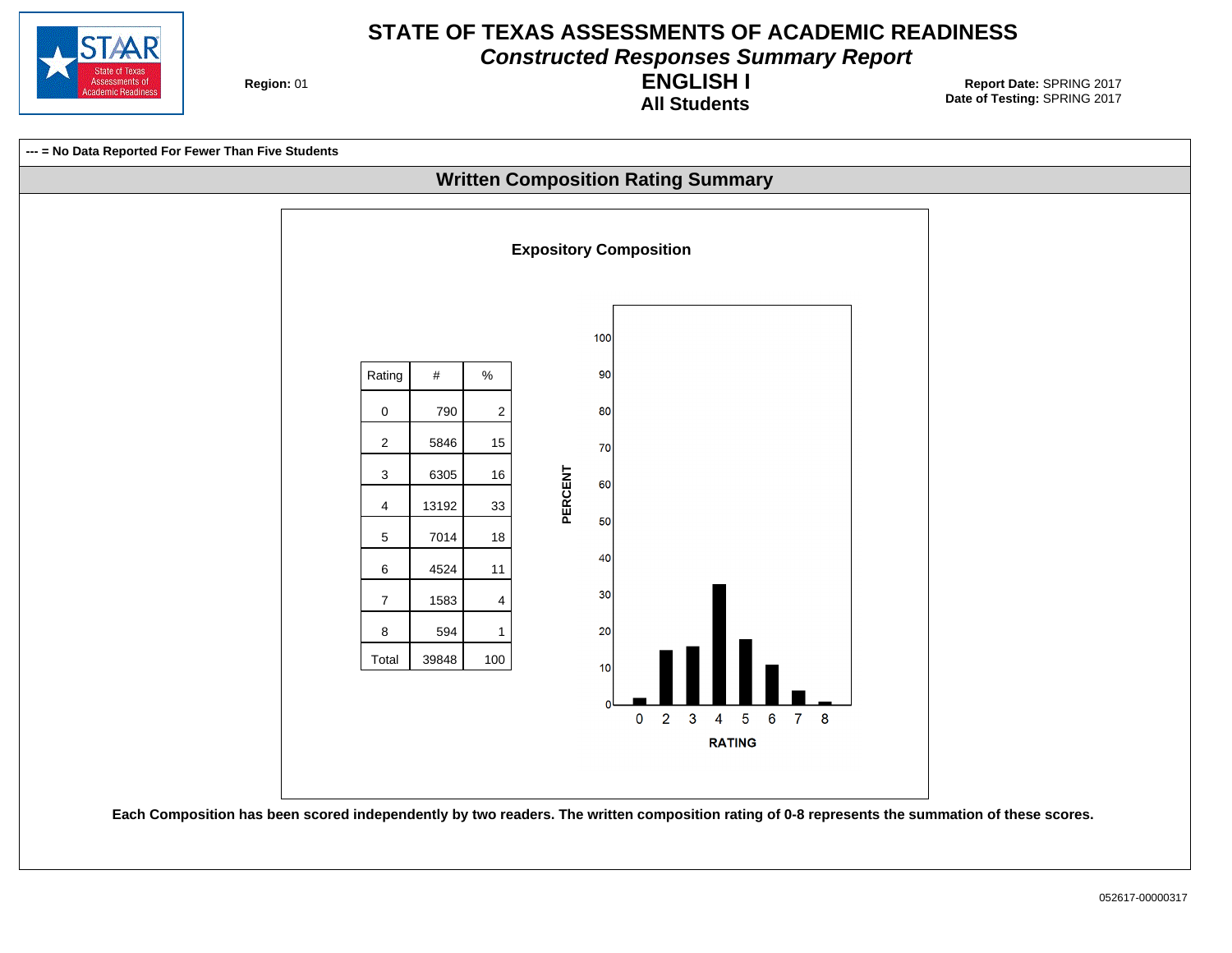

**Constructed Responses Summary Report**

**Region: 01** 

**All Students ENGLISH I**

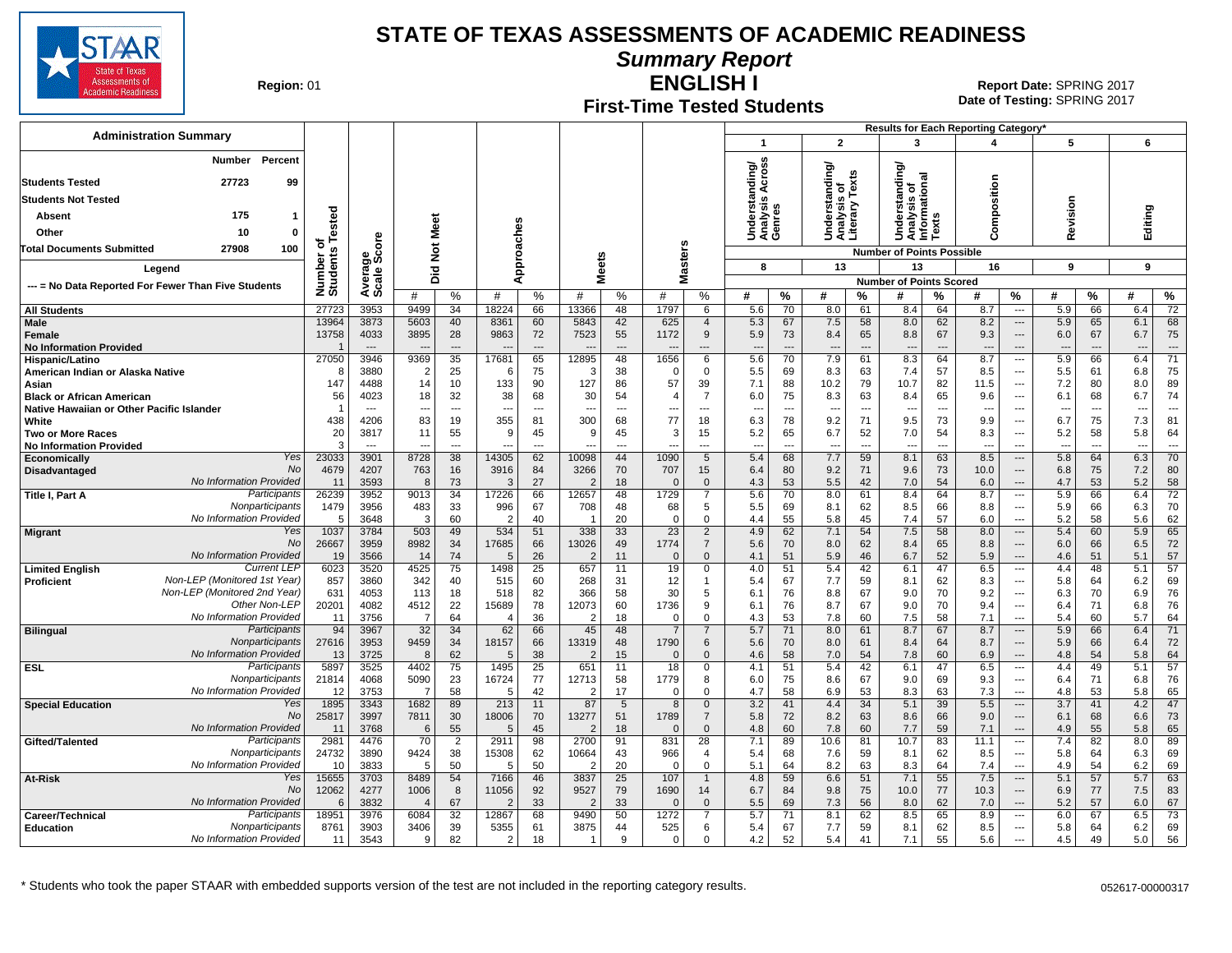

**Summary Report**

**Region: 01** 

#### **First-Time Tested Students ENGLISH I**

**Date of Testing:**  SPRING 2017 01 **Report Date:** SPRING 2017

|                                                             |                      |                                  |                                  |                      |                        |                      |                         |                      |                                  |                                  |                                     |                      |                                                 |                                |                                                |                                | <b>Results for Each Reporting Category</b> |                                                      |                                 |                                |                                 |                      |
|-------------------------------------------------------------|----------------------|----------------------------------|----------------------------------|----------------------|------------------------|----------------------|-------------------------|----------------------|----------------------------------|----------------------------------|-------------------------------------|----------------------|-------------------------------------------------|--------------------------------|------------------------------------------------|--------------------------------|--------------------------------------------|------------------------------------------------------|---------------------------------|--------------------------------|---------------------------------|----------------------|
| <b>Administration Summary</b>                               |                      |                                  |                                  |                      |                        |                      |                         |                      |                                  |                                  | $\overline{\mathbf{1}}$             |                      | $\overline{2}$                                  |                                | 3                                              |                                | 4                                          |                                                      | 5                               |                                | 6                               |                      |
| Percent<br><b>Number</b>                                    |                      |                                  |                                  |                      |                        |                      |                         |                      |                                  |                                  | nding/<br>Across                    |                      | Understanding/<br>Analysis of<br>Literary Texts |                                | টা                                             |                                |                                            |                                                      |                                 |                                |                                 |                      |
| <b>Students Tested</b><br>27723<br>99                       |                      |                                  |                                  |                      |                        |                      |                         |                      |                                  |                                  |                                     |                      |                                                 |                                | 등<br>ö                                         | ᢎ                              | sition                                     |                                                      |                                 |                                |                                 |                      |
| <b>Students Not Tested</b>                                  |                      |                                  |                                  |                      |                        |                      |                         |                      |                                  |                                  |                                     |                      |                                                 |                                | ā                                              |                                |                                            |                                                      |                                 |                                |                                 |                      |
| 175<br>Absent                                               | ested                |                                  |                                  |                      |                        |                      |                         |                      |                                  |                                  | Understand<br>Analysis Ar<br>Genres |                      |                                                 |                                | Understar<br>Analysis o<br>Informatic<br>Texts |                                | 8                                          |                                                      | evision                         |                                | Editing                         |                      |
| Other<br>10<br>0                                            |                      |                                  | Meet                             |                      |                        |                      |                         |                      |                                  |                                  |                                     |                      |                                                 |                                |                                                |                                | Ξ<br>ō                                     |                                                      |                                 |                                |                                 |                      |
| 100<br>Total Documents Submitted<br>27908                   | ৳                    | ge<br>Score                      |                                  |                      |                        |                      |                         |                      |                                  |                                  |                                     |                      |                                                 |                                |                                                |                                | Ō                                          |                                                      | œ                               |                                |                                 |                      |
|                                                             |                      |                                  | $\frac{5}{2}$                    |                      |                        | Approaches           |                         | eets                 | asters                           |                                  | 8                                   |                      | 13                                              |                                | <b>Number of Points Possible</b><br>13         |                                | 16                                         |                                                      | 9                               |                                | 9                               |                      |
| Legend                                                      |                      |                                  | Did                              |                      |                        |                      | ż                       |                      | Σ                                |                                  |                                     |                      |                                                 |                                | <b>Number of Points Scored</b>                 |                                |                                            |                                                      |                                 |                                |                                 |                      |
| --- = No Data Reported For Fewer Than Five Students         | Number o<br>Students | Avera<br>Scale                   | #                                | %                    | #                      | %                    | #                       | $\frac{0}{0}$        | #                                | %                                | #                                   | %                    | #                                               | %                              | #                                              | %                              | #                                          | $\%$                                                 | #                               | %                              | #                               | %                    |
| <b>All Students</b>                                         | 27723                | 3953                             | 9499                             | 34                   | 18224                  | 66                   | 13366                   | 48                   | 1797                             | 6                                | 5.6                                 | 70                   | 8.0                                             | 61                             | 8.4                                            | 64                             | 8.7                                        | ---                                                  | 5.9                             | 66                             | 6.4                             | 72                   |
| <b>Male</b>                                                 | 13964                | 3873                             | 5603                             | 40                   | 8361                   | 60                   | 5843                    | 42                   | 625                              | $\overline{4}$                   | 5.3                                 | 67                   | 7.5                                             | 58                             | 8.0                                            | 62                             | 8.2                                        | $\overline{\phantom{a}}$                             | 5.9                             | 65                             | 6.1                             | 68                   |
| Female<br><b>No Information Provided</b>                    | 13758                | 4033<br>$\overline{\phantom{a}}$ | 3895<br>$\overline{\phantom{a}}$ | 28<br>$\overline{a}$ | 9863<br>$\overline{a}$ | 72<br>$---$          | 7523                    | 55<br>$\overline{a}$ | 1172<br>$\overline{\phantom{a}}$ | 9<br>$---$                       | 5.9<br>$\overline{a}$               | 73<br>$\overline{a}$ | 8.4<br>$\overline{\phantom{a}}$                 | 65<br>$\overline{a}$           | 8.8<br>$\overline{a}$                          | 67<br>$\overline{\phantom{a}}$ | 9.3<br>$---$                               | $\overline{\phantom{a}}$<br>$---$                    | 6.0<br>$\overline{\phantom{a}}$ | 67<br>$\overline{\phantom{a}}$ | 6.7<br>$\overline{a}$           | 75<br>$---$          |
| Hispanic/Latino                                             | 27050                | 3946                             | 9369                             | 35                   | 17681                  | 65                   | 12895                   | 48                   | 1656                             | 6                                | 5.6                                 | 70                   | 7.9                                             | 61                             | 8.3                                            | 64                             | 8.7                                        | $\overline{\phantom{a}}$                             | 5.9                             | 66                             | 6.4                             | 71                   |
| American Indian or Alaska Native                            | -8                   | 3880                             | $\overline{2}$                   | 25                   | -6                     | 75                   | 3                       | 38                   | $\Omega$                         | $\Omega$                         | 5.5                                 | 69                   | 8.3                                             | 63                             | 7.4                                            | 57                             | 8.5                                        | $\overline{\phantom{a}}$                             | 5.5                             | 61                             | 6.8                             | 75                   |
| Asian                                                       | 147                  | 4488                             | 14                               | 10                   | 133                    | 90                   | 127                     | 86                   | 57                               | 39                               | 7.1                                 | 88                   | 10.2                                            | 79                             | 10.7                                           | 82                             | 11.5                                       | $\overline{\phantom{a}}$                             | 7.2                             | 80                             | 8.0                             | 89                   |
| <b>Black or African American</b>                            | 56<br>-1             | 4023<br>$\overline{a}$           | 18                               | 32                   | 38                     | 68<br>$\overline{a}$ | 30<br>--                | 54<br>$\overline{a}$ | $\overline{4}$                   | $\overline{7}$                   | 6.0                                 | 75                   | 8.3                                             | 63                             | 8.4                                            | 65                             | 9.6                                        | $\overline{\phantom{a}}$                             | 6.1                             | 68                             | 6.7                             | 74<br>$\overline{a}$ |
| Native Hawaiian or Other Pacific Islander<br>White          | 438                  | 4206                             | --<br>83                         | ---<br>19            | ---<br>355             | 81                   | 300                     | 68                   | $\overline{\phantom{a}}$<br>77   | ---<br>18                        | $\overline{a}$<br>6.3               | ---<br>78            | ---<br>9.2                                      | $\overline{\phantom{a}}$<br>71 | $\overline{\phantom{a}}$<br>9.5                | ---<br>73                      | $\overline{\phantom{a}}$<br>9.9            | ---<br>$\overline{\phantom{a}}$                      | ---<br>6.7                      | $---$<br>75                    | $\overline{\phantom{a}}$<br>7.3 | 81                   |
| <b>Two or More Races</b>                                    | 20                   | 3817                             | 11                               | 55                   | -9                     | 45                   | 9                       | 45                   | 3                                | 15                               | 5.2                                 | 65                   | 6.7                                             | 52                             | 7.0                                            | 54                             | 8.3                                        | ---                                                  | 5.2                             | 58                             | 5.8                             | 64                   |
| <b>No Information Provided</b>                              | 3                    | $\overline{a}$                   | ٠.                               | ---                  | $\overline{a}$         | ---                  | -−                      | ---                  | $\overline{\phantom{a}}$         | ---                              | $\overline{a}$                      | Ξ.                   | ---                                             | ---                            | $\overline{a}$                                 | ---                            | ---                                        | $\overline{a}$                                       | $\overline{a}$                  | ---                            | ---                             |                      |
| Yes<br>Economically<br><b>No</b>                            | 23033                | 3901                             | 8728                             | 38                   | 14305                  | 62                   | 10098                   | 44                   | 1090                             | 5                                | 5.4                                 | 68                   | 7.7                                             | 59                             | 8.1                                            | 63                             | 8.5                                        | $\overline{\phantom{a}}$                             | 5.8                             | 64                             | 6.3                             | 70                   |
| Disadvantaged<br>No Information Provided                    | 4679<br>11           | 4207<br>3593                     | 763<br>8                         | 16<br>73             | 3916<br>$\cdot$ 3      | 84<br>27             | 3266<br>$\overline{2}$  | 70<br>18             | 707<br>$\Omega$                  | 15<br>$\Omega$                   | 6.4<br>4.3                          | 80<br>53             | 9.2<br>5.5                                      | 71<br>42                       | 9.6<br>7.0                                     | 73<br>54                       | 10.0<br>6.0                                | $\overline{\phantom{a}}$<br>$\overline{\phantom{a}}$ | 6.8<br>4.7                      | 75<br>53                       | 7.2<br>5.2                      | 80<br>58             |
| Participants<br>Title I, Part A                             | 26239                | 3952                             | 9013                             | 34                   | 17226                  | 66                   | 12657                   | 48                   | 1729                             | 7                                | 5.6                                 | 70                   | 8.0                                             | 61                             | 8.4                                            | 64                             | 8.7                                        | $\overline{\phantom{a}}$                             | 5.9                             | 66                             | 6.4                             | 72                   |
| Nonparticipants                                             | 1479                 | 3956                             | 483                              | 33                   | 996                    | 67                   | 708                     | 48                   | 68                               | 5                                | 5.5                                 | 69                   | 8.1                                             | 62                             | 8.5                                            | 66                             | 8.8                                        | $\overline{\phantom{a}}$                             | 5.9                             | 66                             | 6.3                             | 70                   |
| No Information Provided                                     | 5                    | 3648                             | 3                                | 60                   |                        | 40                   | $\mathbf{1}$            | 20                   | $\mathbf 0$                      | $\mathbf 0$                      | 4.4                                 | 55                   | 5.8                                             | 45                             | 7.4                                            | 57                             | 6.0                                        | $\sim$                                               | 5.2                             | 58                             | 5.6                             | 62                   |
| Yes<br><b>Migrant</b><br><b>No</b>                          | 1037<br>26667        | 3784<br>3959                     | 503<br>8982                      | 49<br>34             | 534<br>17685           | 51<br>66             | 338<br>13026            | 33<br>49             | 23<br>1774                       | $\overline{2}$<br>$\overline{7}$ | 4.9<br>5.6                          | 62<br>70             | 7.1<br>8.0                                      | 54<br>62                       | 7.5<br>8.4                                     | 58<br>65                       | 8.0<br>8.8                                 | $\overline{\phantom{a}}$<br>$\overline{\phantom{a}}$ | 5.4<br>6.0                      | 60<br>66                       | 5.9<br>6.5                      | 65<br>72             |
| No Information Provided                                     | 19                   | 3566                             | 14                               | 74                   | -5                     | 26                   | $\overline{2}$          | 11                   | $\Omega$                         | $\Omega$                         | 4.1                                 | 51                   | 5.9                                             | 46                             | 6.7                                            | 52                             | 5.9                                        | $\overline{\phantom{a}}$                             | 4.6                             | 51                             | 5.1                             | 57                   |
| <b>Current LEP</b><br><b>Limited English</b>                | 6023                 | 3520                             | 4525                             | 75                   | 1498                   | $\overline{25}$      | 657                     | 11                   | 19                               | $\Omega$                         | 4.0                                 | 51                   | 5.4                                             | 42                             | 6.1                                            | 47                             | 6.5                                        | $\overline{\phantom{a}}$                             | 4.4                             | 48                             | 5.1                             | 57                   |
| Non-LEP (Monitored 1st Year)<br><b>Proficient</b>           | 857                  | 3860                             | 342                              | 40                   | 515                    | 60                   | 268                     | 31                   | 12                               | $\mathbf{1}$                     | 5.4                                 | 67                   | 7.7                                             | 59                             | 8.1                                            | 62                             | 8.3                                        | $\overline{\phantom{a}}$                             | 5.8                             | 64                             | 6.2                             | 69                   |
| Non-LEP (Monitored 2nd Year)<br>Other Non-LEP               | 631<br>20201         | 4053                             | 113<br>4512                      | 18<br>22             | 518                    | 82<br>78             | 366                     | 58<br>60             | 30                               | 5<br>9                           | 6.1                                 | 76<br>76             | 8.8<br>8.7                                      | 67<br>67                       | 9.0<br>9.0                                     | 70<br>70                       | 9.2<br>9.4                                 | $\overline{\phantom{a}}$                             | 6.3                             | 70<br>71                       | 6.9                             | 76<br>76             |
| No Information Provided                                     | 11                   | 4082<br>3756                     | $\overline{7}$                   | 64                   | 15689                  | 36                   | 12073<br>$\overline{2}$ | 18                   | 1736<br>$\Omega$                 | $\Omega$                         | 6.1<br>4.3                          | 53                   | 7.8                                             | 60                             | 7.5                                            | 58                             | 7.1                                        | $\overline{\phantom{a}}$<br>$\overline{\phantom{a}}$ | 6.4<br>5.4                      | 60                             | 6.8<br>5.7                      | 64                   |
| Participants<br><b>Bilingual</b>                            | 94                   | 3967                             | 32                               | 34                   | 62                     | 66                   | 45                      | 48                   | $\overline{7}$                   | $\overline{7}$                   | 5.7                                 | 71                   | 8.0                                             | 61                             | 8.7                                            | 67                             | 8.7                                        | $\cdots$                                             | 5.9                             | 66                             | 6.4                             | 71                   |
| Nonparticipants                                             | 27616                | 3953                             | 9459                             | 34                   | 18157                  | 66                   | 13319                   | 48                   | 1790                             | 6                                | 5.6                                 | 70                   | 8.0                                             | 61                             | 8.4                                            | 64                             | 8.7                                        | $---$                                                | 5.9                             | 66                             | 6.4                             | 72                   |
| No Information Provided                                     | 13                   | 3725                             | 8                                | 62                   | 5                      | 38                   | $\overline{2}$          | 15                   | $\Omega$                         | $\Omega$                         | 4.6                                 | 58                   | 7.0                                             | 54                             | 7.8                                            | 60                             | 6.9                                        | $\overline{\phantom{a}}$                             | 4.8                             | 54                             | 5.8                             | 64                   |
| Participants<br><b>ESL</b><br>Nonparticipants               | 5897<br>21814        | 3525<br>4068                     | 4402<br>5090                     | 75<br>23             | 1495<br>16724          | 25<br>77             | 651<br>12713            | 11<br>58             | 18<br>1779                       | $\Omega$<br>8                    | 4.1<br>6.0                          | 51<br>75             | 5.4<br>8.6                                      | 42<br>67                       | 6.1<br>9.0                                     | 47<br>69                       | 6.5<br>9.3                                 | $\overline{\phantom{a}}$<br>$\overline{\phantom{a}}$ | 4.4<br>6.4                      | 49<br>71                       | 5.1<br>6.8                      | 57<br>76             |
| No Information Provided                                     | 12                   | 3753                             | 7                                | 58                   |                        | 42                   | $\overline{2}$          | 17                   | $\Omega$                         | $\Omega$                         | 4.7                                 | 58                   | 6.9                                             | 53                             | 8.3                                            | 63                             | 7.3                                        | $\overline{\phantom{a}}$                             | 4.8                             | 53                             | 5.8                             | 65                   |
| Yes<br><b>Special Education</b>                             | 1895                 | 3343                             | 1682                             | 89                   | 213                    | 11                   | 87                      | $5\phantom{1}$       | 8                                | $\mathbf 0$                      | 3.2                                 | 41                   | 4.4                                             | 34                             | 5.1                                            | 39                             | 5.5                                        | $\overline{\phantom{a}}$                             | 3.7                             | 41                             | 4.2                             | 47                   |
| <b>No</b>                                                   | 25817                | 3997                             | 7811                             | 30                   | 18006                  | 70                   | 13277                   | 51                   | 1789                             | $\overline{7}$                   | 5.8                                 | 72                   | 8.2                                             | 63                             | 8.6                                            | 66                             | 9.0                                        | $\overline{\phantom{a}}$                             | 6.1                             | 68                             | 6.6                             | 73                   |
| No Information Provided<br>Participants                     | 11                   | 3768<br>4476                     | 6<br>$\overline{70}$             | 55<br>$\overline{2}$ | 2911                   | 45<br>98             | 2                       | 18<br>91             | $\Omega$                         | $\Omega$                         | 4.8                                 | 60<br>89             | 7.8                                             | 60                             | 7.7<br>10.7                                    | 59<br>83                       | 7.1                                        | $\overline{\phantom{a}}$                             | 4.9                             | 55                             | 5.8<br>8.0                      | 65<br>89             |
| Gifted/Talented<br>Nonparticipants                          | 2981<br>24732        | 3890                             | 9424                             | 38                   | 15308                  | 62                   | 2700<br>10664           | 43                   | 831<br>966                       | 28<br>$\overline{4}$             | 7.1<br>5.4                          | 68                   | 10.6<br>7.6                                     | 81<br>59                       | 8.1                                            | 62                             | 11.1<br>8.5                                | $\overline{\phantom{a}}$<br>$\overline{\phantom{a}}$ | 7.4<br>5.8                      | 82<br>64                       | 6.3                             | 69                   |
| No Information Provided                                     | 10                   | 3833                             | 5                                | 50                   | -5                     | 50                   | $\overline{2}$          | 20                   | $\Omega$                         | $\Omega$                         | 5.1                                 | 64                   | 8.2                                             | 63                             | 8.3                                            | 64                             | 7.4                                        | ---                                                  | 4.9                             | 54                             | 6.2                             | 69                   |
| Yes<br>At-Risk                                              | 15655                | 3703                             | 8489                             | 54                   | 7166                   | 46                   | 3837                    | 25                   | 107                              | $\mathbf{1}$                     | 4.8                                 | 59                   | 6.6                                             | 51                             | 7.1                                            | 55                             | 7.5                                        | $\overline{\phantom{a}}$                             | 5.1                             | 57                             | 5.7                             | 63                   |
| No                                                          | 12062                | 4277                             | 1006                             | 8                    | 11056                  | 92                   | 9527                    | 79                   | 1690                             | 14                               | 6.7                                 | 84                   | 9.8                                             | 75                             | 10.0                                           | 77                             | 10.3                                       | $\overline{\phantom{a}}$                             | 6.9                             | 77                             | 7.5                             | 83                   |
| No Information Provided<br>Participants<br>Career/Technical | 6<br>18951           | 3832<br>3976                     | 4<br>6084                        | 67<br>32             | 12867                  | 33<br>68             | $\overline{2}$<br>9490  | 33<br>50             | $\Omega$<br>1272                 | $\Omega$<br>$\overline{7}$       | 5.5<br>5.7                          | 69<br>71             | 7.3<br>8.1                                      | 56<br>62                       | 8.0<br>8.5                                     | 62<br>65                       | 7.0<br>8.9                                 | $---$<br>$\overline{\phantom{a}}$                    | 5.2<br>6.0                      | 57<br>67                       | 6.0<br>6.5                      | 67<br>73             |
| <b>Education</b><br>Nonparticipants                         | 8761                 | 3903                             | 3406                             | 39                   | 5355                   | 61                   | 3875                    | 44                   | 525                              | 6                                | 5.4                                 | 67                   | 7.7                                             | 59                             | 8.1                                            | 62                             | 8.5                                        | $\overline{\phantom{a}}$                             | 5.8                             | 64                             | 6.2                             | 69                   |
| No Information Provided                                     | 11                   | 3543                             | q                                | 82                   | $\mathcal{P}$          | 18                   | $\mathbf{1}$            | q                    | $\Omega$                         | $\Omega$                         | 4.2                                 | 52                   | 5.4                                             | 41                             | 7.1                                            | 55                             | 5.6                                        | $\sim$                                               | 4.5                             | 49                             | 5.0                             | 56                   |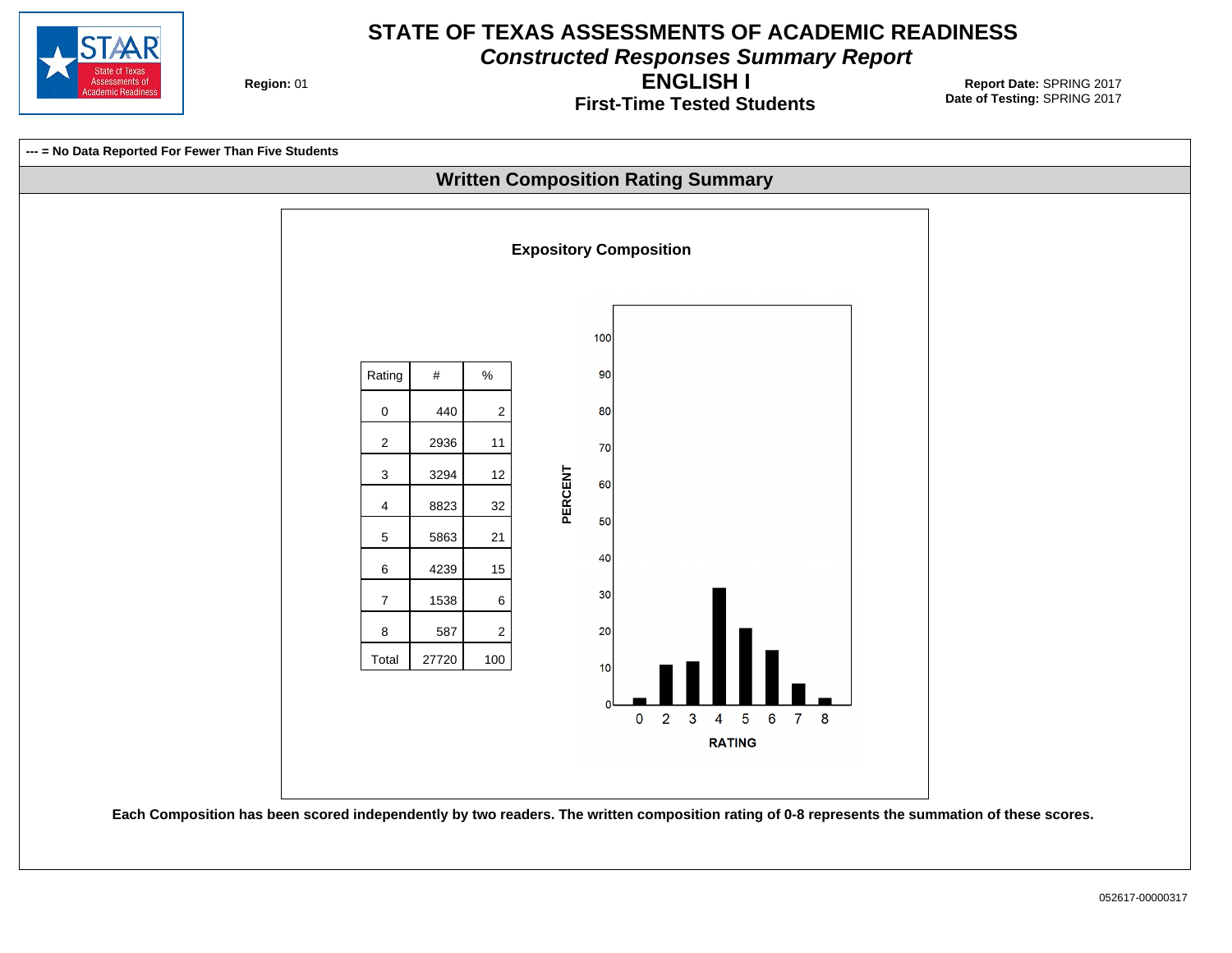

**Constructed Responses Summary Report**

**Region: 01** 

**First-Time Tested Students ENGLISH I**

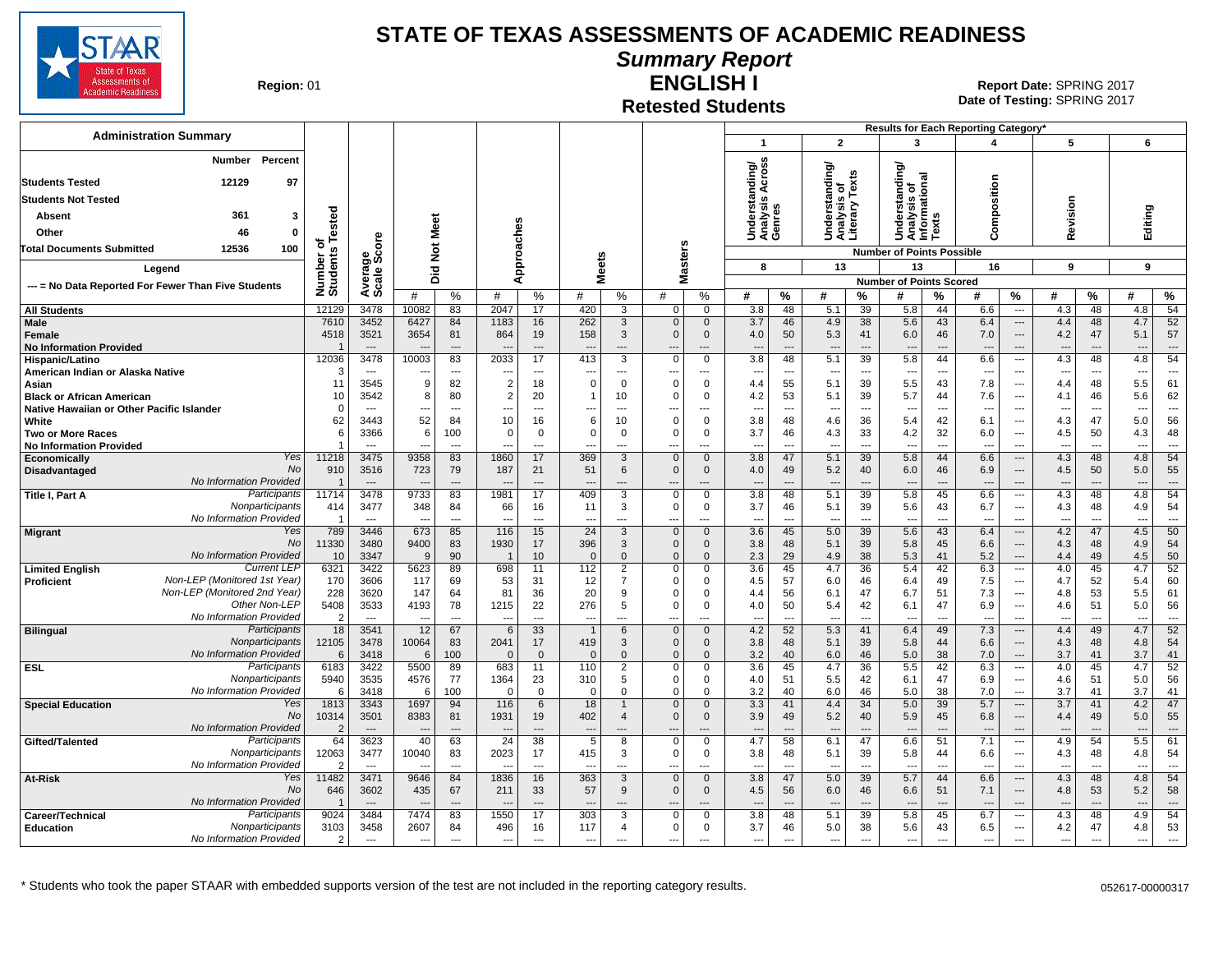

**Summary Report**

**Region: 01** 

#### **Retested Students ENGLISH I**

| <b>Administration Summary</b>                       |                          |                                  |                                  |                      |                                  |                          |                          |                   |                              |                             |                                    |                                |                                  |                                | Results for Each Reporting Category'           |                                |                                 |                                                      |                                 |                          |                                 |                                |
|-----------------------------------------------------|--------------------------|----------------------------------|----------------------------------|----------------------|----------------------------------|--------------------------|--------------------------|-------------------|------------------------------|-----------------------------|------------------------------------|--------------------------------|----------------------------------|--------------------------------|------------------------------------------------|--------------------------------|---------------------------------|------------------------------------------------------|---------------------------------|--------------------------|---------------------------------|--------------------------------|
|                                                     |                          |                                  |                                  |                      |                                  |                          |                          |                   |                              |                             | $\mathbf{1}$                       |                                | $\overline{2}$                   |                                | 3                                              |                                | 4                               |                                                      | 5                               |                          | 6                               |                                |
| <b>Number</b><br>Percent                            |                          |                                  |                                  |                      |                                  |                          |                          |                   |                              |                             |                                    |                                |                                  |                                |                                                |                                |                                 |                                                      |                                 |                          |                                 |                                |
|                                                     |                          |                                  |                                  |                      |                                  |                          |                          |                   |                              |                             | Across<br>ding                     |                                | $t$ anding/<br>s of<br>Texts     |                                | anding                                         |                                |                                 |                                                      |                                 |                          |                                 |                                |
| 12129<br>97<br><b>Students Tested</b>               |                          |                                  |                                  |                      |                                  |                          |                          |                   |                              |                             |                                    |                                |                                  |                                | চ<br>ত<br>ত                                    |                                | omposition                      |                                                      |                                 |                          |                                 |                                |
| <b>Students Not Tested</b>                          |                          |                                  |                                  |                      |                                  |                          |                          |                   |                              |                             | <b>S</b>                           |                                |                                  |                                | Understar<br>Analysis o<br>Informatic<br>Texts |                                |                                 |                                                      | evision                         |                          |                                 |                                |
| 361<br>Absent<br>3                                  | ested                    |                                  |                                  |                      |                                  |                          |                          |                   |                              |                             |                                    |                                |                                  |                                |                                                |                                |                                 |                                                      |                                 |                          |                                 |                                |
| Other<br>46<br>0                                    |                          |                                  |                                  | Meet                 |                                  |                          |                          |                   |                              |                             | Underst<br>Analysis<br>Genres      |                                | Understa<br>Analysis<br>Literary |                                |                                                |                                | ت                               |                                                      | œ                               |                          | Editing                         |                                |
| 12536<br>100<br><b>Total Documents Submitted</b>    | ۴<br>৳                   | ge<br>Score                      |                                  | $\rm \breve{z}$      |                                  |                          |                          |                   |                              |                             |                                    |                                |                                  |                                | <b>Number of Points Possible</b>               |                                |                                 |                                                      |                                 |                          |                                 |                                |
| Legend                                              |                          |                                  |                                  |                      |                                  | pproaches                | <b>Meets</b>             |                   |                              | asters                      | 8                                  |                                | 13                               |                                | 13                                             |                                | 16                              |                                                      | 9                               |                          | 9                               |                                |
|                                                     |                          |                                  |                                  | 고<br>ه               | ⋖                                |                          |                          |                   |                              | Σ                           |                                    |                                |                                  |                                | <b>Number of Points Scored</b>                 |                                |                                 |                                                      |                                 |                          |                                 |                                |
| --- = No Data Reported For Fewer Than Five Students | Number of<br>Students    | Avera<br>Scale                   | #                                | %                    | #                                | $\%$                     | #                        | %                 | #                            | %                           | #                                  | $\%$                           | #                                | %                              | #                                              | ℅                              | #                               | $\%$                                                 | #                               | $\%$                     | Ħ                               | %                              |
| <b>All Students</b>                                 | 12129                    | 3478                             | 10082                            | 83                   | 2047                             | 17                       | 420                      | 3                 | $\Omega$                     | $\Omega$                    | $\overline{3.8}$                   | 48                             | 5.1                              | $\overline{39}$                | 5.8                                            | 44                             | 6.6                             | $\overline{\phantom{a}}$                             | 4.3                             | 48                       | 4.8                             | 54                             |
| Male                                                | 7610                     | 3452                             | 6427                             | 84                   | 1183                             | 16                       | 262                      | 3                 | $\mathbf{0}$                 | $\mathbf{0}$                | 3.7                                | 46                             | 4.9                              | 38                             | 5.6                                            | 43                             | 6.4                             | $\hspace{0.05cm} \ldots$                             | 4.4                             | 48                       | 4.7                             | 52                             |
| Female                                              | 4518                     | 3521                             | 3654                             | 81                   | 864                              | 19                       | 158                      | 3                 | $\Omega$                     | $\mathbf{0}$                | 4.0                                | 50                             | 5.3                              | 41                             | 6.0                                            | 46                             | 7.0                             | $\hspace{0.05cm} \ldots$                             | 4.2                             | 47                       | 5.1                             | 57                             |
| <b>No Information Provided</b>                      | $\overline{\phantom{a}}$ |                                  |                                  | $---$                |                                  | $\overline{a}$           |                          |                   |                              | ---                         | $\overline{a}$                     | ---                            | $\overline{\phantom{a}}$         | $\overline{a}$                 | ---                                            | $\overline{a}$                 |                                 | $\overline{\phantom{a}}$                             |                                 |                          |                                 | ---                            |
| Hispanic/Latino                                     | 12036<br>ſ.              | 3478<br>$\sim$                   | 10003                            | 83<br>$\overline{a}$ | 2033                             | 17<br>$---$              | 413                      | 3                 | $\Omega$                     | $\Omega$<br>---             | $\overline{3.8}$<br>$\overline{a}$ | 48<br>$\sim$                   | 5.1                              | 39<br>$\overline{a}$           | 5.8                                            | 44<br>$\overline{a}$           | 6.6                             | $\overline{\phantom{a}}$                             | 4.3                             | 48                       | 4.8                             | 54<br>$\overline{a}$           |
| American Indian or Alaska Native<br>Asian           | 11                       | 3545                             | 9                                | 82                   | $\overline{2}$                   | 18                       | $\Omega$                 | ---<br>$\Omega$   | $\Omega$                     | $\Omega$                    | 4.4                                | 55                             | $\overline{\phantom{a}}$<br>5.1  | 39                             | $\overline{a}$<br>5.5                          | 43                             | 7.8                             | $\sim$<br>---                                        | 4.4                             | $---$<br>48              | $\overline{\phantom{a}}$<br>5.5 | 61                             |
| <b>Black or African American</b>                    | 10                       | 3542                             | 8                                | 80                   | $\overline{2}$                   | 20                       | 1                        | 10                | $\Omega$                     | $\Omega$                    | 4.2                                | 53                             | 5.1                              | 39                             | 5.7                                            | 44                             | 7.6                             | ---                                                  | 4.1                             | 46                       | 5.6                             | 62                             |
| Native Hawaiian or Other Pacific Islander           | $\Omega$                 | $\sim$                           | ---                              | ---                  | ---                              | $\overline{a}$           | ---                      | $\sim$            | $\overline{a}$               | ---                         | $\overline{\phantom{a}}$           | $\sim$                         | $\overline{\phantom{a}}$         | $\overline{a}$                 | ---                                            | $\overline{a}$                 | $\overline{a}$                  | $---$                                                |                                 | $\sim$                   | ---                             | $\overline{a}$                 |
| White                                               | 62                       | 3443                             | 52                               | 84                   | 10                               | 16                       | 6                        | 10                | $\Omega$                     | $\mathbf 0$                 | 3.8                                | 48                             | 4.6                              | 36                             | 5.4                                            | 42                             | 6.1                             | ---                                                  | 4.3                             | 47                       | 5.0                             | 56                             |
| <b>Two or More Races</b>                            | 6                        | 3366                             | 6                                | 100                  | $\overline{0}$                   | $\mathbf 0$              | $\mathbf 0$              | $\mathbf 0$       | $\Omega$                     | $\Omega$                    | 3.7                                | 46                             | 4.3                              | 33                             | 4.2                                            | 32                             | 6.0                             | $---$                                                | 4.5                             | 50                       | 4.3                             | 48                             |
| <b>No Information Provided</b>                      |                          |                                  |                                  | $-$ --               |                                  | $---$                    |                          | $\overline{a}$    | --                           | ---                         | $\overline{a}$                     | $\overline{a}$                 | $\overline{\phantom{a}}$         | $\overline{a}$                 | $\sim$                                         | $\sim$                         | $\overline{a}$                  | $\overline{\phantom{a}}$                             |                                 | $\overline{a}$           | $\overline{a}$                  | $\overline{a}$                 |
| Yes<br><b>Economically</b><br>No<br>Disadvantaged   | 11218<br>910             | 3475<br>3516                     | 9358<br>723                      | 83<br>79             | 1860<br>187                      | 17<br>21                 | 369<br>51                | 3<br>6            | $\mathbf{0}$<br>$\mathbf{0}$ | $\mathbf{0}$<br>$\mathbf 0$ | 3.8<br>4.0                         | 47<br>49                       | 5.1<br>5.2                       | 39<br>40                       | 5.8<br>6.0                                     | 44<br>46                       | 6.6<br>6.9                      | $\hspace{0.05cm} \ldots$<br>$\hspace{0.05cm} \ldots$ | 4.3<br>4.5                      | 48<br>50                 | 4.8<br>5.0                      | 54<br>55                       |
| No Information Provided                             | $\overline{\phantom{a}}$ | $\overline{\phantom{a}}$         |                                  | $\cdots$             | $\overline{a}$                   | $\overline{\phantom{a}}$ |                          | ---               | ---                          | ---                         | $\overline{a}$                     | $\overline{\phantom{a}}$       | $\overline{\phantom{a}}$         | $\overline{a}$                 | $\overline{\phantom{a}}$                       | $\overline{\phantom{a}}$       | $\overline{a}$                  | $\overline{\phantom{a}}$                             | $\overline{\phantom{a}}$        | $\overline{\phantom{a}}$ | $\overline{\phantom{a}}$        | ---                            |
| Participants<br>Title I, Part A                     | 11714                    | 3478                             | 9733                             | 83                   | 1981                             | 17                       | 409                      | $\overline{3}$    | $\overline{0}$               | $\overline{0}$              | 3.8                                | 48                             | 5.1                              | 39                             | 5.8                                            | 45                             | 6.6                             | $\sim$                                               | 4.3                             | 48                       | 4.8                             | 54                             |
| Nonparticipants                                     | 414                      | 3477                             | 348                              | 84                   | 66                               | 16                       | 11                       | 3                 | $\mathbf 0$                  | 0                           | 3.7                                | 46                             | 5.1                              | 39                             | 5.6                                            | 43                             | 6.7                             | $\hspace{0.05cm} \ldots$                             | 4.3                             | 48                       | 4.9                             | 54                             |
| No Information Provided                             | -1                       | $\overline{\phantom{a}}$         | $\overline{a}$                   | $\overline{a}$       | $\overline{a}$                   | $\overline{a}$           | ---                      | ---               | ---                          | ---                         | $\sim$                             | $\overline{a}$                 | $\overline{\phantom{a}}$         | $\overline{a}$                 | $\overline{\phantom{a}}$                       | ---                            | $\overline{a}$                  | $\overline{\phantom{a}}$                             | $\overline{\phantom{a}}$        | ---                      | ---                             | $\overline{a}$                 |
| Yes<br><b>Migrant</b><br>No                         | 789                      | 3446                             | 673                              | 85                   | 116                              | 15                       | 24                       | 3                 | $\mathbf{0}$                 | $\Omega$                    | 3.6                                | 45                             | 5.0                              | 39                             | 5.6                                            | 43                             | 6.4                             | $\cdots$                                             | 4.2                             | 47                       | 4.5                             | 50                             |
| No Information Provided                             | 11330<br>10              | 3480<br>3347                     | 9400<br>9                        | 83<br>90             | 1930<br>$\overline{\phantom{0}}$ | 17<br>10                 | 396<br>$\Omega$          | 3<br>$\mathbf{0}$ | $\Omega$<br>$\mathbf{0}$     | $\mathbf{0}$<br>$\Omega$    | 3.8<br>2.3                         | 48<br>29                       | 5.1<br>4.9                       | 39<br>38                       | 5.8<br>5.3                                     | 45<br>41                       | 6.6<br>5.2                      | $---$<br>$\overline{\phantom{a}}$                    | 4.3<br>4.4                      | 48<br>49                 | 4.9<br>4.5                      | 54<br>50                       |
| <b>Current LEP</b><br><b>Limited English</b>        | 6321                     | 3422                             | 5623                             | 89                   | 698                              | 11                       | 112                      | $\overline{2}$    | $\Omega$                     | $\Omega$                    | 3.6                                | 45                             | 4.7                              | 36                             | 5.4                                            | 42                             | 6.3                             | $\overline{\phantom{a}}$                             | 4.0                             | 45                       | 4.7                             | 52                             |
| Non-LEP (Monitored 1st Year)<br>Proficient          | 170                      | 3606                             | 117                              | 69                   | 53                               | 31                       | 12                       | 7                 | $\Omega$                     | $\Omega$                    | 4.5                                | 57                             | 6.0                              | 46                             | 6.4                                            | 49                             | 7.5                             | $---$                                                | 4.7                             | 52                       | 5.4                             | 60                             |
| Non-LEP (Monitored 2nd Year)                        | 228                      | 3620                             | 147                              | 64                   | 81                               | 36                       | 20                       | 9                 | $\Omega$                     | $\Omega$                    | 4.4                                | 56                             | 6.1                              | 47                             | 6.7                                            | 51                             | 7.3                             | $\sim$                                               | 4.8                             | 53                       | 5.5                             | 61                             |
| Other Non-LEP                                       | 5408                     | 3533                             | 4193                             | 78                   | 1215                             | 22                       | 276                      | 5                 | $\Omega$                     | $\Omega$                    | 4.0                                | 50                             | 5.4                              | 42                             | 6.1                                            | 47                             | 6.9                             | $\sim$                                               | 4.6                             | 51                       | 5.0                             | 56                             |
| No Information Provided<br>Participants             | 2                        | $\sim$                           | $\overline{a}$                   | $\overline{a}$       | $\sim$                           | $\overline{a}$           | --                       |                   | ---                          | ---                         | $\overline{a}$                     | $\overline{a}$                 | $\overline{\phantom{a}}$         | $\overline{a}$                 | $\overline{\phantom{a}}$                       | ---                            | $\overline{a}$                  | $---$                                                | $\overline{\phantom{a}}$        | $\sim$                   | $\overline{a}$                  | $\overline{\phantom{a}}$       |
| <b>Bilingual</b><br>Nonparticipants                 | 18<br>12105              | 3541<br>3478                     | 12<br>10064                      | 67<br>83             | 6<br>2041                        | 33<br>17                 | 419                      | 6<br>3            | $\mathbf{0}$<br>$\mathbf{0}$ | $\Omega$<br>$\mathbf 0$     | 4.2<br>3.8                         | 52<br>48                       | 5.3<br>5.1                       | 41<br>39                       | 6.4<br>5.8                                     | 49<br>44                       | 7.3<br>6.6                      | $\hspace{0.05cm} \ldots$<br>$\overline{\phantom{a}}$ | 4.4<br>4.3                      | 49<br>48                 | 4.7<br>4.8                      | 52<br>54                       |
| No Information Provided                             | 6                        | 3418                             | 6                                | 100                  | $\Omega$                         | $\Omega$                 | $\Omega$                 | $\mathbf{0}$      | $\mathbf{0}$                 | $\Omega$                    | 3.2                                | 40                             | 6.0                              | 46                             | 5.0                                            | 38                             | 7.0                             | $\hspace{0.05cm} \ldots$                             | 3.7                             | 41                       | 3.7                             | 41                             |
| Participants<br><b>ESL</b>                          | 6183                     | 3422                             | 5500                             | 89                   | 683                              | 11                       | 110                      | $\overline{2}$    | $\mathbf 0$                  | $\mathbf 0$                 | 3.6                                | 45                             | 4.7                              | 36                             | 5.5                                            | 42                             | 6.3                             | $\overline{\phantom{a}}$                             | 4.0                             | 45                       | 4.7                             | 52                             |
| Nonparticipants                                     | 5940                     | 3535                             | 4576                             | 77                   | 1364                             | 23                       | 310                      | 5                 | $\Omega$                     | 0                           | 4.0                                | 51                             | 5.5                              | 42                             | 6.1                                            | 47                             | 6.9                             | $\overline{\phantom{a}}$                             | 4.6                             | 51                       | 5.0                             | 56                             |
| No Information Provided                             | -6                       | 3418                             | 6                                | 100                  | $\Omega$                         | $\mathbf 0$              | $\Omega$                 | $\mathbf{0}$      | $\Omega$                     | $\Omega$                    | 3.2                                | 40                             | 6.0                              | 46                             | 5.0                                            | 38                             | 7.0                             | $\overline{\phantom{a}}$                             | 3.7                             | 41                       | 3.7                             | 41                             |
| Yes<br><b>Special Education</b><br>No               | 1813                     | 3343                             | 1697                             | 94                   | 116                              | 6                        | 18                       | 1                 | $\mathbf{0}$<br>$\Omega$     | $\mathbf{0}$<br>$\Omega$    | 3.3                                | 41                             | 4.4                              | 34                             | 5.0                                            | 39                             | 5.7                             | $\hspace{0.05cm} \ldots$                             | 3.7                             | 41                       | 4.2                             | 47                             |
| No Information Provided                             | 10314                    | 3501<br>$\overline{\phantom{a}}$ | 8383<br>$\overline{\phantom{a}}$ | 81<br>$\overline{a}$ | 1931                             | 19<br>$---$              | 402<br>---               | 4                 | ---                          | ---                         | 3.9<br>---                         | 49<br>$\overline{\phantom{a}}$ | 5.2<br>$\overline{\phantom{a}}$  | 40<br>$\overline{\phantom{a}}$ | 5.9<br>---                                     | 45<br>$\overline{a}$           | 6.8<br>$---$                    | $---$<br>$\overline{\phantom{a}}$                    | 4.4                             | 49<br>$\overline{a}$     | 5.0<br>---                      | 55<br>$\overline{\phantom{a}}$ |
| Participants<br>Gifted/Talented                     | 64                       | 3623                             | 40                               | 63                   | 24                               | 38                       | 5                        | 8                 | $\mathbf 0$                  | $\Omega$                    | 4.7                                | 58                             | 6.1                              | 47                             | 6.6                                            | 51                             | 7.1                             | $\overline{\phantom{a}}$                             | 4.9                             | 54                       | 5.5                             | 61                             |
| Nonparticipants                                     | 12063                    | 3477                             | 10040                            | 83                   | 2023                             | 17                       | 415                      | 3                 | $\Omega$                     | $\Omega$                    | 3.8                                | 48                             | 5.1                              | 39                             | 5.8                                            | 44                             | 6.6                             | $\sim$                                               | 4.3                             | 48                       | 4.8                             | 54                             |
| No Information Provided                             | 2                        | $\overline{\phantom{a}}$         |                                  | $\overline{a}$       |                                  | $\overline{a}$           |                          | $\overline{a}$    | $\overline{a}$               | ---                         | $\overline{a}$                     | $\overline{a}$                 | $\overline{\phantom{a}}$         | $\sim$                         | $\sim$                                         | $\sim$                         | $\overline{a}$                  | $\overline{a}$                                       | --                              | $\sim$                   | $\overline{a}$                  | $\overline{a}$                 |
| Yes<br>At-Risk                                      | 11482                    | 3471                             | 9646                             | 84                   | 1836                             | 16                       | 363                      | 3                 | $\mathbf{0}$                 | $\mathbf{0}$                | 3.8                                | 47                             | 5.0                              | 39                             | 5.7                                            | 44                             | 6.6                             | $---$                                                | 4.3                             | 48                       | 4.8                             | 54                             |
| <b>No</b><br>No Information Provided                | 646                      | 3602                             | 435                              | 67                   | 211                              | 33                       | 57                       | 9                 | $\mathbf{0}$                 | $\mathbf 0$                 | 4.5                                | 56                             | 6.0                              | 46                             | 6.6                                            | 51                             | 7.1                             | $---$                                                | 4.8                             | 53                       | 5.2                             | 58                             |
| Participants<br>Career/Technical                    | 9024                     | $---$<br>3484                    | $\overline{\phantom{a}}$<br>7474 | $---$<br>83          | $\overline{\phantom{a}}$<br>1550 | $---$<br>17              | ---<br>303               | ---<br>3          | ---<br>$\Omega$              | $\overline{a}$<br>$\Omega$  | $\overline{a}$<br>3.8              | $---$<br>48                    | $\overline{\phantom{a}}$<br>5.1  | $---$<br>39                    | $\overline{a}$<br>5.8                          | $\overline{\phantom{a}}$<br>45 | $\overline{\phantom{a}}$<br>6.7 | $---$<br>$\hspace{0.05cm} \ldots$                    | $\overline{\phantom{a}}$<br>4.3 | $\overline{a}$<br>48     | $\overline{\phantom{a}}$<br>4.9 | $---$<br>54                    |
| Nonparticipants<br>Education                        | 3103                     | 3458                             | 2607                             | 84                   | 496                              | 16                       | 117                      | $\overline{4}$    | $\mathbf 0$                  | 0                           | 3.7                                | 46                             | 5.0                              | 38                             | 5.6                                            | 43                             | 6.5                             | $\overline{\phantom{a}}$                             | 4.2                             | 47                       | 4.8                             | 53                             |
| No Information Provided                             | 2                        | $-$                              | $\overline{a}$                   | $\overline{a}$       | ---                              | $\overline{a}$           | $\overline{\phantom{a}}$ | $\overline{a}$    | ---                          | $-$                         | $\sim$                             | $\overline{a}$                 | $\overline{\phantom{a}}$         | $\overline{a}$                 | $\overline{a}$                                 | $\sim$                         | $\overline{a}$                  | $\sim$                                               | $\overline{\phantom{a}}$        | $\overline{a}$           | ---                             | $\overline{a}$                 |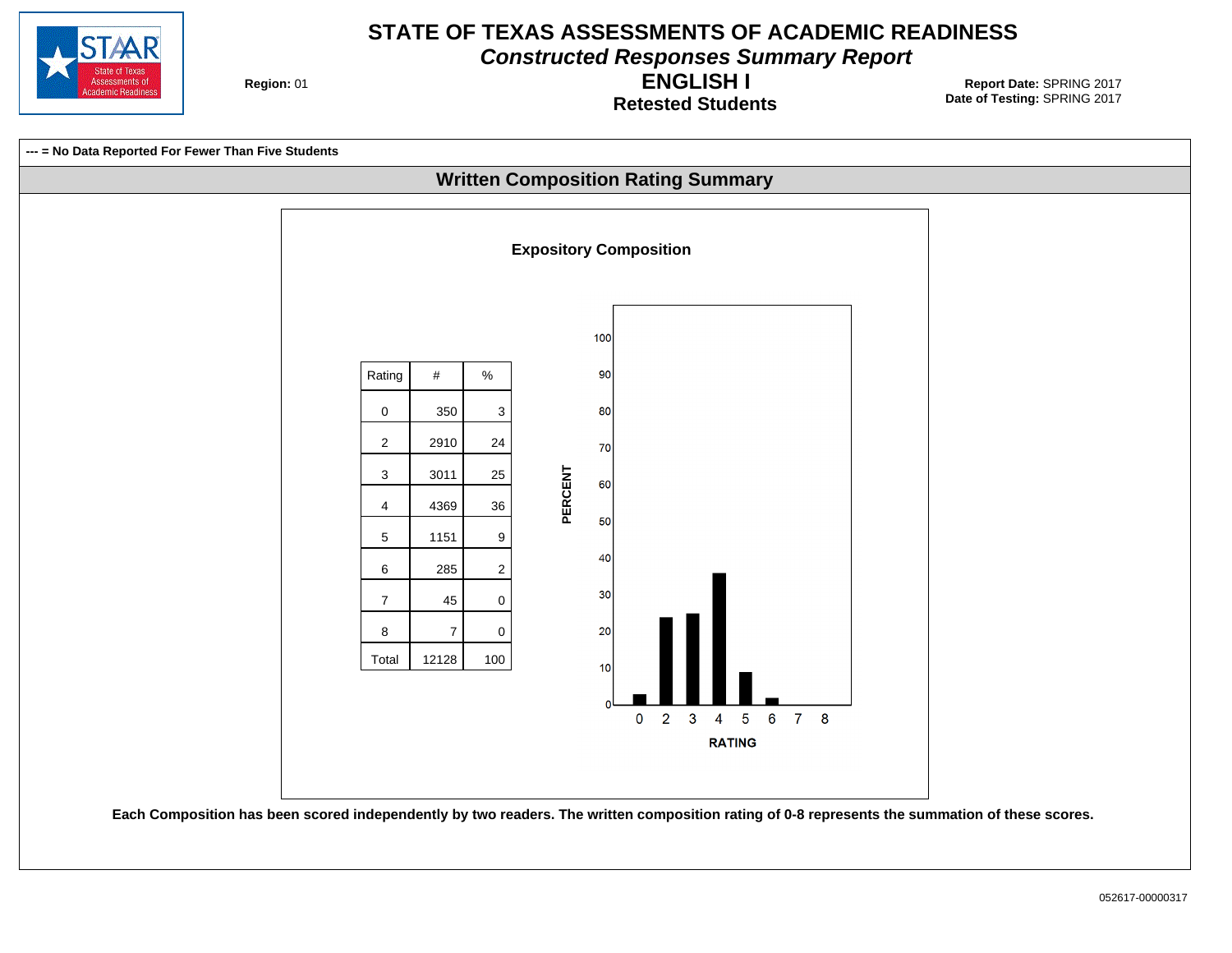

**Constructed Responses Summary Report**

**Region: 01** 

**Retested Students ENGLISH I**

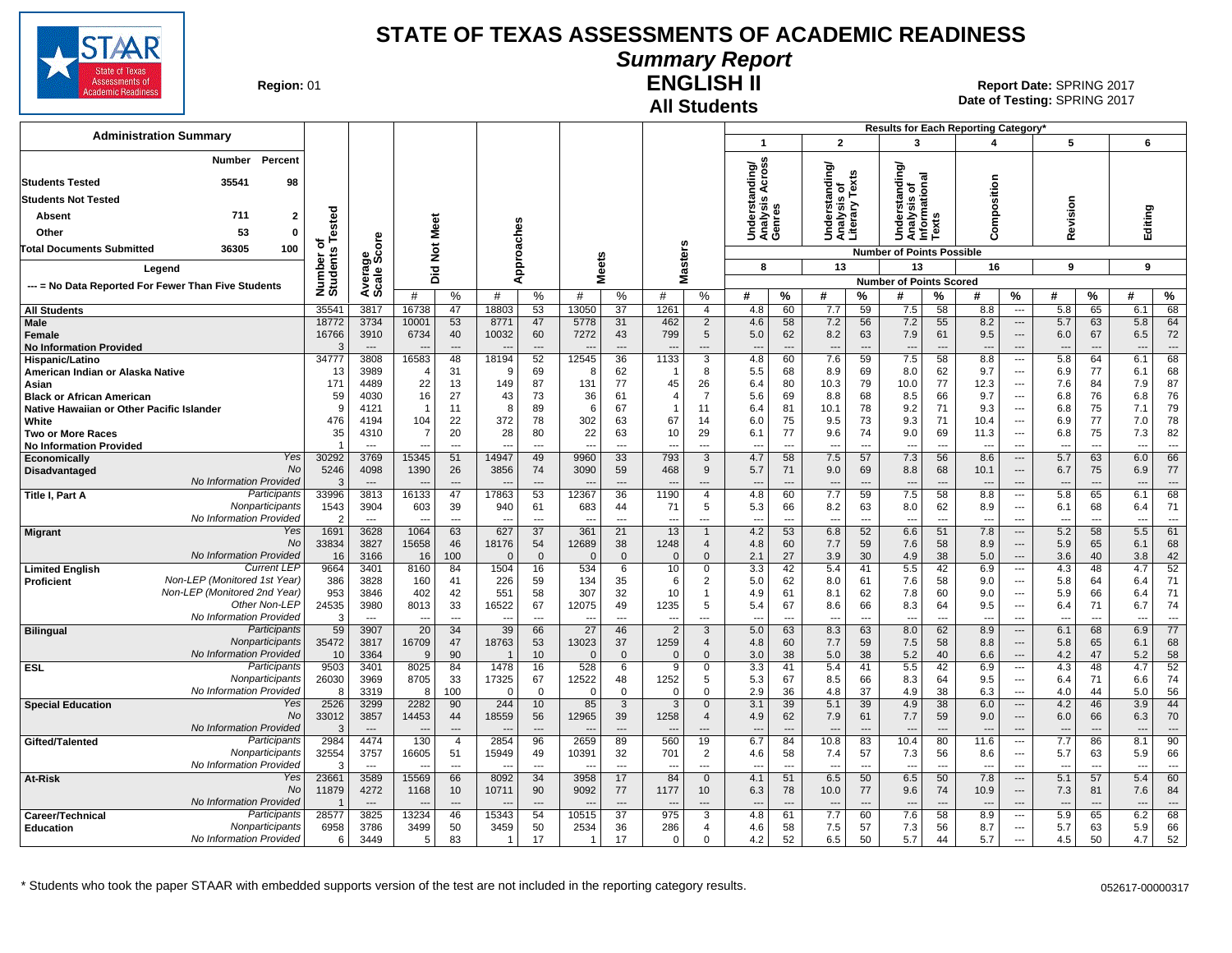

# **Summary Report**

**Region: 01** 

#### **All Students ENGLISH II**

**Date of Testing:**  SPRING 2017 01 **Report Date:** SPRING 2017

|                                                                                          |                      |                          |                |                      |                                   |                            |                                   |                            |                        |                                          |                                |                            |                                                    |                            | Results for Each Reporting Category*                     |                                |                                 |                                                      |                                        |                      |            |                                    |
|------------------------------------------------------------------------------------------|----------------------|--------------------------|----------------|----------------------|-----------------------------------|----------------------------|-----------------------------------|----------------------------|------------------------|------------------------------------------|--------------------------------|----------------------------|----------------------------------------------------|----------------------------|----------------------------------------------------------|--------------------------------|---------------------------------|------------------------------------------------------|----------------------------------------|----------------------|------------|------------------------------------|
| <b>Administration Summary</b>                                                            |                      |                          |                |                      |                                   |                            |                                   |                            |                        |                                          | $\mathbf{1}$                   |                            | $\mathbf{2}$                                       |                            | 3                                                        |                                | 4                               |                                                      | 5                                      |                      | 6          |                                    |
| Percent<br>Number<br><b>Students Tested</b><br>35541<br>98<br><b>Students Not Tested</b> |                      |                          |                |                      |                                   |                            |                                   |                            |                        |                                          | nding/<br>Across               |                            | ding/<br>Understanc<br>Analysis of<br>Literary Te: | is on<br>v Texts           | ding/<br>ᢎ<br>Understandi<br>Analysis of<br>Informationa |                                | Composition                     |                                                      |                                        |                      |            |                                    |
| 711<br>Absent<br>2                                                                       | ested                |                          |                |                      |                                   |                            |                                   |                            |                        |                                          | Understa<br>Analysis<br>Genres |                            |                                                    |                            |                                                          |                                |                                 |                                                      | Revision                               |                      | Editing    |                                    |
| Other<br>53<br>$\Omega$                                                                  |                      |                          | Meet           |                      |                                   |                            |                                   |                            |                        |                                          |                                |                            |                                                    |                            |                                                          | ā                              |                                 |                                                      |                                        |                      |            |                                    |
| <b>Total Documents Submitted</b><br>36305<br>100                                         | ৳                    | ge<br>Score              | $\frac{5}{2}$  |                      |                                   | caches                     |                                   |                            |                        |                                          |                                |                            |                                                    |                            | <b>Number of Points Possible</b>                         |                                |                                 |                                                      |                                        |                      |            |                                    |
| Legend                                                                                   | Number o<br>Students |                          | 고              |                      |                                   | Appr                       | eets                              |                            |                        | lasters                                  | 8                              |                            | 13                                                 |                            | 13                                                       |                                | 16                              |                                                      | 9                                      |                      | 9          |                                    |
| --- = No Data Reported For Fewer Than Five Students                                      |                      | Avera                    | ه              |                      |                                   |                            | ż                                 |                            | Σ                      |                                          |                                |                            |                                                    |                            | <b>Number of Points Scored</b>                           |                                |                                 |                                                      |                                        |                      |            |                                    |
|                                                                                          |                      |                          | #              | %                    | #                                 | %                          | #                                 | %                          | #                      | %                                        | #                              | %                          | #                                                  | ℅                          | #                                                        | ℅                              | #                               | %                                                    | #                                      | %                    | #          | $\%$                               |
| <b>All Students</b>                                                                      | 3554 <sup>-</sup>    | 3817                     | 16738          | 47                   | 18803                             | 53                         | 13050                             | 37                         | 1261                   | $\overline{4}$                           | 4.8                            | 60                         | 7.7                                                | 59                         | 7.5                                                      | 58                             | 8.8                             | $\cdots$                                             | 5.8                                    | 65                   | 6.1        | 68                                 |
| Male<br>Female<br><b>No Information Provided</b>                                         | 18772<br>16766       | 3734<br>3910             | 10001<br>6734  | 53<br>40<br>$---$    | 8771<br>10032                     | 47<br>60<br>$\overline{a}$ | 5778<br>7272                      | 31<br>43<br>$\overline{a}$ | 462<br>799             | $\overline{2}$<br>$5\phantom{.0}$<br>--- | 4.6<br>5.0<br>---              | 58<br>62<br>$\overline{a}$ | 7.2<br>8.2<br>$\overline{\phantom{a}}$             | 56<br>63<br>$\overline{a}$ | 7.2<br>7.9<br>$\overline{\phantom{a}}$                   | 55<br>61                       | 8.2<br>9.5                      | $\hspace{0.05cm} \ldots$<br>$---$<br>$---$           | 5.7<br>6.0<br>$\overline{\phantom{a}}$ | 63<br>67             | 5.8<br>6.5 | 64<br>72<br>$\qquad \qquad \cdots$ |
| Hispanic/Latino                                                                          | 34777                | 3808                     | 16583          | 48                   | 18194                             | 52                         | 12545                             | 36                         | 1133                   | 3                                        | 4.8                            | 60                         | 7.6                                                | 59                         | 7.5                                                      | 58                             | 8.8                             | $\overline{\phantom{a}}$                             | 5.8                                    | 64                   | 6.1        | 68                                 |
| American Indian or Alaska Native<br>Asian                                                | 13<br>171            | 3989<br>4489             | 22             | 31<br>13             | ٩<br>149                          | 69<br>87                   | 8<br>131                          | 62<br>77                   | 45                     | 8<br>26                                  | 5.5<br>6.4                     | 68<br>80                   | 8.9<br>10.3                                        | 69<br>79                   | 8.0<br>10.0                                              | 62<br>77                       | 9.7<br>12.3                     | $\overline{\phantom{a}}$<br>$\overline{\phantom{a}}$ | 6.9<br>7.6                             | 77<br>84             | 6.1<br>7.9 | 68<br>87                           |
| <b>Black or African American</b>                                                         | 59                   | 4030                     | 16             | 27                   | 43                                | 73                         | 36                                | 61                         | 4                      | $\overline{7}$                           | 5.6                            | 69                         | 8.8                                                | 68                         | 8.5                                                      | 66                             | 9.7                             | $\overline{\phantom{a}}$                             | 6.8                                    | 76                   | 6.8        | 76                                 |
| Native Hawaiian or Other Pacific Islander                                                | ç                    | 4121                     | $\overline{1}$ | 11                   | 8                                 | 89                         | 6                                 | 67                         |                        | 11                                       | 6.4                            | 81                         | 10.1                                               | 78                         | 9.2                                                      | 71                             | 9.3                             | ---                                                  | 6.8                                    | 75                   | 7.1        | 79                                 |
| White                                                                                    | 476                  | 4194                     | 104            | 22                   | 372                               | 78                         | 302                               | 63                         | 67                     | 14                                       | 6.0                            | 75                         | 9.5                                                | 73                         | 9.3                                                      | 71                             | 10.4                            | ---                                                  | 6.9                                    | 77                   | 7.0        | 78                                 |
| Two or More Races<br><b>No Information Provided</b>                                      | 35                   | 4310<br>$\overline{a}$   | 7              | 20<br>$\overline{a}$ | 28<br>$\sim$                      | 80<br>$\overline{a}$       | 22<br>$\sim$                      | 63<br>$\overline{a}$       | 10<br>---              | 29<br>$\overline{a}$                     | 6.1<br>$\overline{a}$          | 77<br>$\overline{a}$       | 9.6<br>$\sim$                                      | 74<br>$\sim$               | 9.0<br>$\overline{a}$                                    | 69<br>$\overline{\phantom{a}}$ | 11.3<br>$\overline{a}$          | $\overline{\phantom{a}}$<br>$\overline{a}$           | 6.8<br>$\sim$                          | 75<br>$\overline{a}$ | 7.3<br>--- | 82<br>$---$                        |
| Yes<br><b>Economically</b>                                                               | 30292                | 3769                     | 15345          | 51                   | 14947                             | 49                         | 9960                              | 33                         | 793                    | 3                                        | 4.7                            | 58                         | 7.5                                                | 57                         | 7.3                                                      | 56                             | 8.6                             | $\cdots$                                             | 5.7                                    | 63                   | 6.0        | 66                                 |
| <b>No</b><br>Disadvantaged                                                               | 5246                 | 4098                     | 1390           | 26                   | 3856                              | 74                         | 3090                              | 59                         | 468                    | 9                                        | 5.7                            | 71                         | 9.0                                                | 69                         | 8.8                                                      | 68                             | 10.1                            | $\overline{\phantom{a}}$                             | 6.7                                    | 75                   | 6.9        | 77                                 |
| No Information Provided<br>Participants<br>Title I, Part A                               | 33996                | $\sim$<br>3813           | 16133          | 47                   | 17863                             | $\overline{a}$<br>53       | 12367                             | 36                         | 1190                   | $\overline{4}$                           | 4.8                            | $\sim$<br>60               | 7.7                                                | $\sim$<br>59               | 7.5                                                      | 58                             | 8.8                             | $\overline{a}$<br>$\hspace{0.05cm} \ldots$           | 5.8                                    | 65                   | 6.1        | $\overline{a}$<br>68               |
| Nonparticipants                                                                          | 1543                 | 3904                     | 603            | 39                   | 940                               | 61                         | 683                               | 44                         | 71                     | 5                                        | 5.3                            | 66                         | 8.2                                                | 63                         | 8.0                                                      | 62                             | 8.9                             | $\hspace{0.05cm} \ldots$                             | 6.1                                    | 68                   | 6.4        | 71                                 |
| No Information Provided<br>Yes<br><b>Migrant</b>                                         | 1691                 | $\sim$<br>3628           | 1064           | ---<br>63            | 627                               | $\overline{a}$<br>37       | 361                               | $\sim$<br>21               | 13                     | ---<br>$\mathbf{1}$                      | 4.2                            | ---<br>53                  | 6.8                                                | ---<br>52                  | 6.6                                                      | $\overline{\phantom{a}}$<br>51 | 7.8                             | $\overline{\phantom{a}}$<br>$\hspace{0.05cm} \ldots$ | 5.2                                    | $\overline{a}$<br>58 | 5.5        | $\overline{\phantom{a}}$<br>61     |
| No                                                                                       | 33834                | 3827                     | 15658          | 46                   | 18176                             | 54                         | 12689                             | 38                         | 1248                   | $\overline{4}$                           | 4.8                            | 60                         | 7.7                                                | 59                         | 7.6                                                      | 58                             | 8.9                             | $\overline{\phantom{a}}$                             | 5.9                                    | 65                   | 6.1        | 68                                 |
| No Information Provided                                                                  | 16                   | 3166                     | 16             | 100                  | $\Omega$                          | $\mathbf{0}$               | $\Omega$                          | $\mathbf{0}$               | $\Omega$               | $\Omega$                                 | 2.1                            | 27                         | 3.9                                                | 30                         | 4.9                                                      | 38                             | 5.0                             | $\hspace{0.05cm} \ldots$                             | 3.6                                    | 40                   | 3.8        | 42                                 |
| <b>Current LEP</b><br><b>Limited English</b><br>Non-LEP (Monitored 1st Year)             | 9664<br>386          | 3401<br>3828             | 8160<br>160    | 84<br>41             | 1504<br>226                       | 16<br>59                   | 534<br>134                        | 6<br>35                    | 10<br>6                | $\mathbf 0$<br>2                         | 3.3<br>5.0                     | 42<br>62                   | 5.4<br>8.0                                         | 41<br>61                   | 5.5<br>7.6                                               | 42<br>58                       | 6.9<br>9.0                      | ---<br>---                                           | 4.3<br>5.8                             | 48<br>64             | 4.7<br>6.4 | 52<br>71                           |
| <b>Proficient</b><br>Non-LEP (Monitored 2nd Year)                                        | 953                  | 3846                     | 402            | 42                   | 551                               | 58                         | 307                               | 32                         | 10                     | $\overline{1}$                           | 4.9                            | 61                         | 8.1                                                | 62                         | 7.8                                                      | 60                             | 9.0                             | ---                                                  | 5.9                                    | 66                   | 6.4        | 71                                 |
| Other Non-LEP                                                                            | 24535                | 3980                     | 8013           | 33                   | 16522                             | 67                         | 12075                             | 49                         | 1235                   | 5                                        | 5.4                            | 67                         | 8.6                                                | 66                         | 8.3                                                      | 64                             | 9.5                             | ---                                                  | 6.4                                    | 71                   | 6.7        | 74                                 |
| No Information Provided                                                                  | $\mathcal{C}$        | $\sim$                   |                | $\overline{a}$       |                                   | $\overline{a}$             |                                   | $\overline{a}$             |                        | ---                                      |                                | $\overline{a}$             |                                                    | $\sim$                     |                                                          | $\sim$                         |                                 | $\overline{\phantom{a}}$                             |                                        | $\overline{a}$       |            | $\overline{a}$                     |
| Participants<br><b>Bilingual</b><br>Nonparticipants                                      | 59<br>35472          | 3907<br>3817             | 20<br>16709    | 34<br>47             | 39<br>18763                       | 66<br>53                   | 27<br>13023                       | 46<br>37                   | $\overline{2}$<br>1259 | 3<br>$\overline{4}$                      | 5.0<br>4.8                     | 63<br>60                   | 8.3<br>7.7                                         | 63<br>59                   | 8.0<br>7.5                                               | 62<br>58                       | 8.9<br>8.8                      | $\overline{\phantom{a}}$<br>$\overline{\phantom{a}}$ | 6.1<br>5.8                             | 68<br>65             | 6.9<br>6.1 | 77<br>68                           |
| No Information Provided                                                                  | 10                   | 3364                     | 9              | 90                   |                                   | 10                         | $\Omega$                          | $\mathbf{0}$               | $\Omega$               | $\Omega$                                 | 3.0                            | 38                         | 5.0                                                | 38                         | 5.2                                                      | 40                             | 6.6                             | $\overline{\phantom{a}}$                             | 4.2                                    | 47                   | 5.2        | 58                                 |
| <b>ESL</b><br>Participants                                                               | 9503                 | 3401                     | 8025           | 84                   | 1478                              | 16                         | 528                               | 6                          | 9                      | $\mathbf 0$                              | 3.3                            | 41                         | 5.4                                                | 41                         | 5.5                                                      | 42                             | 6.9                             | $\hspace{0.05cm} \cdots$                             | 4.3                                    | 48                   | 4.7        | 52                                 |
| Nonparticipants                                                                          | 26030                | 3969                     | 8705           | 33                   | 17325                             | 67                         | 12522                             | 48                         | 1252                   | 5                                        | 5.3                            | 67                         | 8.5                                                | 66                         | 8.3                                                      | 64                             | 9.5                             | ---                                                  | 6.4                                    | 71                   | 6.6        | 74                                 |
| No Information Provided<br>Yes<br><b>Special Education</b>                               | -8<br>2526           | 3319<br>3299             | 8<br>2282      | 100<br>90            | $\Omega$<br>244                   | $\mathbf 0$<br>10          | $\Omega$<br>85                    | $\mathbf 0$<br>3           | $\Omega$<br>3          | $\Omega$<br>$\mathbf{0}$                 | 2.9<br>3.1                     | 36<br>39                   | 4.8<br>5.1                                         | 37<br>39                   | 4.9<br>4.9                                               | 38<br>38                       | 6.3<br>6.0                      | $\sim$<br>$\overline{\phantom{a}}$                   | 4.0<br>4.2                             | 44<br>46             | 5.0<br>3.9 | 56<br>44                           |
| No                                                                                       | 33012                | 3857                     | 14453          | 44                   | 18559                             | 56                         | 12965                             | 39                         | 1258                   | $\overline{4}$                           | 4.9                            | 62                         | 7.9                                                | 61                         | 7.7                                                      | 59                             | 9.0                             | $\overline{\phantom{a}}$                             | 6.0                                    | 66                   | 6.3        | 70                                 |
| No Information Provided                                                                  | - 3                  | $\overline{\phantom{a}}$ |                | ---                  |                                   | $\overline{\phantom{a}}$   |                                   | $\overline{\phantom{a}}$   |                        | ---                                      | $\overline{a}$                 | $\overline{a}$             |                                                    | ---                        | ---                                                      |                                |                                 | $\overline{\phantom{a}}$                             | $\overline{\phantom{a}}$               |                      | ---        | ---                                |
| Participants<br>Gifted/Talented                                                          | 2984                 | 4474                     | 130            | $\overline{4}$       | 2854                              | 96                         | 2659                              | 89                         | 560                    | 19                                       | 6.7                            | 84                         | 10.8                                               | 83                         | 10.4                                                     | 80                             | 11.6                            | $\cdots$                                             | 7.7                                    | 86                   | 8.1        | 90                                 |
| Nonparticipants<br>No Information Provided                                               | 32554                | 3757<br>$\overline{a}$   | 16605<br>--    | 51<br>$\overline{a}$ | 15949<br>$\overline{\phantom{a}}$ | 49<br>$\overline{a}$       | 10391<br>$\overline{\phantom{a}}$ | 32<br>$\overline{a}$       | 701<br>---             | $\overline{2}$<br>---                    | 4.6<br>---                     | 58<br>$\overline{a}$       | 7.4<br>$\overline{a}$                              | 57<br>---                  | 7.3<br>$\overline{a}$                                    | 56<br>---                      | 8.6<br>$\overline{\phantom{a}}$ | $\hspace{0.05cm} \ldots$<br>---                      | 5.7<br>---                             | 63<br>---            | 5.9<br>--- | 66<br>$\overline{a}$               |
| Yes<br>At-Risk                                                                           | 23661                | 3589                     | 15569          | 66                   | 8092                              | 34                         | 3958                              | 17                         | 84                     | $\mathbf 0$                              | 4.1                            | 51                         | 6.5                                                | 50                         | 6.5                                                      | 50                             | 7.8                             | $\hspace{0.05cm} \ldots$                             | 5.1                                    | 57                   | 5.4        | 60                                 |
| <b>No</b>                                                                                | 11879                | 4272                     | 1168           | 10                   | 10711                             | 90                         | 9092                              | 77                         | 1177                   | 10                                       | 6.3                            | 78                         | 10.0                                               | 77                         | 9.6                                                      | 74                             | 10.9                            | $---$                                                | 7.3                                    | 81                   | 7.6        | 84                                 |
| No Information Provided<br>Participants                                                  |                      | $\sim$                   |                |                      |                                   |                            |                                   |                            |                        |                                          |                                |                            |                                                    |                            |                                                          |                                |                                 |                                                      |                                        |                      |            | $\overline{a}$                     |
| Career/Technical<br>Nonparticipants<br><b>Education</b>                                  | 28577<br>6958        | 3825<br>3786             | 13234<br>3499  | 46<br>50             | 15343<br>3459                     | 54<br>50                   | 10515<br>2534                     | 37<br>36                   | 975<br>286             | 3<br>$\overline{4}$                      | 4.8<br>4.6                     | 61<br>58                   | 7.7<br>7.5                                         | 60<br>57                   | 7.6<br>7.3                                               | 58<br>56                       | 8.9<br>8.7                      | $\overline{\phantom{a}}$<br>$\sim$                   | 5.9<br>5.7                             | 65<br>63             | 6.2<br>5.9 | 68<br>66                           |
| No Information Provided                                                                  | 6                    | 3449                     | 5              | 83                   | $\overline{1}$                    | 17                         |                                   | 17                         | $\Omega$               | $\Omega$                                 | 4.2                            | 52                         | 6.5                                                | 50                         | 5.7                                                      | 44                             | 5.7                             | $\overline{\phantom{a}}$                             | 4.5                                    | 50                   | 4.7        | 52                                 |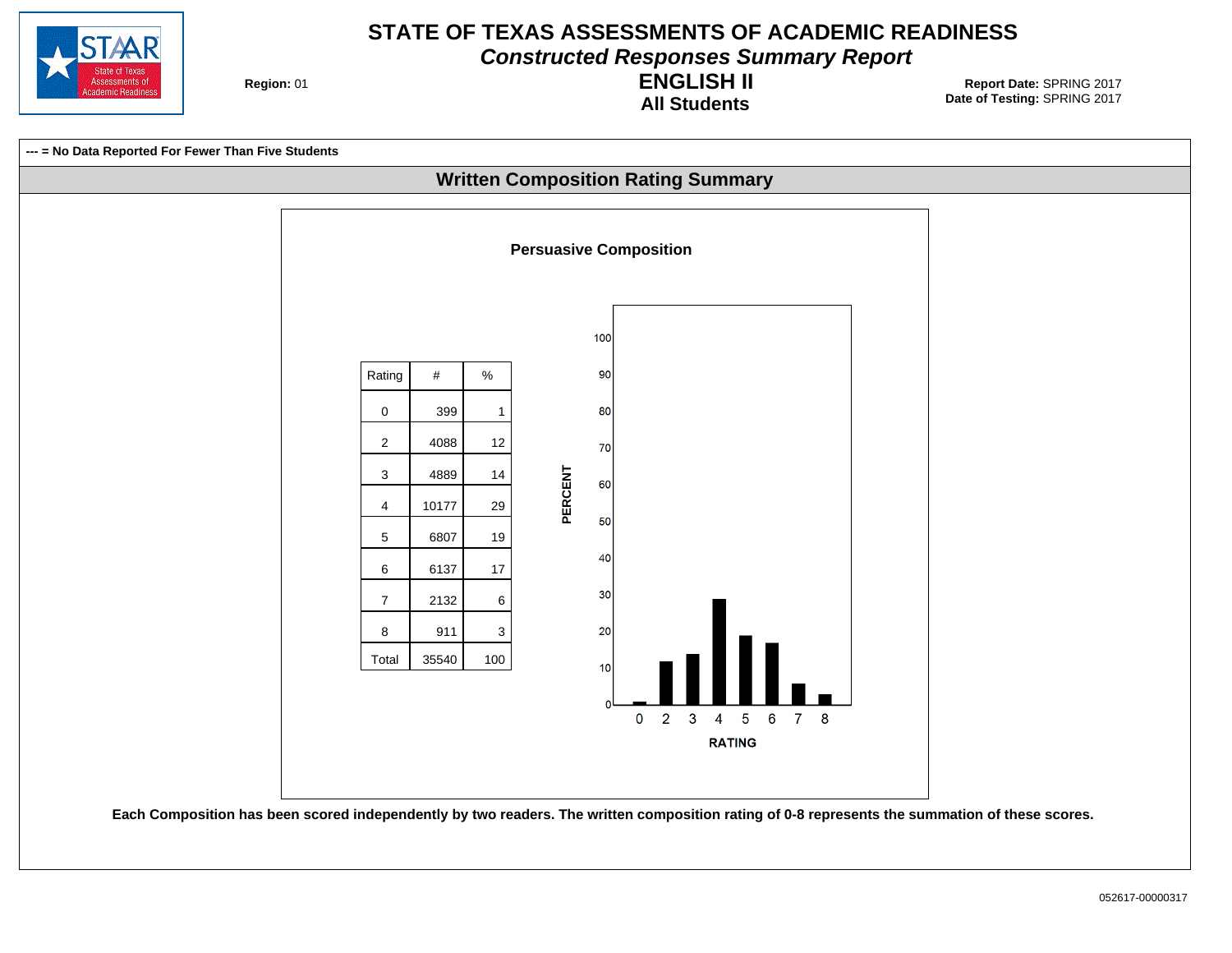

**Constructed Responses Summary Report**

**Region: 01** 

**All Students ENGLISH II**

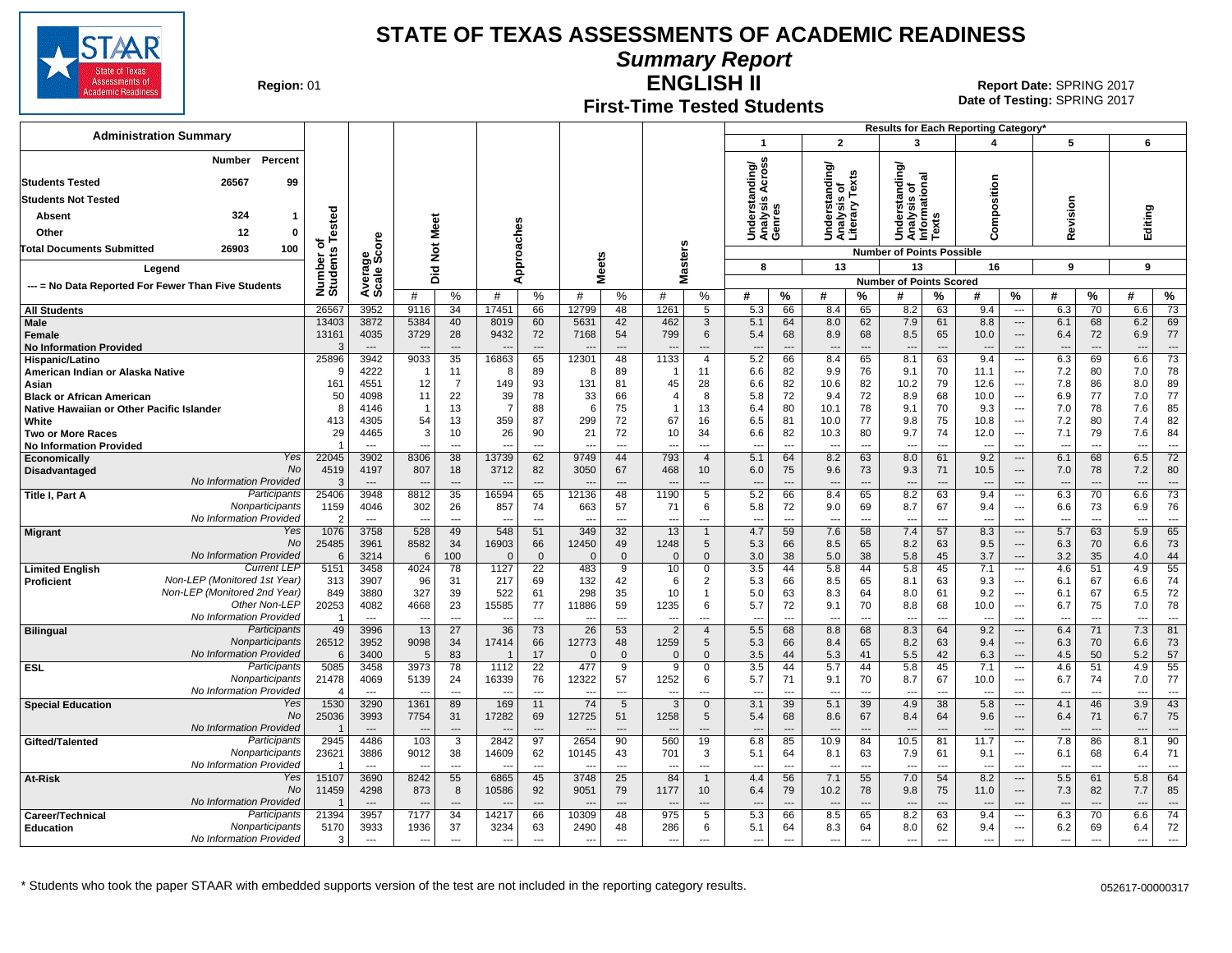

**Summary Report**

**Region: 01** 

#### **First-Time Tested Students ENGLISH II**

**Date of Testing:**  SPRING 2017 01 **Report Date:** SPRING 2017

| <b>Administration Summary</b>                                                                     |                                   |                                  |                          |                                |                          |                       |                          |                          |                                 |                                  | -1                                  |                          | $\overline{2}$                                  |                          | 3                                              |                                | Results for Each Reporting Category'<br>4 |                                                      | 5                               |                                | 6                        |                                   |
|---------------------------------------------------------------------------------------------------|-----------------------------------|----------------------------------|--------------------------|--------------------------------|--------------------------|-----------------------|--------------------------|--------------------------|---------------------------------|----------------------------------|-------------------------------------|--------------------------|-------------------------------------------------|--------------------------|------------------------------------------------|--------------------------------|-------------------------------------------|------------------------------------------------------|---------------------------------|--------------------------------|--------------------------|-----------------------------------|
| Percent<br><b>Number</b>                                                                          |                                   |                                  |                          |                                |                          |                       |                          |                          |                                 |                                  |                                     |                          |                                                 |                          |                                                |                                |                                           |                                                      |                                 |                                |                          |                                   |
|                                                                                                   |                                   |                                  |                          |                                |                          |                       |                          |                          |                                 |                                  | Across<br>ding/                     |                          | Understanding/<br>Analysis of<br>Literary Texts |                          | ক<br>ě                                         | ᠊ᢛ                             |                                           |                                                      |                                 |                                |                          |                                   |
| <b>Students Tested</b><br>26567<br>99                                                             |                                   |                                  |                          |                                |                          |                       |                          |                          |                                 |                                  |                                     |                          |                                                 | is or<br>'' Texts        | ō<br>Ĕ                                         |                                | position                                  |                                                      |                                 |                                |                          |                                   |
| <b>Students Not Tested</b>                                                                        |                                   |                                  |                          |                                |                          |                       |                          |                          |                                 |                                  | Understand<br>Analysis Ao<br>Genres |                          |                                                 |                          | Understar<br>Analysis o<br>Informatic<br>Texts |                                |                                           |                                                      | evision                         |                                |                          |                                   |
| 324<br>Absent<br>-1                                                                               | ested                             |                                  | Meet                     |                                |                          |                       |                          |                          |                                 |                                  |                                     |                          |                                                 |                          |                                                |                                | ξ                                         |                                                      |                                 |                                | Editing                  |                                   |
| Other<br>12<br>0                                                                                  |                                   |                                  |                          |                                | oaches                   |                       |                          |                          |                                 |                                  |                                     |                          |                                                 |                          | ∍                                              |                                | Ō                                         |                                                      | œ                               |                                |                          |                                   |
| 100<br><b>Total Documents Submitted</b><br>26903                                                  | ৳                                 | ge<br>Score                      | $\frac{5}{2}$            |                                |                          |                       |                          |                          |                                 |                                  |                                     |                          |                                                 |                          | <b>Number of Points Possible</b>               |                                |                                           |                                                      |                                 |                                |                          |                                   |
| Legend                                                                                            | Number o<br>Students              |                                  | Did                      |                                |                          | Appr                  | <b>Meets</b>             |                          | Masters                         |                                  | 8                                   |                          | 13                                              |                          | 13                                             |                                | 16                                        |                                                      | 9                               |                                | 9                        |                                   |
| --- = No Data Reported For Fewer Than Five Students                                               |                                   | Average                          |                          |                                |                          |                       |                          |                          |                                 |                                  |                                     |                          |                                                 |                          | <b>Number of Points Scored</b>                 |                                |                                           |                                                      |                                 |                                |                          |                                   |
|                                                                                                   |                                   |                                  | #                        | $\%$                           | #                        | %                     | #                        | $\frac{0}{0}$            | #                               | %                                | #                                   | $\%$                     | #                                               | %                        | #                                              | %                              | #                                         | %                                                    | #                               | %                              | #                        | %                                 |
| <b>All Students</b><br>Male                                                                       | 26567<br>13403                    | 3952<br>3872                     | 9116<br>5384             | 34<br>40                       | 17451<br>8019            | 66                    | 12799<br>5631            | 48<br>42                 | 1261                            | 5<br>3                           | 5.3<br>5.1                          | 66<br>64                 | 8.4<br>8.0                                      | 65<br>62                 | 8.2<br>7.9                                     | 63<br>61                       | 9.4<br>8.8                                | $\overline{\phantom{a}}$<br>$\overline{\phantom{a}}$ | 6.3<br>6.1                      | 70<br>68                       | 6.6<br>6.2               | $\overline{73}$<br>69             |
| <b>Female</b>                                                                                     | 13161                             | 4035                             | 3729                     | 28                             | 9432                     | 60<br>72              | 7168                     | 54                       | 462<br>799                      | 6                                | 5.4                                 | 68                       | 8.9                                             | 68                       | 8.5                                            | 65                             | 10.0                                      | $---$                                                | 6.4                             | 72                             | 6.9                      | 77                                |
| <b>No Information Provided</b>                                                                    | -3                                | $---$                            | $\overline{\phantom{a}}$ | $---$                          | $---$                    | $\overline{a}$        | $\overline{\phantom{a}}$ | $\overline{\phantom{a}}$ | $\overline{\phantom{a}}$        | $---$                            | $\overline{a}$                      | $\overline{\phantom{a}}$ | ---                                             | $\overline{a}$           | $\overline{\phantom{a}}$                       | $---$                          | $---$                                     | $---$                                                | $---$                           | $\overline{\phantom{a}}$       | $---$                    | $---$                             |
| Hispanic/Latino                                                                                   | 25896                             | 3942                             | 9033                     | 35                             | 16863                    | 65                    | 12301                    | 48                       | 1133                            | $\overline{4}$                   | 5.2                                 | 66                       | 8.4                                             | 65                       | 8.1                                            | 63                             | 9.4                                       | $\hspace{0.05cm} \ldots$                             | 6.3                             | 69                             | 6.6                      | 73                                |
| American Indian or Alaska Native                                                                  | -9                                | 4222<br>4551                     | -1<br>12                 | 11<br>$\overline{7}$           | 8<br>149                 | 89<br>93              | 8<br>131                 | 89<br>81                 | -1<br>45                        | 11                               | 6.6                                 | 82<br>82                 | 9.9<br>10.6                                     | 76<br>82                 | 9.1                                            | 70<br>79                       | 11.1<br>12.6                              | $\overline{\phantom{a}}$                             | 7.2                             | 80<br>86                       | 7.0<br>8.0               | 78<br>89                          |
| Asian<br><b>Black or African American</b>                                                         | 161<br>50                         | 4098                             | 11                       | 22                             | 39                       | 78                    | 33                       | 66                       | $\Delta$                        | 28<br>8                          | 6.6<br>5.8                          | 72                       | 9.4                                             | 72                       | 10.2<br>8.9                                    | 68                             | 10.0                                      | $\hspace{0.05cm} \cdots$<br>$\overline{\phantom{a}}$ | 7.8<br>6.9                      | 77                             | 7.0                      | 77                                |
| Native Hawaiian or Other Pacific Islander                                                         | -8                                | 4146                             | -1                       | 13                             | $\overline{7}$           | 88                    | 6                        | 75                       |                                 | 13                               | 6.4                                 | 80                       | 10.1                                            | 78                       | 9.1                                            | 70                             | 9.3                                       | $\hspace{0.05cm} \ldots$                             | 7.0                             | 78                             | 7.6                      | 85                                |
| White                                                                                             | 413                               | 4305                             | 54                       | 13                             | 359                      | 87                    | 299                      | 72                       | 67                              | 16                               | 6.5                                 | 81                       | 10.0                                            | 77                       | 9.8                                            | 75                             | 10.8                                      | $\overline{a}$                                       | 7.2                             | 80                             | 7.4                      | 82                                |
| <b>Two or More Races</b>                                                                          | 29                                | 4465                             | 3                        | 10                             | 26                       | 90                    | 21                       | 72                       | 10                              | 34                               | 6.6                                 | 82                       | 10.3                                            | 80                       | 9.7                                            | 74                             | 12.0                                      | $\hspace{0.05cm} \ldots$                             | 7.1                             | 79                             | 7.6                      | 84                                |
| <b>No Information Provided</b><br>Yes<br>Economically                                             | $\overline{\mathbf{1}}$<br>22045  | $\overline{a}$<br>3902           | 8306                     | $\overline{a}$<br>38           | ---<br>13739             | $\overline{a}$<br>62  | 9749                     | $\overline{a}$<br>44     | $\overline{\phantom{a}}$<br>793 | $\overline{a}$<br>$\overline{4}$ | $\overline{a}$<br>5.1               | ---<br>64                | $\overline{\phantom{a}}$<br>8.2                 | $\overline{a}$<br>63     | $\overline{\phantom{a}}$<br>8.0                | $\overline{\phantom{a}}$<br>61 | $\overline{a}$<br>9.2                     | $\overline{a}$<br>$\cdots$                           | $\overline{\phantom{a}}$<br>6.1 | $\overline{a}$<br>68           | $\overline{a}$<br>6.5    | $\overline{a}$<br>$\overline{72}$ |
| No<br>Disadvantaged                                                                               | 4519                              | 4197                             | 807                      | 18                             | 3712                     | 82                    | 3050                     | 67                       | 468                             | 10 <sup>°</sup>                  | 6.0                                 | 75                       | 9.6                                             | 73                       | 9.3                                            | 71                             | 10.5                                      | $---$                                                | 7.0                             | 78                             | 7.2                      | 80                                |
| No Information Provided                                                                           | -3                                | $\overline{\phantom{a}}$         | $\overline{\phantom{a}}$ | $\overline{\phantom{a}}$       | $\overline{\phantom{a}}$ | $\overline{a}$        | $\overline{\phantom{a}}$ | $\overline{a}$           | $\overline{\phantom{a}}$        | ---                              | $\overline{a}$                      | $\overline{a}$           | ---                                             | $\overline{\phantom{a}}$ | $\overline{\phantom{a}}$                       | $\overline{\phantom{a}}$       | $\overline{\phantom{a}}$                  | $\overline{\phantom{a}}$                             | $\overline{\phantom{a}}$        | $\overline{\phantom{a}}$       | $\overline{\phantom{a}}$ | $\overline{\phantom{a}}$          |
| Participants<br>Title I, Part A                                                                   | 25406                             | 3948                             | 8812                     | 35                             | 16594                    | 65                    | 12136                    | 48                       | 1190                            | 5                                | 5.2                                 | 66                       | 8.4                                             | 65                       | 8.2                                            | 63                             | 9.4                                       | $\hspace{0.05cm} \ldots$                             | 6.3                             | 70                             | 6.6                      | 73                                |
| Nonparticipants<br>No Information Provided                                                        | 1159<br>- 2                       | 4046<br>$\overline{\phantom{a}}$ | 302<br>---               | 26<br>$\overline{\phantom{a}}$ | 857                      | 74<br>$\overline{a}$  | 663                      | 57<br>$\overline{a}$     | 71                              | 6<br>$\overline{a}$              | 5.8                                 | 72<br>$\sim$             | 9.0<br>$\overline{\phantom{a}}$                 | 69<br>$\overline{a}$     | 8.7                                            | 67<br>$\overline{a}$           | 9.4                                       | $\hspace{0.05cm} \ldots$<br>$\sim$                   | 6.6<br>$\sim$                   | 73<br>$\overline{a}$           | 6.9<br>$\sim$            | 76                                |
| Yes<br><b>Migrant</b>                                                                             | 1076                              | 3758                             | 528                      | 49                             | 548                      | 51                    | 349                      | 32                       | 13                              | $\mathbf{1}$                     | 4.7                                 | 59                       | 7.6                                             | 58                       | 7.4                                            | 57                             | 8.3                                       | $\hspace{0.05cm} \ldots$                             | 5.7                             | 63                             | 5.9                      | 65                                |
| No                                                                                                | 25485                             | 3961                             | 8582                     | 34                             | 16903                    | 66                    | 12450                    | 49                       | 1248                            | 5                                | 5.3                                 | 66                       | 8.5                                             | 65                       | 8.2                                            | 63                             | 9.5                                       | $\overline{\phantom{a}}$                             | 6.3                             | 70                             | 6.6                      | 73                                |
| No Information Provided                                                                           | -6                                | 3214                             | 6                        | 100                            | $\Omega$                 | $\overline{0}$        | $\Omega$                 | $\Omega$                 | $\Omega$                        | $\Omega$                         | 3.0                                 | 38                       | 5.0                                             | 38                       | 5.8                                            | 45                             | 3.7                                       | $\cdots$                                             | 3.2                             | 35                             | 4.0                      | 44                                |
| <b>Current LEP</b><br><b>Limited English</b><br>Non-LEP (Monitored 1st Year)<br><b>Proficient</b> | 5151<br>313                       | 3458<br>3907                     | 4024<br>96               | 78<br>31                       | 1127<br>217              | $\overline{22}$<br>69 | 483<br>132               | 9<br>42                  | 10<br>6                         | $\mathbf 0$<br>2                 | 3.5<br>5.3                          | 44<br>66                 | 5.8<br>8.5                                      | 44<br>65                 | 5.8<br>8.1                                     | 45<br>63                       | 7.1<br>9.3                                | $\hspace{0.05cm} \ldots$<br>$\overline{\phantom{a}}$ | 4.6<br>6.1                      | 51<br>67                       | 4.9<br>6.6               | 55<br>74                          |
| Non-LEP (Monitored 2nd Year)                                                                      | 849                               | 3880                             | 327                      | 39                             | 522                      | 61                    | 298                      | 35                       | 10                              | $\mathbf 1$                      | 5.0                                 | 63                       | 8.3                                             | 64                       | 8.0                                            | 61                             | 9.2                                       | $\hspace{0.05cm} \ldots$                             | 6.1                             | 67                             | 6.5                      | 72                                |
| Other Non-LEP                                                                                     | 20253                             | 4082                             | 4668                     | 23                             | 15585                    | 77                    | 11886                    | 59                       | 1235                            | 6                                | 5.7                                 | 72                       | 9.1                                             | 70                       | 8.8                                            | 68                             | 10.0                                      | $\hspace{0.05cm} \ldots$                             | 6.7                             | 75                             | 7.0                      | 78                                |
| No Information Provided                                                                           | - 1                               | $\overline{\phantom{a}}$         | ---                      | $\overline{a}$                 | $\overline{a}$           | $\sim$                | $\overline{a}$           | $\overline{a}$           | $\overline{a}$                  | $\overline{a}$                   | $\overline{a}$                      | $\sim$                   | $\overline{\phantom{a}}$                        | $\overline{a}$           | $\overline{\phantom{a}}$                       | $\sim$                         | $---$                                     | $\overline{\phantom{a}}$                             | $\overline{a}$                  | $\overline{a}$                 | $\overline{\phantom{a}}$ | $\overline{a}$                    |
| Participants<br><b>Bilingual</b><br>Nonparticipants                                               | 49                                | 3996                             | 13                       | 27                             | 36                       | 73                    | 26                       | 53                       | $\overline{2}$                  | $\overline{4}$                   | 5.5                                 | 68                       | 8.8                                             | 68                       | 8.3                                            | 64                             | 9.2                                       | $\hspace{0.05cm} \ldots$                             | 6.4                             | 71                             | 7.3                      | 81                                |
| No Information Provided                                                                           | 26512<br>-6                       | 3952<br>3400                     | 9098<br>5                | 34<br>83                       | 17414<br>$\overline{1}$  | 66<br>17              | 12773<br>$\mathbf 0$     | 48<br>$\Omega$           | 1259<br>$\Omega$                | 5<br>$\mathbf{0}$                | 5.3<br>3.5                          | 66<br>44                 | 8.4<br>5.3                                      | 65<br>41                 | 8.2<br>5.5                                     | 63<br>42                       | 9.4<br>6.3                                | $---$<br>$\overline{\phantom{a}}$                    | 6.3<br>4.5                      | 70<br>50                       | 6.6<br>5.2               | 73<br>57                          |
| Participants<br><b>ESL</b>                                                                        | 5085                              | 3458                             | 3973                     | 78                             | 1112                     | 22                    | 477                      | 9                        | 9                               | $\mathbf 0$                      | 3.5                                 | 44                       | 5.7                                             | 44                       | 5.8                                            | 45                             | 7.1                                       | $\hspace{0.05cm} \ldots$                             | 4.6                             | 51                             | 4.9                      | 55                                |
| Nonparticipants                                                                                   | 21478                             | 4069                             | 5139                     | 24                             | 16339                    | 76                    | 12322                    | 57                       | 1252                            | 6                                | 5.7                                 | 71                       | 9.1                                             | 70                       | 8.7                                            | 67                             | 10.0                                      | ---                                                  | 6.7                             | 74                             | 7.0                      | 77                                |
| No Information Provided<br>Yes                                                                    |                                   | $\overline{\phantom{a}}$         |                          | $\overline{\phantom{a}}$       |                          | $\overline{a}$        |                          | $\sim$                   | $\sim$                          | ---                              | $\overline{\phantom{a}}$            | $\overline{\phantom{a}}$ | $\overline{\phantom{a}}$                        | $\overline{\phantom{a}}$ | $\sim$                                         | $\overline{a}$                 | $\sim$                                    | ---                                                  | $\overline{\phantom{a}}$        | $\overline{\phantom{a}}$       | ---<br>3.9               | ---                               |
| <b>Special Education</b><br>No                                                                    | 1530<br>25036                     | 3290<br>3993                     | 1361<br>7754             | 89<br>31                       | 169<br>17282             | 11<br>69              | 74<br>12725              | 5<br>51                  | 3<br>1258                       | $\mathbf 0$<br>5                 | 3.1<br>5.4                          | 39<br>68                 | 5.1<br>8.6                                      | 39<br>67                 | 4.9<br>8.4                                     | 38<br>64                       | 5.8<br>9.6                                | $\hspace{0.05cm} \ldots$<br>$\hspace{0.05cm} \ldots$ | 4.1<br>6.4                      | 46<br>71                       | 6.7                      | 43<br>75                          |
| No Information Provided                                                                           |                                   |                                  |                          | $\sim$                         |                          |                       |                          |                          |                                 | $---$                            | $\overline{\phantom{a}}$            |                          |                                                 |                          |                                                |                                |                                           | $\overline{\phantom{a}}$                             | $- -$                           | $\overline{a}$                 | ---                      | $\overline{a}$                    |
| Participants<br>Gifted/Talented                                                                   | 2945                              | 4486                             | 103                      | 3                              | 2842                     | 97                    | 2654                     | 90                       | 560                             | 19                               | 6.8                                 | 85                       | 10.9                                            | 84                       | 10.5                                           | 81                             | 11.7                                      | ---                                                  | 7.8                             | 86                             | 8.1                      | 90                                |
| Nonparticipants                                                                                   | 23621                             | 3886                             | 9012                     | 38                             | 14609                    | 62                    | 10145                    | 43                       | 701                             | 3                                | 5.1                                 | 64                       | 8.1                                             | 63                       | 7.9                                            | 61                             | 9.1                                       | $\overline{\phantom{a}}$                             | 6.1                             | 68                             | 6.4                      | 71                                |
| No Information Provided<br>Yes<br><b>At-Risk</b>                                                  | $\overline{\phantom{0}}$<br>15107 | $\sim$<br>3690                   | --<br>8242               | ---<br>55                      | 6865                     | $\overline{a}$<br>45  | 3748                     | $\overline{a}$<br>25     | --<br>84                        | ---<br>$\overline{1}$            | $\overline{a}$<br>4.4               | ---<br>56                | $\overline{\phantom{a}}$<br>7.1                 | $\overline{a}$<br>55     | $\overline{\phantom{a}}$<br>7.0                | $\overline{\phantom{a}}$<br>54 | $\overline{a}$<br>8.2                     | $\overline{\phantom{a}}$<br>$---$                    | $\overline{\phantom{a}}$<br>5.5 | $\overline{\phantom{a}}$<br>61 | ---<br>5.8               | $\overline{a}$<br>64              |
| No                                                                                                | 11459                             | 4298                             | 873                      | 8                              | 10586                    | 92                    | 9051                     | 79                       | 1177                            | 10 <sup>°</sup>                  | 6.4                                 | 79                       | 10.2                                            | 78                       | 9.8                                            | 75                             | 11.0                                      | $---$                                                | 7.3                             | 82                             | 7.7                      | 85                                |
| No Information Provided                                                                           |                                   | $---$                            | $\overline{a}$           | $---$                          | $\overline{a}$           | $---$                 |                          | $---$                    |                                 | $---$                            | $\overline{a}$                      | ---                      | $\overline{\phantom{a}}$                        | $\overline{\phantom{a}}$ | $\overline{\phantom{a}}$                       | $---$                          | $---$                                     | $---$                                                | $---$                           | $\overline{\phantom{a}}$       | $\overline{\phantom{a}}$ | $---$                             |
| Participants<br>Career/Technical                                                                  | 21394                             | 3957                             | 7177                     | 34                             | 14217                    | 66                    | 10309                    | 48                       | 975                             | 5                                | 5.3                                 | 66                       | 8.5                                             | 65                       | 8.2                                            | 63                             | 9.4                                       | $\hspace{0.05cm} \ldots$                             | 6.3                             | 70                             | 6.6                      | $\overline{74}$                   |
| Nonparticipants<br><b>Education</b>                                                               | 5170                              | 3933                             | 1936                     | 37                             | 3234                     | 63                    | 2490                     | 48                       | 286                             | 6                                | 5.1                                 | 64                       | 8.3                                             | 64                       | 8.0                                            | 62                             | 9.4                                       | $\hspace{0.05cm} \ldots$                             | 6.2                             | 69                             | 6.4                      | 72                                |
| No Information Provided                                                                           | 3                                 | $-$                              | ---                      | $\overline{a}$                 | $\overline{\phantom{a}}$ | $\overline{a}$        | $\overline{a}$           | $\overline{a}$           | $\overline{\phantom{a}}$        | $\overline{a}$                   | $\overline{a}$                      | $\overline{a}$           | ---                                             | $\overline{a}$           | $\overline{\phantom{a}}$                       | $\overline{\phantom{a}}$       | ---                                       | $\overline{\phantom{a}}$                             | $\overline{\phantom{a}}$        | $\overline{\phantom{a}}$       | ---                      | $\overline{a}$                    |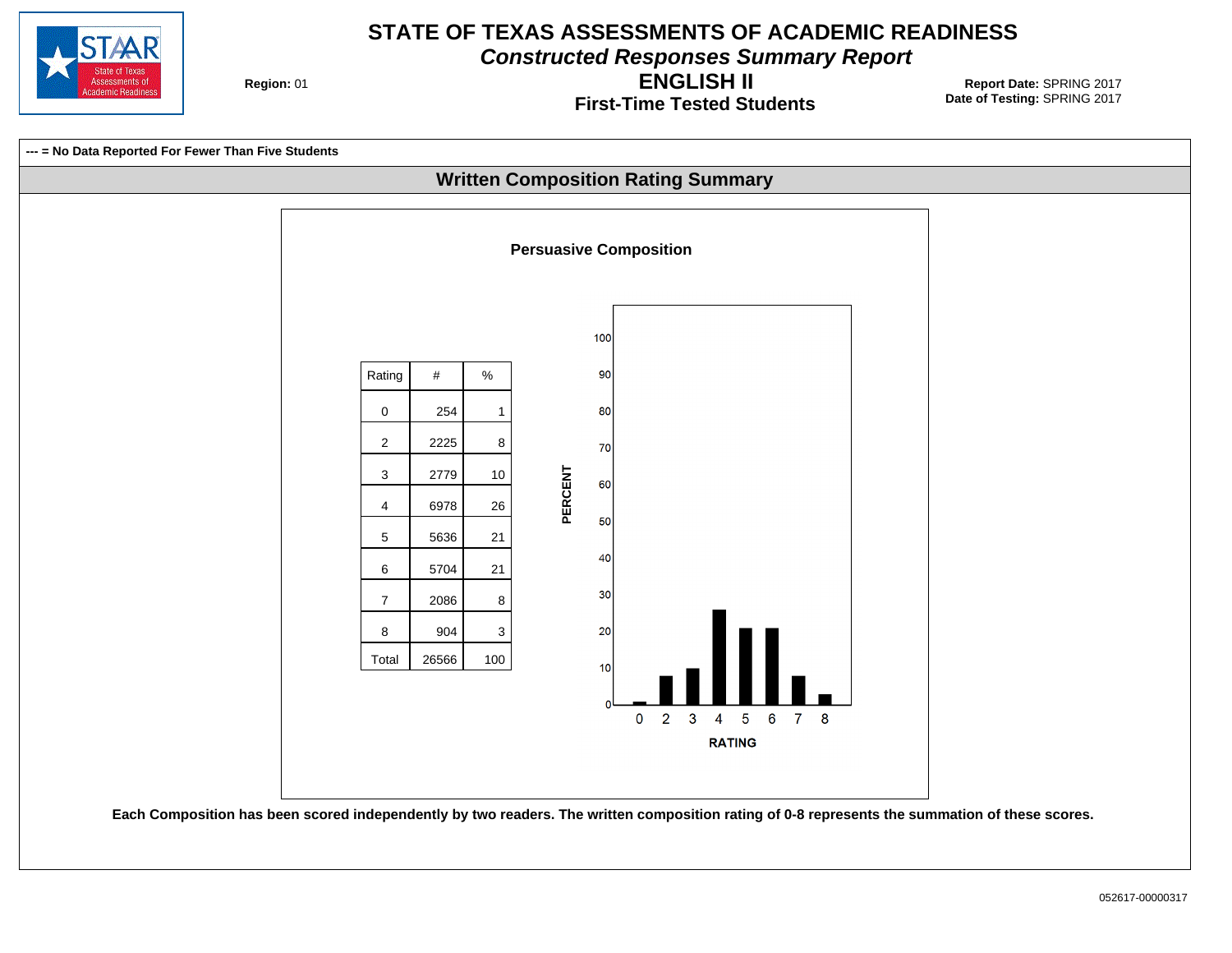

**Constructed Responses Summary Report**

**Region: 01** 

**First-Time Tested Students ENGLISH II**

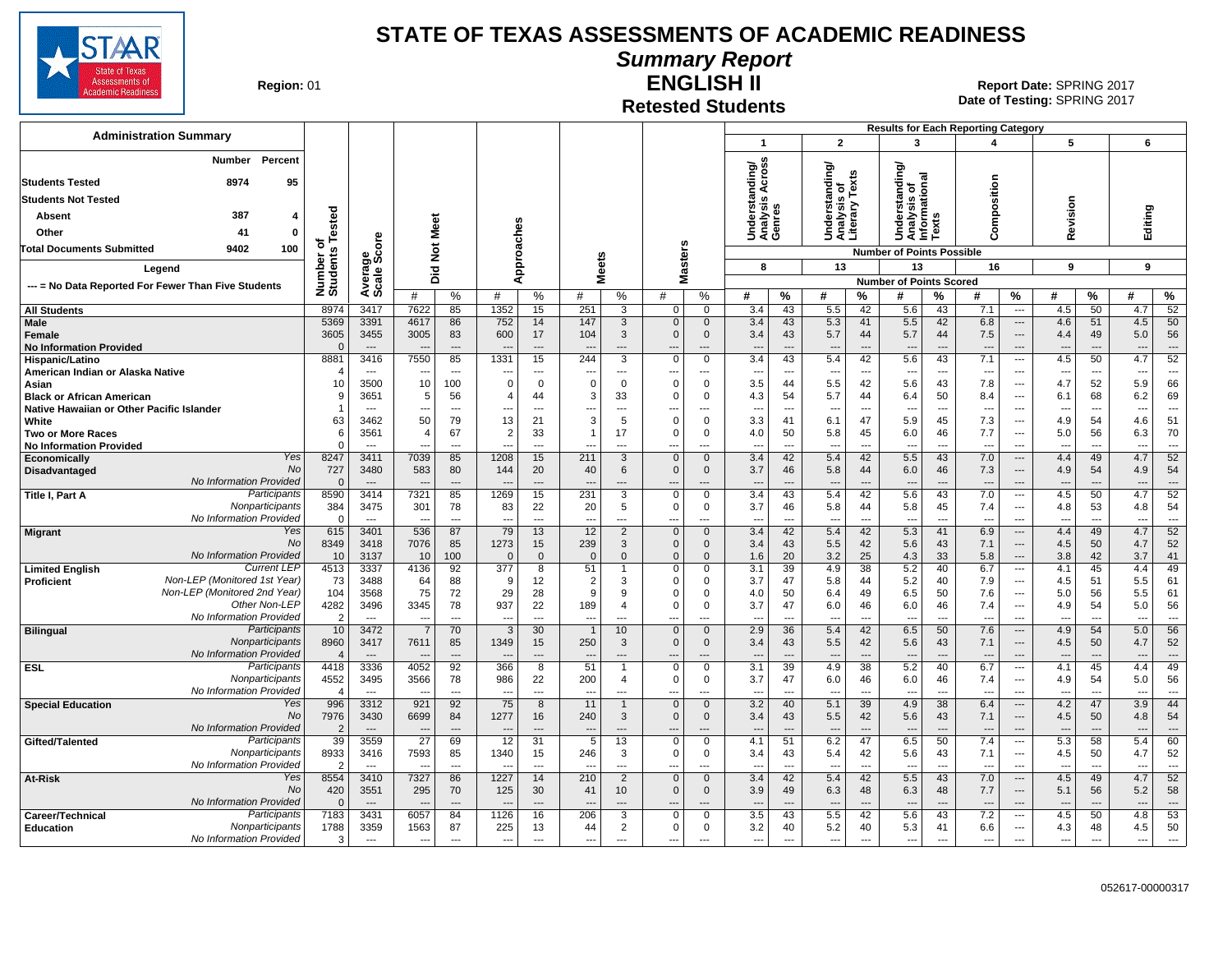

#### **Summary Report**

**Region: 01** 

# **Retested Students**

**ENGLISH II** 01 **Report Date:** SPRING 2017 **Date of Testing:**  SPRING 2017

| <b>Administration Summary</b>                                              |                        |                                  |                                  |                      |                                         |                                         |                          |                     |                                         |                               |                                                       |                                |                                                            |                                |                                             |                                | <b>Results for Each Reporting Category</b> |                                                      |                                 |                                |                                 |                                |
|----------------------------------------------------------------------------|------------------------|----------------------------------|----------------------------------|----------------------|-----------------------------------------|-----------------------------------------|--------------------------|---------------------|-----------------------------------------|-------------------------------|-------------------------------------------------------|--------------------------------|------------------------------------------------------------|--------------------------------|---------------------------------------------|--------------------------------|--------------------------------------------|------------------------------------------------------|---------------------------------|--------------------------------|---------------------------------|--------------------------------|
|                                                                            |                        |                                  |                                  |                      |                                         |                                         |                          |                     |                                         |                               | $\overline{1}$                                        |                                | $\overline{2}$                                             |                                | 3                                           |                                | 4                                          |                                                      | 5                               |                                | 6                               |                                |
| Percent<br>Number                                                          |                        |                                  |                                  |                      |                                         |                                         |                          |                     |                                         |                               |                                                       |                                |                                                            |                                |                                             |                                |                                            |                                                      |                                 |                                |                                 |                                |
| 8974<br><b>Students Tested</b><br>95                                       |                        |                                  |                                  |                      |                                         |                                         |                          |                     |                                         |                               | Across<br>Understanding/<br>Analysis Across<br>Genres |                                | tanding/<br>Understanding<br>Analysis of<br>Literary Texts |                                | tanding                                     | ional                          |                                            |                                                      |                                 |                                |                                 |                                |
| <b>Students Not Tested</b>                                                 |                        |                                  |                                  |                      |                                         |                                         |                          |                     |                                         |                               |                                                       |                                |                                                            |                                | ö                                           |                                | position                                   |                                                      |                                 |                                |                                 |                                |
| 387<br>Absent<br>4                                                         |                        |                                  |                                  |                      |                                         |                                         |                          |                     |                                         |                               |                                                       |                                |                                                            |                                | Understa<br>Analysis<br>Informatic<br>Texts |                                |                                            |                                                      | Revision                        |                                | Editing                         |                                |
| Other<br>41<br>$\mathbf 0$                                                 | ested                  | စ္                               | Meet                             |                      |                                         |                                         |                          |                     |                                         |                               |                                                       |                                |                                                            |                                |                                             |                                | ξ<br>Ō                                     |                                                      |                                 |                                |                                 |                                |
| Total Documents Submitted<br>9402<br>100                                   | ठ                      | ō                                | $\frac{5}{2}$                    |                      |                                         |                                         |                          |                     |                                         |                               |                                                       |                                |                                                            |                                | <b>Number of Points Possible</b>            |                                |                                            |                                                      |                                 |                                |                                 |                                |
| Legend                                                                     | Number o<br>Students   | Average<br>Scale Scc             | 흐                                |                      |                                         | pproaches                               | <b>Meets</b>             |                     | asters                                  |                               | 8                                                     |                                | 13                                                         |                                | 13                                          |                                | 16                                         |                                                      | 9                               |                                | 9                               |                                |
| --- = No Data Reported For Fewer Than Five Students                        |                        |                                  | ة                                |                      |                                         | ⋖                                       |                          |                     | Σ                                       |                               |                                                       |                                |                                                            |                                | <b>Number of Points Scored</b>              |                                |                                            |                                                      |                                 |                                |                                 |                                |
|                                                                            |                        |                                  | #                                | %                    | #                                       | %                                       | #                        | %                   | #                                       | %                             | #                                                     | $\%$                           | #                                                          | $\%$                           | #                                           | %                              | #                                          | %                                                    | #                               | $\%$                           | #                               | $\%$                           |
| <b>All Students</b>                                                        | 8974                   | 3417                             | 7622                             | 85                   | 1352                                    | 15                                      | 251                      | 3                   | $\mathbf 0$                             | $\Omega$                      | 3.4                                                   | 43                             | 5.5                                                        | 42                             | 5.6                                         | 43                             | 7.1                                        | $\overline{\phantom{a}}$                             | 4.5                             | 50                             | 4.7                             | 52                             |
| Male<br>Female                                                             | 5369<br>3605           | 3391<br>3455                     | 4617<br>3005                     | 86<br>83             | 752<br>600                              | 14<br>17                                | 147<br>104               | 3<br>3              | $\mathbf{0}$<br>$\mathbf{0}$            | $\mathbf{0}$<br>$\mathbf{0}$  | 3.4<br>3.4                                            | 43<br>43                       | 5.3<br>5.7                                                 | 41<br>44                       | 5.5<br>5.7                                  | 42<br>44                       | 6.8<br>7.5                                 | $\cdots$<br>$---$                                    | 4.6<br>4.4                      | 51<br>49                       | 4.5<br>5.0                      | 50<br>56                       |
| <b>No Information Provided</b>                                             | $\Omega$               | $---$                            |                                  | $\overline{a}$       |                                         | $---$                                   |                          | ---                 |                                         |                               | $\overline{a}$                                        | $\overline{a}$                 | $\overline{\phantom{a}}$                                   | $\overline{a}$                 | $\overline{\phantom{a}}$                    | $\overline{\phantom{a}}$       |                                            | $\overline{a}$                                       |                                 | $\overline{a}$                 |                                 | $\overline{a}$                 |
| Hispanic/Latino                                                            | 8881                   | 3416                             | 7550                             | 85                   | 1331                                    | 15                                      | 244                      | 3                   | $\mathbf 0$                             | $\mathbf 0$                   | 3.4                                                   | 43                             | 5.4                                                        | 42                             | 5.6                                         | 43                             | 7.1                                        | ---                                                  | 4.5                             | 50                             | 4.7                             | 52                             |
| American Indian or Alaska Native                                           | 10                     | $- - -$<br>3500                  | 10                               | $---$<br>100         | $\overline{\phantom{a}}$<br>$\mathbf 0$ | $\overline{\phantom{a}}$<br>$\mathbf 0$ | ---<br>$\Omega$          | ---<br>$\mathbf 0$  | ---<br>$\mathbf 0$                      | ---<br>$\Omega$               | $\overline{a}$<br>3.5                                 | $\overline{\phantom{a}}$<br>44 | $\overline{\phantom{a}}$<br>5.5                            | $---$<br>42                    | $\overline{\phantom{a}}$<br>5.6             | ---<br>43                      | $\overline{\phantom{a}}$<br>7.8            | $---$<br>---                                         | ---<br>4.7                      | ---<br>52                      | ---<br>5.9                      | $\overline{\phantom{a}}$<br>66 |
| Asian<br><b>Black or African American</b>                                  |                        | 3651                             | 5                                | 56                   | $\overline{4}$                          | 44                                      | 3                        | 33                  | $\Omega$                                | $\Omega$                      | 4.3                                                   | 54                             | 5.7                                                        | 44                             | 6.4                                         | 50                             | 8.4                                        | ---                                                  | 6.1                             | 68                             | 6.2                             | 69                             |
| Native Hawaiian or Other Pacific Islander                                  |                        | $\sim$                           | $\sim$                           | $---$                | $\overline{a}$                          | $---$                                   | ---                      | $\sim$              | $\overline{\phantom{a}}$                | $\overline{a}$                | $\overline{a}$                                        | ---                            | $\sim$                                                     | $---$                          | $\overline{\phantom{a}}$                    | $\overline{a}$                 | $---$                                      | $\overline{a}$                                       | $\sim$                          | $\sim$                         | $\sim$                          | $---$                          |
| White                                                                      | 63                     | 3462                             | 50                               | 79                   | 13                                      | 21                                      | 3                        | 5                   | $\mathbf 0$                             | $\mathbf 0$                   | 3.3                                                   | 41                             | 6.1                                                        | 47                             | 5.9                                         | 45                             | 7.3                                        | $\overline{\phantom{a}}$                             | 4.9                             | 54                             | 4.6                             | 51                             |
| <b>Two or More Races</b><br><b>No Information Provided</b>                 | 6<br>$\Omega$          | 3561<br>$\sim$                   | 4                                | 67<br>$- - -$        | $\overline{2}$<br>$\overline{a}$        | 33<br>$---$                             | $\mathbf{1}$<br>--       | 17<br>$\sim$        | $\mathbf 0$<br>$\overline{\phantom{a}}$ | $\mathbf 0$<br>$\overline{a}$ | 4.0<br>$\overline{a}$                                 | 50<br>$\overline{a}$           | 5.8<br>$\sim$                                              | 45<br>$---$                    | 6.0<br>$\sim$                               | 46<br>$\overline{a}$           | 7.7<br>$---$                               | $\overline{\phantom{a}}$<br>$\overline{a}$           | 5.0<br>$\sim$                   | 56<br>$\sim$                   | 6.3<br>$\sim$                   | 70<br>$\overline{a}$           |
| Yes<br>Economically                                                        | 8247                   | 3411                             | 7039                             | 85                   | 1208                                    | 15                                      | 211                      | 3                   | $\mathbf 0$                             | $\mathbf 0$                   | 3.4                                                   | 42                             | 5.4                                                        | 42                             | 5.5                                         | 43                             | 7.0                                        | ---                                                  | 4.4                             | 49                             | 4.7                             | 52                             |
| <b>No</b><br><b>Disadvantaged</b>                                          | 727                    | 3480                             | 583                              | 80                   | 144                                     | 20                                      | 40                       | 6                   | $\mathbf 0$                             | $\mathbf 0$                   | 3.7                                                   | 46                             | 5.8                                                        | 44                             | 6.0                                         | 46                             | 7.3                                        | $---$                                                | 4.9                             | 54                             | 4.9                             | 54                             |
| No Information Provided<br>Participants<br>Title I, Part A                 | $\cap$<br>8590         | $--$<br>3414                     | 7321                             | $---$<br>85          | 1269                                    | $---$<br>15                             | 231                      | $---$<br>3          | $- -$<br>$\mathbf 0$                    | $---$<br>$\mathbf 0$          | $\overline{a}$<br>3.4                                 | $\overline{\phantom{a}}$<br>43 | $\overline{\phantom{a}}$<br>5.4                            | $---$<br>42                    | $\overline{\phantom{a}}$<br>5.6             | $---$<br>43                    | $---$<br>7.0                               | $---$<br>$\overline{\phantom{a}}$                    | 4.5                             | $\overline{\phantom{a}}$<br>50 | $\overline{\phantom{a}}$<br>4.7 | $---$<br>52                    |
| Nonparticipants                                                            | 384                    | 3475                             | 301                              | 78                   | 83                                      | 22                                      | 20                       | 5                   | $\Omega$                                | $\mathbf 0$                   | 3.7                                                   | 46                             | 5.8                                                        | 44                             | 5.8                                         | 45                             | 7.4                                        | $\overline{a}$                                       | 4.8                             | 53                             | 4.8                             | 54                             |
| No Information Provided                                                    | $\Omega$               | $\ddotsc$                        |                                  | $\overline{a}$       | ---                                     | $\overline{a}$                          | ---                      | ---                 | ---                                     | ---                           | ---                                                   | $\overline{\phantom{a}}$       | $\overline{\phantom{a}}$                                   | $\overline{a}$                 | $\overline{a}$                              | $\overline{a}$                 | $\overline{\phantom{a}}$                   | $\overline{a}$                                       | $\overline{\phantom{a}}$        | $\overline{a}$                 | $\overline{\phantom{a}}$        | $\cdots$                       |
| Yes<br><b>Migrant</b><br><b>No</b>                                         | 615<br>8349            | 3401<br>3418                     | 536<br>7076                      | 87<br>85             | 79<br>1273                              | 13<br>15                                | 12<br>239                | $\overline{2}$<br>3 | $\mathbf 0$<br>$\mathbf{0}$             | $\mathbf{0}$<br>$\mathbf{0}$  | 3.4<br>3.4                                            | 42<br>43                       | 5.4<br>5.5                                                 | 42<br>42                       | 5.3<br>5.6                                  | 41<br>43                       | 6.9<br>7.1                                 | ---<br>---                                           | 4.4<br>4.5                      | 49<br>50                       | 4.7<br>4.7                      | 52<br>52                       |
| No Information Provided                                                    | 10                     | 3137                             | 10                               | 100                  | $\overline{0}$                          | $\mathbf 0$                             | $\Omega$                 | $\overline{0}$      | $\Omega$                                | $\Omega$                      | 1.6                                                   | 20                             | 3.2                                                        | 25                             | 4.3                                         | 33                             | 5.8                                        | ---                                                  | 3.8                             | 42                             | 3.7                             | 41                             |
| <b>Current LEP</b><br><b>Limited English</b>                               | 4513                   | 3337                             | 4136                             | 92                   | 377                                     | 8                                       | 51                       |                     | $\overline{0}$                          | $\mathbf 0$                   | 3.1                                                   | 39                             | 4.9                                                        | $\overline{38}$                | 5.2                                         | 40                             | 6.7                                        | $\sim$                                               | 4.1                             | 45                             | 4.4                             | 49                             |
| Non-LEP (Monitored 1st Year)<br>Proficient<br>Non-LEP (Monitored 2nd Year) | 73<br>104              | 3488<br>3568                     | 64<br>75                         | 88<br>72             | 9<br>29                                 | 12<br>28                                | $\overline{2}$<br>9      | 3<br>9              | $\Omega$<br>$\Omega$                    | $\Omega$<br>$\mathbf 0$       | 3.7<br>4.0                                            | 47<br>50                       | 5.8<br>6.4                                                 | 44<br>49                       | 5.2<br>6.5                                  | 40<br>50                       | 7.9<br>7.6                                 | ---<br>$\overline{\phantom{a}}$                      | 4.5<br>5.0                      | 51<br>56                       | 5.5<br>5.5                      | 61<br>61                       |
| Other Non-LEP                                                              | 4282                   | 3496                             | 3345                             | 78                   | 937                                     | 22                                      | 189                      | $\overline{4}$      | $\Omega$                                | $\mathbf 0$                   | 3.7                                                   | 47                             | 6.0                                                        | 46                             | 6.0                                         | 46                             | 7.4                                        | ---                                                  | 4.9                             | 54                             | 5.0                             | 56                             |
| No Information Provided                                                    | $\overline{2}$         |                                  | $\overline{\phantom{a}}$         | ---                  | $\overline{a}$                          |                                         | ---                      |                     | ---                                     | ---                           | $\overline{a}$                                        | $\overline{\phantom{a}}$       | $\overline{\phantom{a}}$                                   | $\overline{a}$                 | $\overline{a}$                              | $\overline{a}$                 | $\overline{a}$                             | ---                                                  |                                 |                                | $\overline{\phantom{a}}$        | $\overline{a}$                 |
| Participants<br><b>Bilingual</b>                                           | 10                     | 3472                             | $\overline{7}$                   | 70                   | -3                                      | 30                                      | $\overline{\phantom{a}}$ | 10                  | $\mathbf{0}$                            | $\mathbf{0}$                  | 2.9                                                   | 36                             | 5.4                                                        | 42                             | 6.5                                         | 50                             | 7.6                                        | ---                                                  | 4.9                             | 54                             | 5.0                             | 56                             |
| Nonparticipants<br>No Information Provided                                 | 8960<br>$\overline{4}$ | 3417<br>$---$                    | 7611                             | 85<br>$\overline{a}$ | 1349                                    | 15<br>$\overline{a}$                    | 250                      | 3<br>---            | $\Omega$<br>$\overline{\phantom{a}}$    | $\mathbf{0}$<br>---           | 3.4<br>$\overline{a}$                                 | 43<br>$\overline{a}$           | 5.5<br>$\overline{\phantom{a}}$                            | 42<br>$\overline{a}$           | 5.6<br>$\overline{\phantom{a}}$             | 43<br>$\overline{\phantom{a}}$ | 7.1<br>$\overline{a}$                      | ---<br>---                                           | 4.5                             | 50                             | 4.7<br>---                      | 52<br>$\overline{\phantom{a}}$ |
| Participants<br><b>ESL</b>                                                 | 4418                   | 3336                             | 4052                             | 92                   | 366                                     | $\overline{8}$                          | 51                       |                     | $\overline{0}$                          | $\overline{0}$                | 3.1                                                   | 39                             | 4.9                                                        | 38                             | 5.2                                         | 40                             | 6.7                                        | $\sim$ $\sim$                                        | 4.1                             | 45                             | 4.4                             | 49                             |
| Nonparticipants                                                            | 4552                   | 3495                             | 3566                             | 78                   | 986                                     | 22                                      | 200                      | 4                   | $\Omega$                                | $\mathbf 0$                   | 3.7                                                   | 47                             | 6.0                                                        | 46                             | 6.0                                         | 46                             | 7.4                                        | ---                                                  | 4.9                             | 54                             | 5.0                             | 56                             |
| No Information Provided<br>Yes<br><b>Special Education</b>                 | $\overline{4}$<br>996  | $\overline{\phantom{a}}$<br>3312 | $\sim$<br>921                    | $\overline{a}$<br>92 | $\overline{a}$<br>75                    | ---<br>8                                | ---<br>11                | ---<br>$\mathbf{1}$ | ---<br>$\mathbf{0}$                     | ---<br>$\mathbf{0}$           | $\overline{a}$<br>3.2                                 | ---<br>40                      | $\overline{\phantom{a}}$<br>5.1                            | $\overline{a}$<br>39           | $\overline{\phantom{a}}$<br>4.9             | $\overline{a}$<br>38           | $\overline{\phantom{a}}$<br>6.4            | $\overline{a}$<br>---                                | $\overline{a}$<br>4.2           | 47                             | $\overline{\phantom{a}}$<br>3.9 | $\overline{a}$<br>44           |
| No                                                                         | 7976                   | 3430                             | 6699                             | 84                   | 1277                                    | 16                                      | 240                      | 3                   | $\mathbf 0$                             | $\mathbf{0}$                  | 3.4                                                   | 43                             | 5.5                                                        | 42                             | 5.6                                         | 43                             | 7.1                                        | ---                                                  | 4.5                             | 50                             | 4.8                             | 54                             |
| No Information Provided                                                    | $\overline{2}$         | $---$                            |                                  | $\sim$               |                                         | $\overline{a}$                          |                          | ---                 |                                         |                               | $\overline{a}$                                        | $\overline{a}$                 |                                                            | $\overline{a}$                 | $\overline{\phantom{a}}$                    | $\overline{a}$                 | $\overline{a}$                             | $\overline{a}$                                       |                                 |                                |                                 | $\overline{a}$                 |
| Participants<br>Gifted/Talented<br>Nonparticipants                         | 39                     | 3559                             | $\overline{27}$                  | 69                   | 12                                      | 31                                      | 5                        | 13                  | $\mathbf 0$                             | $\mathbf 0$                   | 4.1                                                   | 51                             | 6.2                                                        | 47                             | 6.5                                         | 50                             | 7.4                                        | $\overline{\phantom{a}}$<br>$\overline{\phantom{a}}$ | 5.3                             | 58                             | 5.4                             | 60                             |
| No Information Provided                                                    | 8933                   | 3416<br>$\overline{\phantom{a}}$ | 7593<br>$\overline{\phantom{a}}$ | 85<br>$\overline{a}$ | 1340<br>$\overline{\phantom{a}}$        | 15<br>$\overline{\phantom{a}}$          | 246<br>---               | 3<br>$\overline{a}$ | $\mathbf 0$<br>---                      | $\mathbf 0$<br>---            | 3.4<br>---                                            | 43<br>$\overline{a}$           | 5.4<br>$\overline{\phantom{a}}$                            | 42<br>$\overline{\phantom{a}}$ | 5.6<br>$\overline{\phantom{a}}$             | 43<br>$\overline{a}$           | 7.1<br>$\overline{\phantom{a}}$            | $\overline{a}$                                       | 4.5<br>$\overline{\phantom{a}}$ | 50<br>$\overline{\phantom{a}}$ | 4.7<br>$\overline{\phantom{a}}$ | 52<br>$\overline{\phantom{a}}$ |
| Yes<br>At-Risk                                                             | 8554                   | 3410                             | 7327                             | 86                   | 1227                                    | 14                                      | 210                      | $\overline{2}$      | $\mathbf 0$                             | $\mathbf{0}$                  | 3.4                                                   | 42                             | 5.4                                                        | 42                             | 5.5                                         | 43                             | 7.0                                        | $\overline{\phantom{a}}$                             | 4.5                             | 49                             | 4.7                             | 52                             |
| No                                                                         | 420                    | 3551                             | 295                              | 70                   | 125                                     | 30                                      | 41                       | 10 <sup>°</sup>     | $\mathbf{0}$                            | $\mathbf{0}$                  | 3.9                                                   | 49                             | 6.3                                                        | 48                             | 6.3                                         | 48                             | 7.7                                        | ---                                                  | 5.1                             | 56                             | 5.2                             | 58                             |
| No Information Provided<br>Participants<br>Career/Technical                | $\Omega$<br>7183       | $\overline{\phantom{a}}$<br>3431 | 6057                             | $\overline{a}$<br>84 | 1126                                    | $---$<br>16                             | 206                      | ---<br>3            | $\mathbf 0$                             | $---$<br>$\mathbf 0$          | $\overline{a}$<br>3.5                                 | $\overline{a}$<br>43           | $\overline{\phantom{a}}$<br>5.5                            | $\overline{a}$<br>42           | $\overline{\phantom{a}}$<br>5.6             | $\overline{\phantom{a}}$<br>43 | $---$<br>7.2                               | ---<br>---                                           | 4.5                             | 50                             | ---<br>4.8                      | $\overline{\phantom{a}}$<br>53 |
| Education<br>Nonparticipants                                               | 1788                   | 3359                             | 1563                             | 87                   | 225                                     | 13                                      | 44                       | $\overline{2}$      | 0                                       | 0                             | 3.2                                                   | 40                             | 5.2                                                        | 40                             | 5.3                                         | 41                             | 6.6                                        | $\overline{\phantom{a}}$                             | 4.3                             | 48                             | 4.5                             | 50                             |
| No Information Provided                                                    | 3                      | $\overline{\phantom{a}}$         | $\overline{\phantom{a}}$         | $\overline{a}$       | $\overline{\phantom{a}}$                | $\overline{a}$                          | ---                      | $\overline{a}$      | ---                                     | ---                           | $\overline{\phantom{a}}$                              | $\overline{a}$                 | $\overline{\phantom{a}}$                                   | ---                            | $\hspace{0.05cm} \ldots$                    | $\overline{a}$                 | $\hspace{0.05cm} \ldots$                   | ---                                                  | $\overline{\phantom{a}}$        | $\overline{\phantom{a}}$       | $\overline{\phantom{a}}$        | $\cdots$                       |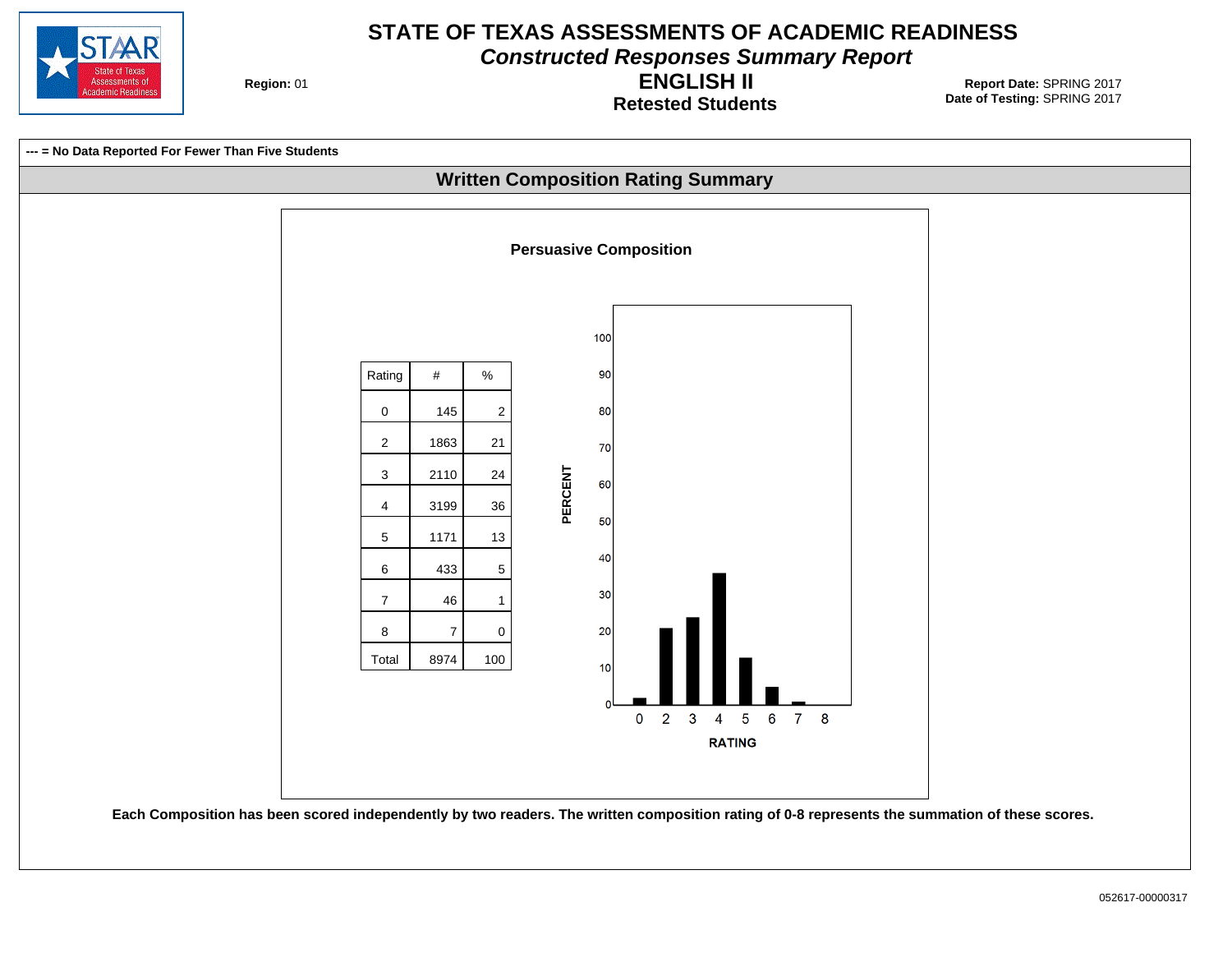

**Constructed Responses Summary Report**

**Region: 01** 

**Retested Students ENGLISH II**

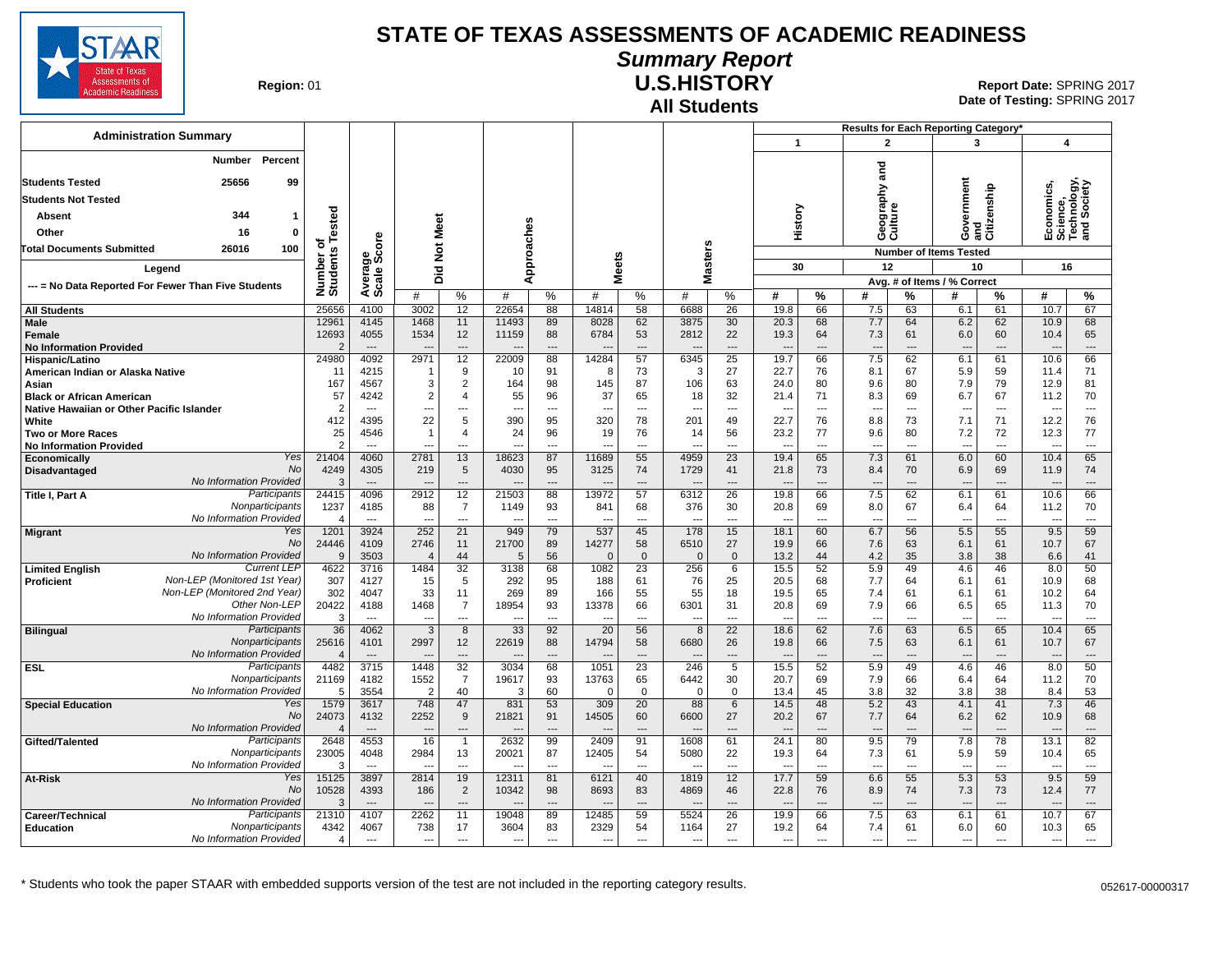

# **Summary Report**

**Region: 01** 

#### **All Students U.S.HISTORY**

**Date of Testing:**  SPRING 2017 01 **Report Date:** SPRING 2017

|                                                     |                                            |                         |                                  |                        |                          |                |                                |                                   |                    |                          |                       |                                  | Results for Each Reporting Category' |                                 |                      |                                             |                          |                                                      |                          |
|-----------------------------------------------------|--------------------------------------------|-------------------------|----------------------------------|------------------------|--------------------------|----------------|--------------------------------|-----------------------------------|--------------------|--------------------------|-----------------------|----------------------------------|--------------------------------------|---------------------------------|----------------------|---------------------------------------------|--------------------------|------------------------------------------------------|--------------------------|
| <b>Administration Summary</b>                       |                                            |                         |                                  |                        |                          |                |                                |                                   |                    |                          |                       | $\mathbf{1}$                     |                                      | $\overline{2}$                  |                      | 3                                           |                          | $\overline{\mathbf{4}}$                              |                          |
|                                                     | Percent<br>Number                          |                         |                                  |                        |                          |                |                                |                                   |                    |                          |                       |                                  |                                      | ठ<br>ā                          |                      |                                             |                          |                                                      |                          |
| <b>Students Tested</b>                              | 25656<br>99                                |                         |                                  |                        |                          |                |                                |                                   |                    |                          |                       |                                  |                                      | ξ                               |                      | ernment<br>Government<br>and<br>Citizenship |                          | Economics,<br>Science,<br>Technology,<br>and Society |                          |
| Students Not Tested                                 |                                            |                         |                                  |                        |                          |                |                                |                                   |                    |                          |                       |                                  |                                      |                                 |                      |                                             |                          |                                                      |                          |
| <b>Absent</b>                                       | 344<br>$\mathbf{1}$                        | ested                   |                                  |                        |                          |                |                                |                                   |                    |                          |                       | History                          |                                      | Geograp<br>Culture              |                      |                                             |                          |                                                      |                          |
| Other                                               | $\mathbf 0$<br>16                          |                         |                                  |                        |                          |                |                                |                                   |                    |                          |                       |                                  |                                      |                                 |                      |                                             |                          |                                                      |                          |
| <b>Total Documents Submitted</b>                    | 26016<br>100                               | ৳<br>'n,                |                                  |                        |                          |                |                                |                                   |                    |                          |                       |                                  |                                      |                                 |                      | <b>Number of Items Tested</b>               |                          |                                                      |                          |
|                                                     |                                            |                         |                                  | Not Meet               |                          |                |                                |                                   |                    |                          |                       |                                  |                                      | 12                              |                      |                                             |                          | 16                                                   |                          |
| Legend                                              |                                            |                         |                                  | Did                    |                          | Approaches     |                                | <b>Meets</b>                      |                    | Masters                  |                       | 30                               |                                      |                                 |                      | 10<br>Avg. # of Items / % Correct           |                          |                                                      |                          |
| --- = No Data Reported For Fewer Than Five Students |                                            | Number<br>Students      | Average<br>Scale Score           | #                      | %                        | #              | %                              | #                                 | %                  | #                        | %                     | #                                | $\%$                                 | #                               | %                    | #                                           | %                        | #                                                    | %                        |
| <b>All Students</b>                                 |                                            | 25656                   | 4100                             | 3002                   | 12                       | 22654          | 88                             | 14814                             | 58                 | 6688                     | 26                    | 19.8                             | 66                                   | 7.5                             | 63                   | 6.1                                         | 61                       | 10.7                                                 | 67                       |
| Male                                                |                                            | 1296                    | 4145                             | 1468                   | 11                       | 11493          | 89                             | 8028                              | 62                 | 3875                     | 30                    | 20.3                             | 68                                   | 7.7                             | 64                   | 6.2                                         | 62                       | 10.9                                                 | 68                       |
| Female                                              |                                            | 12693<br>$\overline{2}$ | 4055<br>$\overline{\phantom{a}}$ | 1534                   | 12<br>---                | 11159          | 88<br>$\overline{\phantom{a}}$ | 6784                              | 53<br>---          | 2812                     | 22<br>$\overline{a}$  | 19.3                             | 64<br>$\overline{\phantom{a}}$       | 7.3<br>$\overline{\phantom{a}}$ | 61                   | 6.0                                         | 60<br>---                | 10.4                                                 | 65<br>$\overline{a}$     |
| <b>No Information Provided</b><br>Hispanic/Latino   |                                            | 24980                   | 4092                             | 2971                   | 12                       | 22009          | 88                             | 14284                             | 57                 | 6345                     | 25                    | 19.7                             | 66                                   | 7.5                             | 62                   | $\overline{\phantom{a}}$<br>6.1             | 61                       | 10.6                                                 | 66                       |
| American Indian or Alaska Native                    |                                            | 11                      | 4215                             |                        | 9                        | 10             | 91                             | -8                                | 73                 | 3                        | 27                    | 22.7                             | 76                                   | 8.1                             | 67                   | 5.9                                         | 59                       | 11.4                                                 | 71                       |
| Asian                                               |                                            | 167                     | 4567                             | 3                      | 2                        | 164            | 98                             | 145                               | 87                 | 106                      | 63                    | 24.0                             | 80                                   | 9.6                             | 80                   | 7.9                                         | 79                       | 12.9                                                 | 81                       |
| <b>Black or African American</b>                    |                                            | 57                      | 4242                             | 2                      | 4                        | 55             | 96                             | 37                                | 65                 | 18                       | 32                    | 21.4                             | 71                                   | 8.3                             | 69                   | 6.7                                         | 67                       | 11.2                                                 | 70                       |
| Native Hawaiian or Other Pacific Islander           |                                            | $\overline{2}$          | ---                              |                        | ---                      |                | $\overline{\phantom{a}}$       |                                   | $\cdots$           | --                       | ---                   |                                  | ---                                  | $\overline{\phantom{a}}$        | ---                  | ---                                         | $\overline{\phantom{a}}$ |                                                      | ---                      |
| White                                               |                                            | 412                     | 4395                             | 22                     | 5                        | 390            | 95                             | 320                               | 78                 | 201                      | 49                    | 22.7                             | 76                                   | 8.8                             | 73                   | 7.1                                         | 71                       | 12.2                                                 | 76                       |
| <b>Two or More Races</b>                            |                                            | 25                      | 4546                             | -1                     | 4                        | 24             | 96                             | 19                                | 76                 | 14                       | 56                    | 23.2                             | 77                                   | 9.6                             | 80                   | 7.2                                         | 72                       | 12.3                                                 | 77                       |
| <b>No Information Provided</b>                      | Yes                                        | $\mathcal{P}$<br>21404  | 4060                             | 2781                   | 13                       | 18623          | 87                             | 11689                             | ---<br>55          | --<br>4959               | 23                    | 19.4                             | 65                                   | ---<br>7.3                      | 61                   | $\overline{a}$<br>6.0                       | 60                       | 10.4                                                 | ---<br>65                |
| Economically<br>Disadvantaged                       | No                                         | 4249                    | 4305                             | 219                    | 5                        | 4030           | 95                             | 3125                              | 74                 | 1729                     | 41                    | 21.8                             | 73                                   | 8.4                             | 70                   | 6.9                                         | 69                       | 11.9                                                 | 74                       |
|                                                     | No Information Provided                    | 3                       |                                  |                        | ---                      |                | $\overline{\phantom{a}}$       |                                   | ---                |                          | ---                   |                                  |                                      |                                 |                      |                                             |                          |                                                      | ---                      |
| Title I, Part A                                     | Participants                               | 24415                   | 4096                             | 2912                   | $\overline{12}$          | 21503          | 88                             | 13972                             | 57                 | 6312                     | 26                    | 19.8                             | 66                                   | 7.5                             | 62                   | 6.1                                         | 61                       | 10.6                                                 | 66                       |
|                                                     | Nonparticipants                            | 1237                    | 4185                             | 88                     | $\overline{7}$           | 1149           | 93                             | 841                               | 68                 | 376                      | 30                    | 20.8                             | 69                                   | 8.0                             | 67                   | 6.4                                         | 64                       | 11.2                                                 | 70                       |
|                                                     | No Information Provided                    | $\Delta$                | $\overline{a}$                   | $\sim$                 | $---$                    | ---            | $\sim$                         | $---$                             | $---$              | ---                      | $\overline{a}$        | $\overline{\phantom{a}}$         | $\overline{a}$                       | $\sim$                          | $\overline{a}$       | $\overline{\phantom{a}}$                    | $---$                    | $\overline{\phantom{a}}$                             | $\overline{a}$           |
| <b>Migrant</b>                                      | Yes                                        | 1201                    | 3924                             | 252                    | 21                       | 949            | 79                             | 537                               | 45                 | 178                      | 15                    | 18.1                             | 60                                   | 6.7                             | 56                   | 5.5                                         | 55                       | 9.5                                                  | 59                       |
|                                                     | <b>No</b><br>No Information Provided       | 24446<br>9              | 4109<br>3503                     | 2746<br>$\overline{4}$ | 11<br>44                 | 21700<br>5     | 89<br>56                       | 14277<br>$\mathbf{C}$             | 58<br>$\mathbf{0}$ | 6510                     | 27<br>$\mathbf 0$     | 19.9<br>13.2                     | 66<br>44                             | 7.6<br>4.2                      | 63<br>35             | 6.1<br>3.8                                  | 61<br>38                 | 10.7<br>6.6                                          | 67<br>41                 |
| <b>Limited English</b>                              | <b>Current LEF</b>                         | 4622                    | 3716                             | 1484                   | $\overline{32}$          | 3138           | 68                             | 1082                              | 23                 | $\mathbf 0$<br>256       | 6                     | 15.5                             | 52                                   | 5.9                             | 49                   | 4.6                                         | 46                       | 8.0                                                  | 50                       |
| Proficient                                          | Non-LEP (Monitored 1st Year)               | 307                     | 4127                             | 15                     | 5                        | 292            | 95                             | 188                               | 61                 | 76                       | 25                    | 20.5                             | 68                                   | 7.7                             | 64                   | 6.1                                         | 61                       | 10.9                                                 | 68                       |
|                                                     | Non-LEP (Monitored 2nd Year)               | 302                     | 4047                             | 33                     | 11                       | 269            | 89                             | 166                               | 55                 | 55                       | 18                    | 19.5                             | 65                                   | 7.4                             | 61                   | 6.1                                         | 61                       | 10.2                                                 | 64                       |
|                                                     | Other Non-LEP                              | 20422                   | 4188                             | 1468                   | $\overline{7}$           | 18954          | 93                             | 13378                             | 66                 | 6301                     | 31                    | 20.8                             | 69                                   | 7.9                             | 66                   | 6.5                                         | 65                       | 11.3                                                 | 70                       |
|                                                     | No Information Provided                    | 3                       | $\overline{\phantom{a}}$         |                        | ---                      |                | $\overline{\phantom{a}}$       |                                   | ---                |                          | ---                   | $\sim$                           | $\overline{a}$                       | $\overline{a}$                  | ---                  | $\overline{a}$                              | ---                      |                                                      | ---                      |
| <b>Bilingual</b>                                    | Participants                               | 36                      | 4062                             | 3                      | 8                        | 33             | 92                             | 20                                | 56                 | 8                        | 22                    | 18.6                             | 62                                   | 7.6                             | 63                   | 6.5                                         | 65                       | 10.4                                                 | 65                       |
|                                                     | Nonparticipants<br>No Information Provided | 25616                   | 4101                             | 2997                   | 12                       | 22619          | 88                             | 14794                             | 58                 | 6680                     | 26                    | 19.8                             | 66                                   | 7.5                             | 63                   | 6.1                                         | 61                       | 10.7                                                 | 67                       |
| <b>ESL</b>                                          | Participants                               | $\overline{4}$<br>4482  | $\overline{\phantom{a}}$<br>3715 | 1448                   | ---<br>32                | 3034           | 68                             | 1051                              | $\overline{23}$    | 246                      | ---<br>$5\overline{}$ | $\overline{\phantom{a}}$<br>15.5 | $\overline{a}$<br>52                 | $\overline{\phantom{a}}$<br>5.9 | 49                   | $\overline{\phantom{a}}$<br>4.6             | ---<br>46                | 8.0                                                  | ---<br>50                |
|                                                     | Nonparticipants                            | 21169                   | 4182                             | 1552                   | $\overline{7}$           | 19617          | 93                             | 13763                             | 65                 | 6442                     | 30                    | 20.7                             | 69                                   | 7.9                             | 66                   | 6.4                                         | 64                       | 11.2                                                 | 70                       |
|                                                     | No Information Provided                    | 5                       | 3554                             | 2                      | 40                       | 3              | 60                             | $\mathbf 0$                       | $\mathbf 0$        | $\mathbf 0$              | 0                     | 13.4                             | 45                                   | 3.8                             | 32                   | 3.8                                         | 38                       | 8.4                                                  | 53                       |
| <b>Special Education</b>                            | Yes                                        | 1579                    | 3617                             | 748                    | 47                       | 831            | 53                             | 309                               | 20                 | 88                       | 6                     | 14.5                             | 48                                   | 5.2                             | 43                   | 4.1                                         | 41                       | 7.3                                                  | 46                       |
|                                                     | No                                         | 24073                   | 4132                             | 2252                   | 9                        | 21821          | 91                             | 14505                             | 60                 | 6600                     | 27                    | 20.2                             | 67                                   | 7.7                             | 64                   | 6.2                                         | 62                       | 10.9                                                 | 68                       |
|                                                     | <b>No Information Provided</b>             | $\Delta$                | $\overline{a}$                   | $- -$                  | ---                      |                | $\overline{\phantom{a}}$       |                                   | $---$              |                          | ---                   | $\overline{\phantom{a}}$         | $---$                                | $\overline{\phantom{a}}$        | ---                  | $\overline{\phantom{a}}$                    | $---$                    | <b></b>                                              | ---                      |
| Gifted/Talented                                     | Participants                               | 2648                    | 4553                             | 16                     | $\mathbf{1}$             | 2632           | 99                             | 2409                              | 91                 | 1608                     | 61                    | 24.1                             | 80                                   | 9.5                             | 79                   | 7.8                                         | 78                       | 13.1                                                 | 82                       |
|                                                     | Nonparticipants<br>No Information Provided | 23005<br>3              | 4048<br>$\overline{a}$           | 2984<br>$\overline{a}$ | 13<br>$---$              | 20021<br>---   | 87<br>$\sim$                   | 12405<br>$\overline{\phantom{a}}$ | 54<br>$---$        | 5080<br>--               | 22<br>$\overline{a}$  | 19.3<br>$\overline{\phantom{a}}$ | 64<br>$- - -$                        | 7.3<br>$\sim$                   | 61<br>$\overline{a}$ | 5.9                                         | 59<br>$---$              | 10.4<br>$\sim$                                       | 65<br>$---$              |
| At-Risk                                             | Yes                                        | 15125                   | 3897                             | 2814                   | 19                       | 12311          | 81                             | 6121                              | 40                 | 1819                     | 12                    | 17.7                             | 59                                   | 6.6                             | 55                   | ---<br>5.3                                  | 53                       | 9.5                                                  | 59                       |
|                                                     | No                                         | 10528                   | 4393                             | 186                    | $\overline{2}$           | 10342          | 98                             | 8693                              | 83                 | 4869                     | 46                    | 22.8                             | 76                                   | 8.9                             | 74                   | 7.3                                         | 73                       | 12.4                                                 | 77                       |
|                                                     | No Information Provided                    | 3                       | $---$                            | $-$                    | $\overline{\phantom{a}}$ | $\overline{a}$ | $---$                          | ---                               | ---                | $\overline{\phantom{a}}$ | $\overline{a}$        | $\overline{\phantom{a}}$         | $\overline{\phantom{a}}$             | $\overline{\phantom{a}}$        | $\overline{a}$       | $\overline{\phantom{a}}$                    | ---                      |                                                      | $\overline{\phantom{a}}$ |
| Career/Technical                                    | Participants                               | 21310                   | 4107                             | 2262                   | 11                       | 19048          | 89                             | 12485                             | 59                 | 5524                     | 26                    | 19.9                             | 66                                   | 7.5                             | 63                   | 6.1                                         | 61                       | 10.7                                                 | 67                       |
| <b>Education</b>                                    | Nonparticipants                            | 4342                    | 4067                             | 738                    | 17                       | 3604           | 83                             | 2329                              | 54                 | 1164                     | 27                    | 19.2                             | 64                                   | 7.4                             | 61                   | 6.0                                         | 60                       | 10.3                                                 | 65                       |
|                                                     | No Information Provided                    | 4                       | ---                              | $\overline{a}$         | ---                      | ---            | $\overline{\phantom{a}}$       | ---                               | ---                | ---                      | ---                   | ---                              | $\overline{\phantom{a}}$             | $\overline{\phantom{a}}$        | ---                  | ---                                         | ---                      | ---                                                  | ---                      |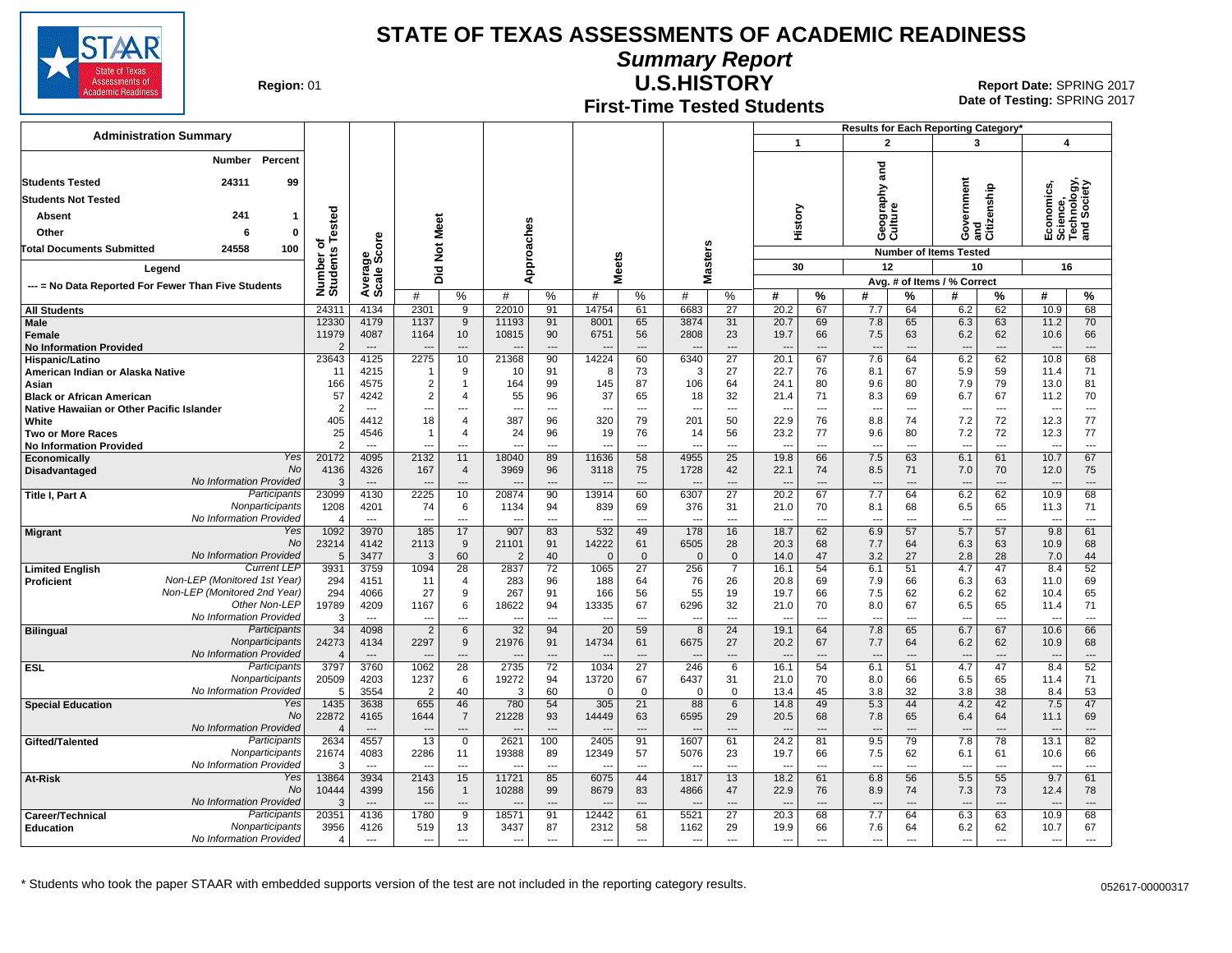

**Summary Report**

**Region: 01** 

#### **First-Time Tested Students U.S.HISTORY** 01 **Report Date:** SPRING 2017

**Date of Testing:**  SPRING 2017

|                                                            |                                                    |                        |                                  |                          |                      |                |                                |                       |                        |                                 |                                   |                                  | Results for Each Reporting Category* |                                 |                                |                                 |                      |                                                      |                                |
|------------------------------------------------------------|----------------------------------------------------|------------------------|----------------------------------|--------------------------|----------------------|----------------|--------------------------------|-----------------------|------------------------|---------------------------------|-----------------------------------|----------------------------------|--------------------------------------|---------------------------------|--------------------------------|---------------------------------|----------------------|------------------------------------------------------|--------------------------------|
| <b>Administration Summary</b>                              |                                                    |                        |                                  |                          |                      |                |                                |                       |                        |                                 |                                   | $\mathbf{1}$                     |                                      | $\mathbf{2}$                    |                                | $\mathbf{3}$                    |                      | $\boldsymbol{4}$                                     |                                |
| Number Percent                                             |                                                    |                        |                                  |                          |                      |                |                                |                       |                        |                                 |                                   |                                  |                                      |                                 |                                |                                 |                      |                                                      |                                |
| <b>Students Tested</b>                                     | 24311<br>99                                        |                        |                                  |                          |                      |                |                                |                       |                        |                                 |                                   |                                  |                                      | ត<br>ត                          |                                |                                 |                      |                                                      |                                |
| <b>Students Not Tested</b>                                 |                                                    |                        |                                  |                          |                      |                |                                |                       |                        |                                 |                                   |                                  |                                      | ξq                              |                                |                                 |                      |                                                      |                                |
| <b>Absent</b>                                              | 241<br>$\mathbf 1$                                 |                        |                                  |                          |                      |                |                                |                       |                        |                                 |                                   |                                  |                                      | g<br>5 g                        |                                | ernment                         |                      |                                                      |                                |
|                                                            |                                                    | ested                  |                                  |                          |                      |                |                                |                       |                        |                                 |                                   | History                          |                                      | 용<br>영급                         |                                | š                               | and<br>Citizenship   | Economics,<br>Science,<br>Technology,<br>and Society |                                |
| Other                                                      | $\mathbf 0$<br>6                                   | ৳৺                     |                                  |                          |                      |                |                                |                       |                        |                                 |                                   |                                  |                                      |                                 |                                | Õ                               |                      |                                                      |                                |
| 100<br><b>Total Documents Submitted</b><br>24558           |                                                    |                        | ige<br>Score                     | Not Meet                 |                      |                |                                |                       |                        |                                 |                                   |                                  |                                      |                                 |                                | <b>Number of Items Tested</b>   |                      |                                                      |                                |
| Legend                                                     |                                                    |                        |                                  | Did                      |                      | Approaches     |                                | eets                  |                        | <b>Masters</b>                  |                                   | 30                               |                                      | 12                              | 10                             |                                 | 16                   |                                                      |                                |
| --- = No Data Reported For Fewer Than Five Students        |                                                    | Number o<br>Students   | Average                          | #                        | $\%$                 | $\#$           | %                              | Σ<br>#<br>℅           |                        | #                               | $\%$                              | #                                | %                                    | #                               | %                              | Avg. # of Items / % Correct     | %                    | #<br>%                                               |                                |
| <b>All Students</b>                                        |                                                    | 24311                  | 4134                             | 2301                     | 9                    | 22010          | 91                             | 14754                 | 61                     | 6683                            | 27                                | 20.2                             | 67                                   | 7.7                             | 64                             | 6.2                             | 62                   | 10.9                                                 | 68                             |
| Male                                                       |                                                    | 12330                  | 4179                             | 1137                     | 9                    | 11193          | 91                             | 8001                  | 65                     | 3874                            | 31                                | 20.7                             | 69                                   | 7.8                             | 65                             | 6.3                             | 63                   | 11.2                                                 | 70                             |
| <b>Female</b>                                              |                                                    | 11979                  | 4087                             | 1164                     | 10                   | 10815          | 90                             | 6751                  | 56                     | 2808                            | 23                                | 19.7                             | 66                                   | 7.5                             | 63                             | 6.2                             | 62                   | 10.6                                                 | 66                             |
| <b>No Information Provided</b>                             |                                                    | 2<br>23643             | $\overline{\phantom{a}}$<br>4125 | ----<br>2275             | ---<br>10            |                | $\overline{a}$<br>90           | 14224                 | $---$<br>60            | 6340                            | $\overline{a}$<br>$\overline{27}$ | $\overline{a}$<br>20.1           | $\overline{a}$<br>67                 | $\overline{\phantom{a}}$<br>7.6 | ---<br>64                      | $\overline{\phantom{a}}$<br>6.2 | ---<br>62            | $\sim$<br>10.8                                       | $\overline{a}$<br>68           |
| Hispanic/Latino<br>American Indian or Alaska Native        |                                                    | 11                     | 4215                             | 1                        | 9                    | 21368<br>10    | 91                             | 8                     | 73                     | 3                               | 27                                | 22.7                             | 76                                   | 8.1                             | 67                             | 5.9                             | 59                   | 11.4                                                 | 71                             |
| Asian                                                      |                                                    | 166                    | 4575                             | $\overline{c}$           | $\mathbf 1$          | 164            | 99                             | 145                   | 87                     | 106                             | 64                                | 24.1                             | 80                                   | 9.6                             | 80                             | 7.9                             | 79                   | 13.0                                                 | 81                             |
| <b>Black or African American</b>                           |                                                    | 57                     | 4242                             | $\overline{c}$           | $\overline{4}$       | 55             | 96                             | 37                    | 65                     | 18                              | 32                                | 21.4                             | 71                                   | 8.3                             | 69                             | 6.7                             | 67                   | 11.2                                                 | 70                             |
| Native Hawaiian or Other Pacific Islander                  |                                                    | $\overline{2}$         | $\overline{a}$                   | $\overline{a}$           | $\overline{a}$       | $\overline{a}$ | $---$                          | $\sim$                | $---$                  | $\overline{\phantom{a}}$        | $\overline{a}$                    | $\overline{a}$                   | $\overline{\phantom{a}}$             | $\overline{a}$                  | $\overline{a}$                 | $\overline{\phantom{a}}$        | $\overline{a}$       | ---                                                  | $\overline{a}$                 |
| White                                                      |                                                    | 405                    | 4412                             | 18                       | $\overline{4}$       | 387            | 96                             | 320                   | 79                     | 201                             | 50                                | 22.9                             | 76                                   | 8.8                             | 74                             | 7.2                             | 72                   | 12.3                                                 | 77                             |
| <b>Two or More Races</b><br><b>No Information Provided</b> |                                                    | 25                     | 4546                             | -1                       | 4<br>$\overline{a}$  | 24             | 96<br>$\overline{a}$           | 19                    | 76<br>---              | 14                              | 56<br>$\sim$                      | 23.2<br>$\overline{a}$           | 77<br>$\overline{\phantom{a}}$       | 9.6<br>$\overline{a}$           | 80<br>---                      | 7.2                             | 72<br>$\overline{a}$ | 12.3                                                 | 77<br>$\overline{a}$           |
| Economically                                               | Yes                                                | 20172                  | 4095                             | 2132                     | 11                   | 18040          | 89                             | 11636                 | 58                     | 4955                            | 25                                | 19.8                             | 66                                   | 7.5                             | 63                             | 6.1                             | 61                   | 10.7                                                 | 67                             |
| Disadvantaged                                              | <b>No</b>                                          | 4136                   | 4326                             | 167                      | $\overline{4}$       | 3969           | 96                             | 3118                  | 75                     | 1728                            | 42                                | 22.1                             | 74                                   | 8.5                             | 71                             | 7.0                             | 70                   | 12.0                                                 | 75                             |
|                                                            | No Information Provided                            | 3                      | $---$                            |                          | $\overline{a}$       |                | $---$                          |                       | $---$                  |                                 | $\overline{a}$                    | $\sim$                           | $\overline{\phantom{a}}$             | $\overline{\phantom{a}}$        | $---$                          |                                 | ---                  |                                                      | $---$                          |
| Title I, Part A                                            | Participants                                       | 23099                  | 4130                             | 2225                     | 10                   | 20874          | 90                             | 13914                 | 60                     | 6307                            | 27                                | 20.2                             | 67                                   | 7.7                             | 64                             | 6.2                             | 62                   | 10.9                                                 | 68                             |
|                                                            | Nonparticipants<br>No Information Provided         | 1208<br>$\overline{4}$ | 4201<br>$\overline{\phantom{a}}$ | 74<br>$\overline{a}$     | 6<br>---             | 1134<br>---    | 94                             | 839<br>$\overline{a}$ | 69<br>---              | 376<br>$\overline{\phantom{a}}$ | 31<br>---                         | 21.0<br>$\overline{a}$           | 70<br>$\overline{a}$                 | 8.1<br>---                      | 68<br>$\overline{a}$           | 6.5<br>$\overline{\phantom{a}}$ | 65<br>---            | 11.3<br>---                                          | 71<br>---                      |
| <b>Migrant</b>                                             | Yes                                                | 1092                   | 3970                             | 185                      | 17                   | 907            | 83                             | 532                   | 49                     | 178                             | 16                                | 18.7                             | 62                                   | 6.9                             | 57                             | 5.7                             | 57                   | 9.8                                                  | 61                             |
|                                                            | <b>No</b>                                          | 23214                  | 4142                             | 2113                     | 9                    | 21101          | 91                             | 14222                 | 61                     | 6505                            | 28                                | 20.3                             | 68                                   | 7.7                             | 64                             | 6.3                             | 63                   | 10.9                                                 | 68                             |
|                                                            | No Information Provided                            | -5                     | 3477                             | 3                        | 60                   | $\mathcal{P}$  | 40                             | $\Omega$              | $\overline{0}$         | $\Omega$                        | $\Omega$                          | 14.0                             | 47                                   | 3.2                             | 27                             | 2.8                             | 28                   | 7.0                                                  | 44                             |
| <b>Limited English</b>                                     | <b>Current LEP</b><br>Non-LEP (Monitored 1st Year) | 3931                   | 3759                             | 1094                     | 28                   | 2837           | 72                             | 1065                  | 27                     | 256                             | $\overline{7}$                    | 16.1                             | 54                                   | 6.1                             | 51                             | 4.7                             | 47                   | 8.4                                                  | 52                             |
| <b>Proficient</b>                                          | Non-LEP (Monitored 2nd Year)                       | 294<br>294             | 4151<br>4066                     | 11<br>27                 | $\overline{4}$<br>9  | 283<br>267     | 96<br>91                       | 188<br>166            | 64<br>56               | 76<br>55                        | 26<br>19                          | 20.8<br>19.7                     | 69<br>66                             | 7.9<br>7.5                      | 66<br>62                       | 6.3<br>6.2                      | 63<br>62             | 11.0<br>10.4                                         | 69<br>65                       |
|                                                            | Other Non-LEP                                      | 19789                  | 4209                             | 1167                     | 6                    | 18622          | 94                             | 13335                 | 67                     | 6296                            | 32                                | 21.0                             | 70                                   | 8.0                             | 67                             | 6.5                             | 65                   | 11.4                                                 | 71                             |
|                                                            | No Information Provided                            | 3                      | $\overline{a}$                   | $\overline{a}$           | $\overline{a}$       | $\sim$         | $\overline{a}$                 | $\overline{a}$        | $\overline{a}$         | $\sim$                          | $\overline{a}$                    | $\overline{a}$                   | $\overline{a}$                       | $\overline{a}$                  | $\overline{a}$                 | $\overline{\phantom{a}}$        | $\overline{a}$       | ---                                                  | $\overline{a}$                 |
| <b>Bilingual</b>                                           | Participants                                       | 34                     | 4098                             | $\overline{2}$           | 6                    | 32             | 94                             | 20                    | 59                     | 8                               | 24                                | 19.1                             | 64                                   | 7.8                             | 65                             | 6.7                             | 67                   | 10.6                                                 | 66                             |
|                                                            | Nonparticipants                                    | 24273                  | 4134                             | 2297                     | 9                    | 21976          | 91                             | 14734                 | 61                     | 6675                            | 27                                | 20.2                             | 67                                   | 7.7                             | 64                             | 6.2                             | 62                   | 10.9                                                 | 68                             |
| <b>ESL</b>                                                 | No Information Provided<br><b>Participants</b>     | 4<br>3797              | $---$<br>3760                    | 1062                     | $\overline{a}$<br>28 | 2735           | $\overline{\phantom{a}}$<br>72 | 1034                  | ---<br>$\overline{27}$ | 246                             | $\overline{a}$<br>6               | $\overline{\phantom{a}}$<br>16.1 | $\overline{a}$<br>54                 | ---<br>6.1                      | ---<br>51                      | 4.7                             | $\overline{a}$<br>47 | ---<br>8.4                                           | $\overline{\phantom{a}}$<br>52 |
|                                                            | Nonparticipants                                    | 20509                  | 4203                             | 1237                     | 6                    | 19272          | 94                             | 13720                 | 67                     | 6437                            | 31                                | 21.0                             | 70                                   | 8.0                             | 66                             | 6.5                             | 65                   | 11.4                                                 | 71                             |
|                                                            | No Information Provided                            | -5                     | 3554                             | 2                        | 40                   | 3              | 60                             | $\Omega$              | $\mathbf 0$            | $\Omega$                        | $\Omega$                          | 13.4                             | 45                                   | 3.8                             | 32                             | 3.8                             | 38                   | 8.4                                                  | 53                             |
| <b>Special Education</b>                                   | Yes                                                | 1435                   | 3638                             | 655                      | 46                   | 780            | 54                             | 305                   | 21                     | 88                              | 6                                 | 14.8                             | 49                                   | 5.3                             | 44                             | 4.2                             | 42                   | 7.5                                                  | 47                             |
|                                                            | No                                                 | 22872                  | 4165                             | 1644                     | $\overline{7}$       | 21228          | 93                             | 14449                 | 63                     | 6595                            | 29                                | 20.5                             | 68                                   | 7.8                             | 65                             | 6.4                             | 64                   | 11.1                                                 | 69                             |
| Gifted/Talented                                            | No Information Provided<br>Participants            | 2634                   | 4557                             | 13                       | $---$<br>$\mathbf 0$ | 2621           | 100                            | 2405                  | 91                     | 1607                            | 61                                | $\overline{\phantom{a}}$<br>24.2 | 81                                   | ---<br>9.5                      | 79                             | 7.8                             | 78                   | 13.1                                                 | 82                             |
|                                                            | Nonparticipants                                    | 21674                  | 4083                             | 2286                     | 11                   | 19388          | 89                             | 12349                 | 57                     | 5076                            | 23                                | 19.7                             | 66                                   | 7.5                             | 62                             | 6.1                             | 61                   | 10.6                                                 | 66                             |
|                                                            | No Information Provided                            | 3                      | $\overline{a}$                   |                          | $\overline{a}$       |                | $\overline{a}$                 |                       | $---$                  |                                 | ---                               | $\sim$                           | $\overline{a}$                       | $\overline{a}$                  | $\overline{a}$                 | $\sim$                          | $\overline{a}$       | --                                                   | $\overline{a}$                 |
| At-Risk                                                    | Yes                                                | 13864                  | 3934                             | 2143                     | 15                   | 11721          | 85                             | 6075                  | 44                     | 1817                            | 13                                | 18.2                             | 61                                   | 6.8                             | 56                             | 5.5                             | 55                   | 9.7                                                  | 61                             |
|                                                            | <b>No</b>                                          | 10444                  | 4399                             | 156                      | $\overline{1}$       | 10288          | 99                             | 8679                  | 83                     | 4866                            | 47                                | 22.9                             | 76                                   | 8.9                             | 74                             | 7.3                             | 73                   | 12.4                                                 | 78                             |
|                                                            | No Information Provided<br>Participants            | 3                      | $\cdots$                         | $--$                     | ---                  | $\overline{a}$ | $---$                          | $\overline{a}$        | $---$<br>61            |                                 | $\overline{a}$                    | $---$                            | $---$                                | $\overline{\phantom{a}}$        | $\overline{\phantom{a}}$<br>64 | $\overline{\phantom{a}}$        | $---$                | ---                                                  | $---$                          |
| Career/Technical<br><b>Education</b>                       | Nonparticipants                                    | 20351<br>3956          | 4136<br>4126                     | 1780<br>519              | 9<br>13              | 18571<br>3437  | 91<br>87                       | 12442<br>2312         | 58                     | 5521<br>1162                    | 27<br>29                          | 20.3<br>19.9                     | 68<br>66                             | 7.7<br>7.6                      | 64                             | 6.3<br>6.2                      | 63<br>62             | 10.9<br>10.7                                         | 68<br>67                       |
|                                                            | No Information Provided                            | 4                      | $\overline{\phantom{a}}$         | $\overline{\phantom{a}}$ | ---                  | ---            | $\overline{\phantom{a}}$       | ---                   | $\cdots$               | ---                             | $\overline{a}$                    | ---                              | $---$                                | ---                             | ---                            | $\overline{\phantom{a}}$        | $\overline{a}$       | ---                                                  | $\overline{a}$                 |